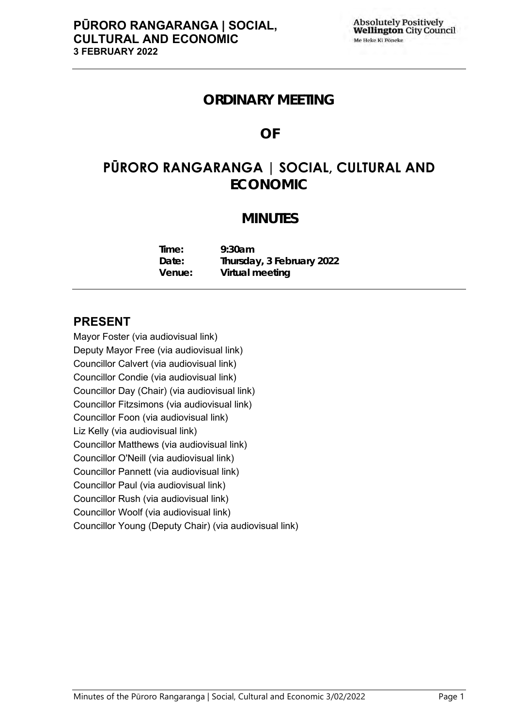## **ORDINARY MEETING**

## **OF**

# **PŪRORO RANGARANGA | SOCIAL, CULTURAL AND ECONOMIC**

## **MINUTES**

| Time:  | 9:30am                    |
|--------|---------------------------|
| Date:  | Thursday, 3 February 2022 |
| Venue: | Virtual meeting           |

## **PRESENT**

Mayor Foster (via audiovisual link) Deputy Mayor Free (via audiovisual link) Councillor Calvert (via audiovisual link) Councillor Condie (via audiovisual link) Councillor Day (Chair) (via audiovisual link) Councillor Fitzsimons (via audiovisual link) Councillor Foon (via audiovisual link) Liz Kelly (via audiovisual link) Councillor Matthews (via audiovisual link) Councillor O'Neill (via audiovisual link) Councillor Pannett (via audiovisual link) Councillor Paul (via audiovisual link) Councillor Rush (via audiovisual link) Councillor Woolf (via audiovisual link) Councillor Young (Deputy Chair) (via audiovisual link)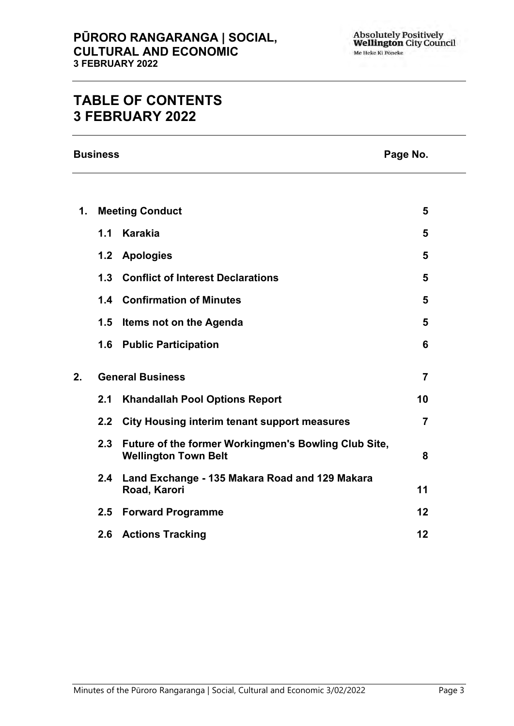## **TABLE OF CONTENTS 3 FEBRUARY 2022**

**Business Page No.**

| 1. | <b>Meeting Conduct</b> |                                                                                     |                |
|----|------------------------|-------------------------------------------------------------------------------------|----------------|
|    | 1.1                    | <b>Karakia</b>                                                                      | 5              |
|    |                        | 1.2 Apologies                                                                       | 5              |
|    | 1.3                    | <b>Conflict of Interest Declarations</b>                                            | 5              |
|    |                        | <b>1.4 Confirmation of Minutes</b>                                                  | 5              |
|    | 1.5                    | Items not on the Agenda                                                             | 5              |
|    |                        | 1.6 Public Participation                                                            | 6              |
| 2. |                        | <b>General Business</b>                                                             | $\overline{7}$ |
|    | 2.1                    | <b>Khandallah Pool Options Report</b>                                               | 10             |
|    |                        | 2.2 City Housing interim tenant support measures                                    | $\overline{7}$ |
|    | 2.3                    | Future of the former Workingmen's Bowling Club Site,<br><b>Wellington Town Belt</b> | 8              |
|    | $2.4^{\circ}$          | Land Exchange - 135 Makara Road and 129 Makara<br>Road, Karori                      | 11             |
|    | 2.5                    | <b>Forward Programme</b>                                                            | 12             |
|    | 2.6                    | <b>Actions Tracking</b>                                                             | 12             |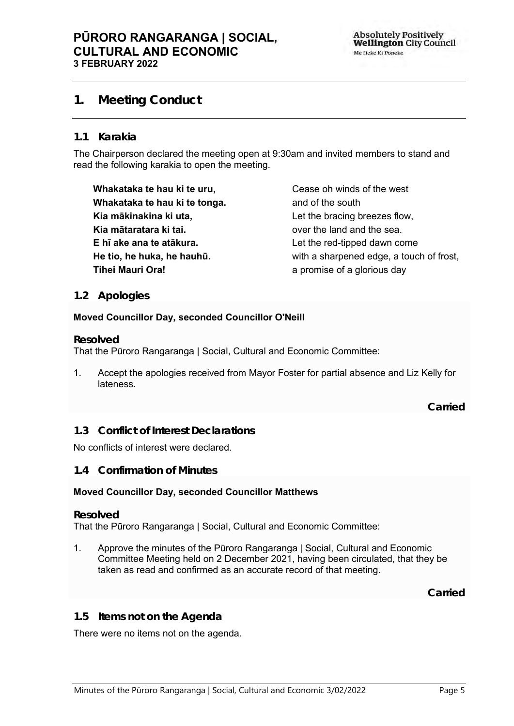## **PŪRORO RANGARANGA | SOCIAL, CULTURAL AND ECONOMIC 3 FEBRUARY 2022**

## <span id="page-4-0"></span>**1. Meeting Conduct**

### **1.1 Karakia**

The Chairperson declared the meeting open at 9:30am and invited members to stand and read the following karakia to open the meeting.

**Whakataka te hau ki te uru, Whakataka te hau ki te tonga. Kia mākinakina ki uta, Kia mātaratara ki tai. E hī ake ana te atākura. He tio, he huka, he hauhū. Tihei Mauri Ora!**

Cease oh winds of the west and of the south Let the bracing breezes flow, over the land and the sea. Let the red-tipped dawn come with a sharpened edge, a touch of frost, a promise of a glorious day

### <span id="page-4-1"></span>**1.2 Apologies**

#### **Moved Councillor Day, seconded Councillor O'Neill**

#### **Resolved**

That the Pūroro Rangaranga | Social, Cultural and Economic Committee:

1. Accept the apologies received from Mayor Foster for partial absence and Liz Kelly for lateness.

**Carried**

### <span id="page-4-2"></span>**1.3 Conflict of Interest Declarations**

No conflicts of interest were declared.

#### <span id="page-4-3"></span>**1.4 Confirmation of Minutes**

### **Moved Councillor Day, seconded Councillor Matthews**

#### **Resolved**

That the Pūroro Rangaranga | Social, Cultural and Economic Committee:

1. Approve the minutes of the Pūroro Rangaranga | Social, Cultural and Economic Committee Meeting held on 2 December 2021, having been circulated, that they be taken as read and confirmed as an accurate record of that meeting.

**Carried**

#### <span id="page-4-4"></span>**1.5 Items not on the Agenda**

There were no items not on the agenda.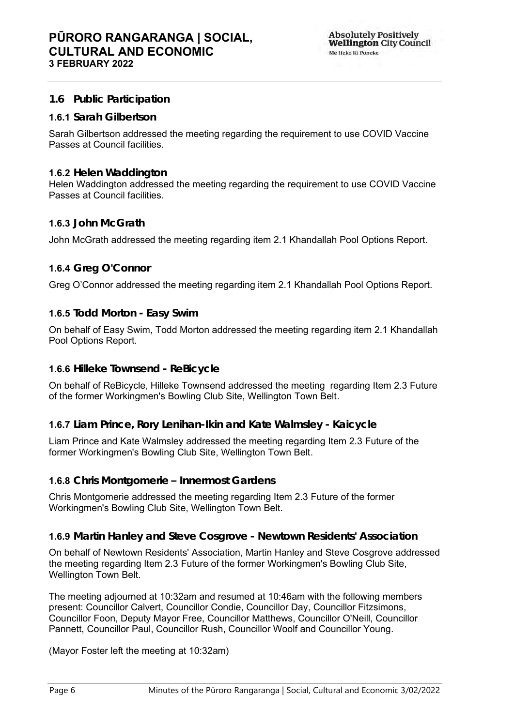## <span id="page-5-0"></span>**1.6 Public Participation**

### **1.6.1 Sarah Gilbertson**

Sarah Gilbertson addressed the meeting regarding the requirement to use COVID Vaccine Passes at Council facilities.

#### **1.6.2 Helen Waddington**

Helen Waddington addressed the meeting regarding the requirement to use COVID Vaccine Passes at Council facilities.

#### **1.6.3 John McGrath**

John McGrath addressed the meeting regarding item 2.1 Khandallah Pool Options Report.

### **1.6.4 Greg O'Connor**

Greg O'Connor addressed the meeting regarding item 2.1 Khandallah Pool Options Report.

#### **1.6.5 Todd Morton - Easy Swim**

On behalf of Easy Swim, Todd Morton addressed the meeting regarding item 2.1 Khandallah Pool Options Report.

### **1.6.6 Hilleke Townsend - ReBicycle**

On behalf of ReBicycle, Hilleke Townsend addressed the meeting regarding Item 2.3 Future of the former Workingmen's Bowling Club Site, Wellington Town Belt.

#### **1.6.7 Liam Prince, Rory Lenihan-Ikin and Kate Walmsley - Kaicycle**

Liam Prince and Kate Walmsley addressed the meeting regarding Item 2.3 Future of the former Workingmen's Bowling Club Site, Wellington Town Belt.

#### **1.6.8 Chris Montgomerie – Innermost Gardens**

Chris Montgomerie addressed the meeting regarding Item 2.3 Future of the former Workingmen's Bowling Club Site, Wellington Town Belt.

#### **1.6.9 Martin Hanley and Steve Cosgrove - Newtown Residents' Association**

On behalf of Newtown Residents' Association, Martin Hanley and Steve Cosgrove addressed the meeting regarding Item 2.3 Future of the former Workingmen's Bowling Club Site, Wellington Town Belt.

The meeting adjourned at 10:32am and resumed at 10:46am with the following members present: Councillor Calvert, Councillor Condie, Councillor Day, Councillor Fitzsimons, Councillor Foon, Deputy Mayor Free, Councillor Matthews, Councillor O'Neill, Councillor Pannett, Councillor Paul, Councillor Rush, Councillor Woolf and Councillor Young.

(Mayor Foster left the meeting at 10:32am)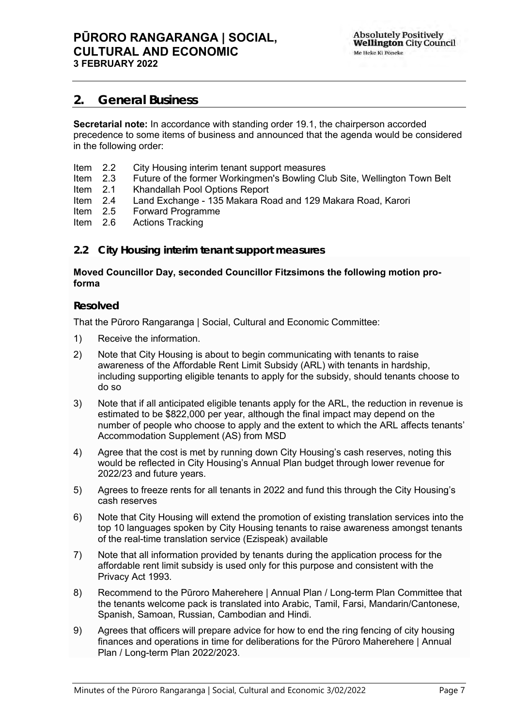## <span id="page-6-0"></span>**2. General Business**

**Secretarial note:** In accordance with standing order 19.1, the chairperson accorded precedence to some items of business and announced that the agenda would be considered in the following order:

- Item 2.2 City Housing interim tenant support measures<br>Item 2.3 Future of the former Workingmen's Bowling Cli
- Item 2.3 Future of the former Workingmen's Bowling Club Site, Wellington Town Belt
- Khandallah Pool Options Report
- Item 2.4 Land Exchange 135 Makara Road and 129 Makara Road, Karori
- Item 2.5 Forward Programme<br>Item 2.6 Actions Tracking
- Actions Tracking

#### <span id="page-6-1"></span>**2.2 City Housing interim tenant support measures**

#### **Moved Councillor Day, seconded Councillor Fitzsimons the following motion proforma**

#### **Resolved**

That the Pūroro Rangaranga | Social, Cultural and Economic Committee:

- 1) Receive the information.
- 2) Note that City Housing is about to begin communicating with tenants to raise awareness of the Affordable Rent Limit Subsidy (ARL) with tenants in hardship, including supporting eligible tenants to apply for the subsidy, should tenants choose to do so
- 3) Note that if all anticipated eligible tenants apply for the ARL, the reduction in revenue is estimated to be \$822,000 per year, although the final impact may depend on the number of people who choose to apply and the extent to which the ARL affects tenants' Accommodation Supplement (AS) from MSD
- 4) Agree that the cost is met by running down City Housing's cash reserves, noting this would be reflected in City Housing's Annual Plan budget through lower revenue for 2022/23 and future years.
- 5) Agrees to freeze rents for all tenants in 2022 and fund this through the City Housing's cash reserves
- 6) Note that City Housing will extend the promotion of existing translation services into the top 10 languages spoken by City Housing tenants to raise awareness amongst tenants of the real-time translation service (Ezispeak) available
- 7) Note that all information provided by tenants during the application process for the affordable rent limit subsidy is used only for this purpose and consistent with the Privacy Act 1993.
- 8) Recommend to the Pūroro Maherehere | Annual Plan / Long-term Plan Committee that the tenants welcome pack is translated into Arabic, Tamil, Farsi, Mandarin/Cantonese, Spanish, Samoan, Russian, Cambodian and Hindi.
- 9) Agrees that officers will prepare advice for how to end the ring fencing of city housing finances and operations in time for deliberations for the Pūroro Maherehere | Annual Plan / Long-term Plan 2022/2023.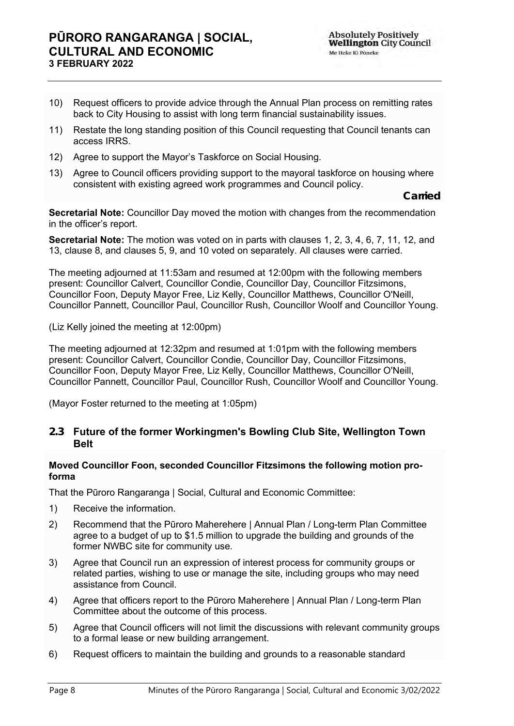### **PŪRORO RANGARANGA | SOCIAL, CULTURAL AND ECONOMIC 3 FEBRUARY 2022**

- 10) Request officers to provide advice through the Annual Plan process on remitting rates back to City Housing to assist with long term financial sustainability issues.
- 11) Restate the long standing position of this Council requesting that Council tenants can access IRRS.
- 12) Agree to support the Mayor's Taskforce on Social Housing.
- 13) Agree to Council officers providing support to the mayoral taskforce on housing where consistent with existing agreed work programmes and Council policy.

**Carried**

**Secretarial Note:** Councillor Day moved the motion with changes from the recommendation in the officer's report.

**Secretarial Note:** The motion was voted on in parts with clauses 1, 2, 3, 4, 6, 7, 11, 12, and 13, clause 8, and clauses 5, 9, and 10 voted on separately. All clauses were carried.

The meeting adjourned at 11:53am and resumed at 12:00pm with the following members present: Councillor Calvert, Councillor Condie, Councillor Day, Councillor Fitzsimons, Councillor Foon, Deputy Mayor Free, Liz Kelly, Councillor Matthews, Councillor O'Neill, Councillor Pannett, Councillor Paul, Councillor Rush, Councillor Woolf and Councillor Young.

(Liz Kelly joined the meeting at 12:00pm)

The meeting adjourned at 12:32pm and resumed at 1:01pm with the following members present: Councillor Calvert, Councillor Condie, Councillor Day, Councillor Fitzsimons, Councillor Foon, Deputy Mayor Free, Liz Kelly, Councillor Matthews, Councillor O'Neill, Councillor Pannett, Councillor Paul, Councillor Rush, Councillor Woolf and Councillor Young.

(Mayor Foster returned to the meeting at 1:05pm)

#### **2.3 Future of the former Workingmen's Bowling Club Site, Wellington Town Belt**

#### <span id="page-7-0"></span>**Moved Councillor Foon, seconded Councillor Fitzsimons the following motion proforma**

That the Pūroro Rangaranga | Social, Cultural and Economic Committee:

- 1) Receive the information.
- 2) Recommend that the Pūroro Maherehere | Annual Plan / Long-term Plan Committee agree to a budget of up to \$1.5 million to upgrade the building and grounds of the former NWBC site for community use.
- 3) Agree that Council run an expression of interest process for community groups or related parties, wishing to use or manage the site, including groups who may need assistance from Council.
- 4) Agree that officers report to the Pūroro Maherehere | Annual Plan / Long-term Plan Committee about the outcome of this process.
- 5) Agree that Council officers will not limit the discussions with relevant community groups to a formal lease or new building arrangement.
- 6) Request officers to maintain the building and grounds to a reasonable standard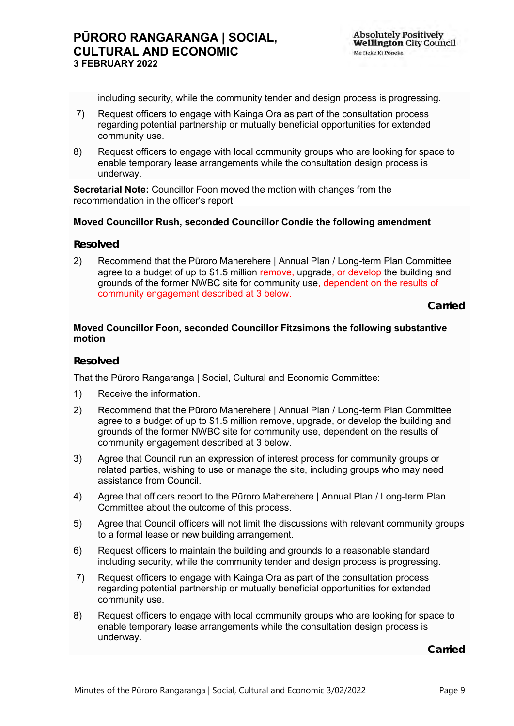including security, while the community tender and design process is progressing.

- 7) Request officers to engage with Kainga Ora as part of the consultation process regarding potential partnership or mutually beneficial opportunities for extended community use.
- 8) Request officers to engage with local community groups who are looking for space to enable temporary lease arrangements while the consultation design process is underway.

**Secretarial Note:** Councillor Foon moved the motion with changes from the recommendation in the officer's report.

#### **Moved Councillor Rush, seconded Councillor Condie the following amendment**

#### **Resolved**

2) Recommend that the Pūroro Maherehere | Annual Plan / Long-term Plan Committee agree to a budget of up to \$1.5 million remove, upgrade, or develop the building and grounds of the former NWBC site for community use, dependent on the results of community engagement described at 3 below.

**Carried**

#### **Moved Councillor Foon, seconded Councillor Fitzsimons the following substantive motion**

#### **Resolved**

That the Pūroro Rangaranga | Social, Cultural and Economic Committee:

- 1) Receive the information.
- 2) Recommend that the Pūroro Maherehere | Annual Plan / Long-term Plan Committee agree to a budget of up to \$1.5 million remove, upgrade, or develop the building and grounds of the former NWBC site for community use, dependent on the results of community engagement described at 3 below.
- 3) Agree that Council run an expression of interest process for community groups or related parties, wishing to use or manage the site, including groups who may need assistance from Council.
- 4) Agree that officers report to the Pūroro Maherehere | Annual Plan / Long-term Plan Committee about the outcome of this process.
- 5) Agree that Council officers will not limit the discussions with relevant community groups to a formal lease or new building arrangement.
- 6) Request officers to maintain the building and grounds to a reasonable standard including security, while the community tender and design process is progressing.
- 7) Request officers to engage with Kainga Ora as part of the consultation process regarding potential partnership or mutually beneficial opportunities for extended community use.
- 8) Request officers to engage with local community groups who are looking for space to enable temporary lease arrangements while the consultation design process is underway.

**Carried**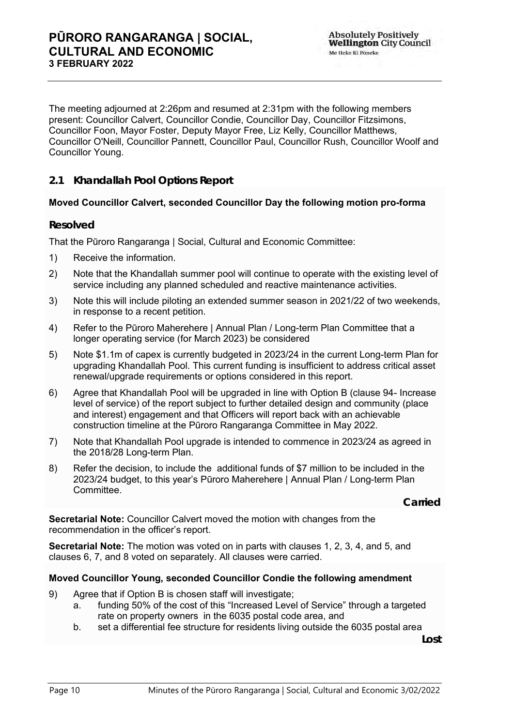The meeting adjourned at 2:26pm and resumed at 2:31pm with the following members present: Councillor Calvert, Councillor Condie, Councillor Day, Councillor Fitzsimons, Councillor Foon, Mayor Foster, Deputy Mayor Free, Liz Kelly, Councillor Matthews, Councillor O'Neill, Councillor Pannett, Councillor Paul, Councillor Rush, Councillor Woolf and Councillor Young.

<span id="page-9-0"></span>**2.1 Khandallah Pool Options Report**

### **Moved Councillor Calvert, seconded Councillor Day the following motion pro-forma**

#### **Resolved**

That the Pūroro Rangaranga | Social, Cultural and Economic Committee:

- 1) Receive the information.
- 2) Note that the Khandallah summer pool will continue to operate with the existing level of service including any planned scheduled and reactive maintenance activities.
- 3) Note this will include piloting an extended summer season in 2021/22 of two weekends, in response to a recent petition.
- 4) Refer to the Pūroro Maherehere | Annual Plan / Long-term Plan Committee that a longer operating service (for March 2023) be considered
- 5) Note \$1.1m of capex is currently budgeted in 2023/24 in the current Long-term Plan for upgrading Khandallah Pool. This current funding is insufficient to address critical asset renewal/upgrade requirements or options considered in this report.
- 6) Agree that Khandallah Pool will be upgraded in line with Option B (clause 94- Increase level of service) of the report subject to further detailed design and community (place and interest) engagement and that Officers will report back with an achievable construction timeline at the Pūroro Rangaranga Committee in May 2022.
- 7) Note that Khandallah Pool upgrade is intended to commence in 2023/24 as agreed in the 2018/28 Long-term Plan.
- 8) Refer the decision, to include the additional funds of \$7 million to be included in the 2023/24 budget, to this year's Pūroro Maherehere | Annual Plan / Long-term Plan Committee.

**Carried**

**Secretarial Note:** Councillor Calvert moved the motion with changes from the recommendation in the officer's report.

**Secretarial Note:** The motion was voted on in parts with clauses 1, 2, 3, 4, and 5, and clauses 6, 7, and 8 voted on separately. All clauses were carried.

#### **Moved Councillor Young, seconded Councillor Condie the following amendment**

- 9) Agree that if Option B is chosen staff will investigate;
	- a. funding 50% of the cost of this "Increased Level of Service" through a targeted rate on property owners in the 6035 postal code area, and
	- b. set a differential fee structure for residents living outside the 6035 postal area

**Lost**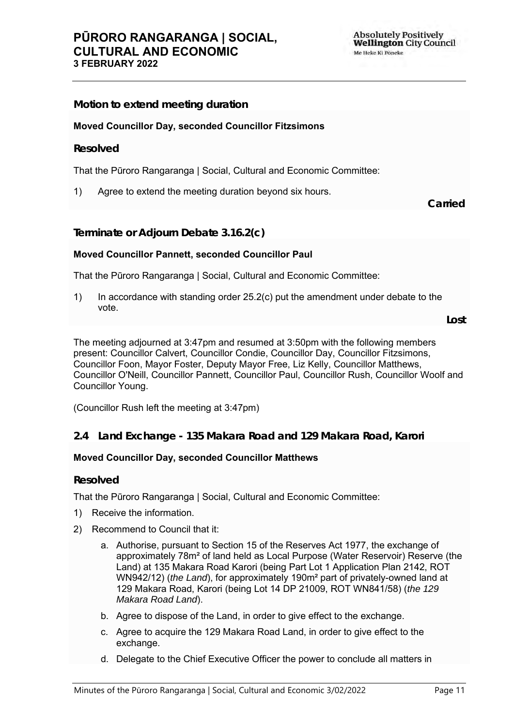**Motion to extend meeting duration Moved Councillor Day, seconded Councillor Fitzsimons Resolved** That the Pūroro Rangaranga | Social, Cultural and Economic Committee: 1) Agree to extend the meeting duration beyond six hours. **Carried Terminate or Adjourn Debate 3.16.2(c) Moved Councillor Pannett, seconded Councillor Paul**

That the Pūroro Rangaranga | Social, Cultural and Economic Committee:

1) In accordance with standing order 25.2(c) put the amendment under debate to the vote.

**Lost**

The meeting adjourned at 3:47pm and resumed at 3:50pm with the following members present: Councillor Calvert, Councillor Condie, Councillor Day, Councillor Fitzsimons, Councillor Foon, Mayor Foster, Deputy Mayor Free, Liz Kelly, Councillor Matthews, Councillor O'Neill, Councillor Pannett, Councillor Paul, Councillor Rush, Councillor Woolf and Councillor Young.

(Councillor Rush left the meeting at 3:47pm)

### <span id="page-10-0"></span>**2.4 Land Exchange - 135 Makara Road and 129 Makara Road, Karori**

#### **Moved Councillor Day, seconded Councillor Matthews**

#### **Resolved**

That the Pūroro Rangaranga | Social, Cultural and Economic Committee:

- 1) Receive the information.
- 2) Recommend to Council that it:
	- a. Authorise, pursuant to Section 15 of the Reserves Act 1977, the exchange of approximately 78m² of land held as Local Purpose (Water Reservoir) Reserve (the Land) at 135 Makara Road Karori (being Part Lot 1 Application Plan 2142, ROT WN942/12) (*the Land*), for approximately 190m² part of privately-owned land at 129 Makara Road, Karori (being Lot 14 DP 21009, ROT WN841/58) (*the 129 Makara Road Land*).
	- b. Agree to dispose of the Land, in order to give effect to the exchange.
	- c. Agree to acquire the 129 Makara Road Land, in order to give effect to the exchange.
	- d. Delegate to the Chief Executive Officer the power to conclude all matters in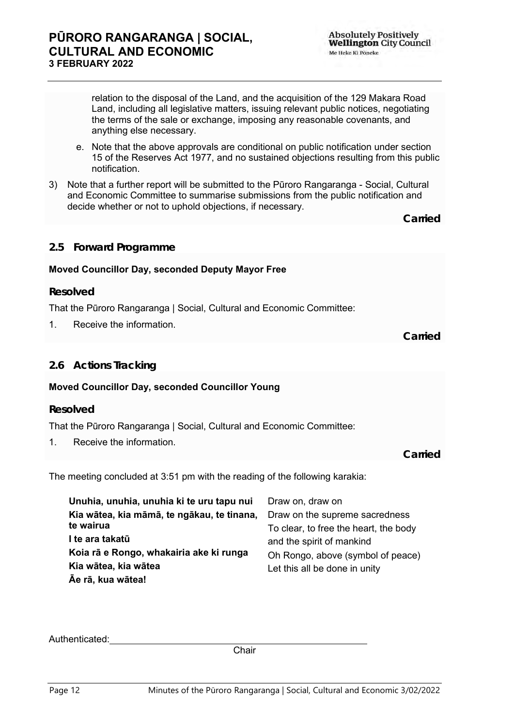Me Heke Ki Pôneke

**Absolutely Positively Wellington City Council** 

relation to the disposal of the Land, and the acquisition of the 129 Makara Road Land, including all legislative matters, issuing relevant public notices, negotiating the terms of the sale or exchange, imposing any reasonable covenants, and anything else necessary.

- e. Note that the above approvals are conditional on public notification under section 15 of the Reserves Act 1977, and no sustained objections resulting from this public notification.
- 3) Note that a further report will be submitted to the Pūroro Rangaranga Social, Cultural and Economic Committee to summarise submissions from the public notification and decide whether or not to uphold objections, if necessary.

**Carried**

### <span id="page-11-0"></span>**2.5 Forward Programme**

#### **Moved Councillor Day, seconded Deputy Mayor Free**

#### **Resolved**

That the Pūroro Rangaranga | Social, Cultural and Economic Committee:

1. Receive the information.

**Carried**

### <span id="page-11-1"></span>**2.6 Actions Tracking**

#### **Moved Councillor Day, seconded Councillor Young**

#### **Resolved**

That the Pūroro Rangaranga | Social, Cultural and Economic Committee:

1. Receive the information.

**Carried**

The meeting concluded at 3:51 pm with the reading of the following karakia:

| Unuhia, unuhia, unuhia ki te uru tapu nui  | Draw on, draw on                      |
|--------------------------------------------|---------------------------------------|
| Kia wātea, kia māmā, te ngākau, te tinana, | Draw on the supreme sacredness        |
| te wairua                                  | To clear, to free the heart, the body |
| I te ara takatū                            | and the spirit of mankind             |
| Koia rā e Rongo, whakairia ake ki runga    | Oh Rongo, above (symbol of peace)     |
| Kia wātea, kia wātea                       | Let this all be done in unity         |
| Āe rā, kua wātea!                          |                                       |

Authenticated:

**Chair**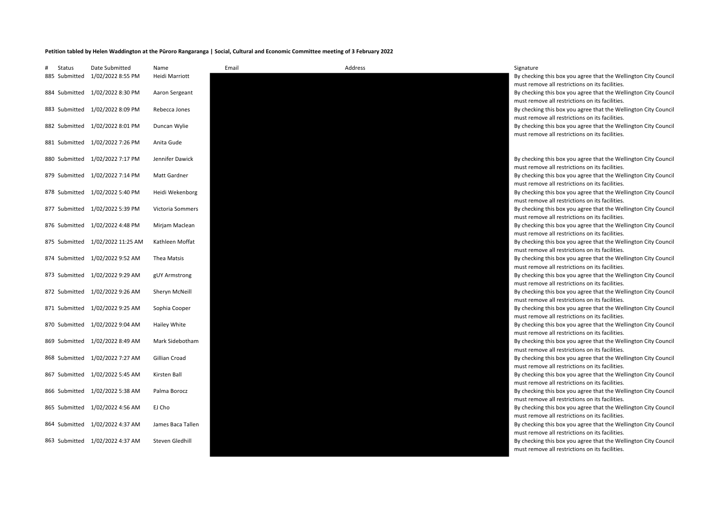#### **Petition tabled by Helen Waddington at the Pūroro Rangaranga | Social, Cultural and Economic Committee meeting of 3 February 2022**

| Status<br>885 Submitted | Date Submitted<br>1/02/2022 8:55 PM | Name<br>Heidi Marriott | Email | Address | Signature<br>By checking this box you agree that the Wellington City Council<br>must remove all restrictions on its facilities.                                       |
|-------------------------|-------------------------------------|------------------------|-------|---------|-----------------------------------------------------------------------------------------------------------------------------------------------------------------------|
|                         | 884 Submitted 1/02/2022 8:30 PM     | Aaron Sergeant         |       |         | By checking this box you agree that the Wellington City Council                                                                                                       |
|                         | 883 Submitted 1/02/2022 8:09 PM     | Rebecca Jones          |       |         | must remove all restrictions on its facilities.<br>By checking this box you agree that the Wellington City Council                                                    |
|                         | 882 Submitted 1/02/2022 8:01 PM     | Duncan Wylie           |       |         | must remove all restrictions on its facilities.<br>By checking this box you agree that the Wellington City Council<br>must remove all restrictions on its facilities. |
|                         | 881 Submitted 1/02/2022 7:26 PM     | Anita Gude             |       |         |                                                                                                                                                                       |
|                         | 880 Submitted 1/02/2022 7:17 PM     | Jennifer Dawick        |       |         | By checking this box you agree that the Wellington City Council                                                                                                       |
|                         | 879 Submitted 1/02/2022 7:14 PM     | <b>Matt Gardner</b>    |       |         | must remove all restrictions on its facilities.<br>By checking this box you agree that the Wellington City Council                                                    |
|                         | 878 Submitted 1/02/2022 5:40 PM     | Heidi Wekenborg        |       |         | must remove all restrictions on its facilities.<br>By checking this box you agree that the Wellington City Council                                                    |
|                         | 877 Submitted 1/02/2022 5:39 PM     | Victoria Sommers       |       |         | must remove all restrictions on its facilities.<br>By checking this box you agree that the Wellington City Council                                                    |
|                         | 876 Submitted 1/02/2022 4:48 PM     | Mirjam Maclean         |       |         | must remove all restrictions on its facilities.<br>By checking this box you agree that the Wellington City Council                                                    |
|                         | 875 Submitted 1/02/2022 11:25 AM    | Kathleen Moffat        |       |         | must remove all restrictions on its facilities.<br>By checking this box you agree that the Wellington City Council                                                    |
|                         | 874 Submitted 1/02/2022 9:52 AM     | Thea Matsis            |       |         | must remove all restrictions on its facilities.<br>By checking this box you agree that the Wellington City Council                                                    |
|                         | 873 Submitted 1/02/2022 9:29 AM     | gUY Armstrong          |       |         | must remove all restrictions on its facilities.<br>By checking this box you agree that the Wellington City Council                                                    |
|                         | 872 Submitted 1/02/2022 9:26 AM     | Sheryn McNeill         |       |         | must remove all restrictions on its facilities.<br>By checking this box you agree that the Wellington City Council                                                    |
|                         | 871 Submitted 1/02/2022 9:25 AM     | Sophia Cooper          |       |         | must remove all restrictions on its facilities.<br>By checking this box you agree that the Wellington City Council                                                    |
|                         | 870 Submitted 1/02/2022 9:04 AM     | Hailey White           |       |         | must remove all restrictions on its facilities.<br>By checking this box you agree that the Wellington City Council                                                    |
|                         | 869 Submitted 1/02/2022 8:49 AM     | Mark Sidebotham        |       |         | must remove all restrictions on its facilities.<br>By checking this box you agree that the Wellington City Council                                                    |
|                         |                                     |                        |       |         | must remove all restrictions on its facilities.                                                                                                                       |
|                         | 868 Submitted 1/02/2022 7:27 AM     | Gillian Croad          |       |         | By checking this box you agree that the Wellington City Council<br>must remove all restrictions on its facilities.                                                    |
|                         | 867 Submitted 1/02/2022 5:45 AM     | Kirsten Ball           |       |         | By checking this box you agree that the Wellington City Council<br>must remove all restrictions on its facilities.                                                    |
|                         | 866 Submitted 1/02/2022 5:38 AM     | Palma Borocz           |       |         | By checking this box you agree that the Wellington City Council<br>must remove all restrictions on its facilities.                                                    |
|                         | 865 Submitted 1/02/2022 4:56 AM     | EJ Cho                 |       |         | By checking this box you agree that the Wellington City Council<br>must remove all restrictions on its facilities.                                                    |
|                         | 864 Submitted 1/02/2022 4:37 AM     | James Baca Tallen      |       |         | By checking this box you agree that the Wellington City Council<br>must remove all restrictions on its facilities.                                                    |
|                         | 863 Submitted 1/02/2022 4:37 AM     | Steven Gledhill        |       |         | By checking this box you agree that the Wellington City Council<br>must remove all restrictions on its facilities.                                                    |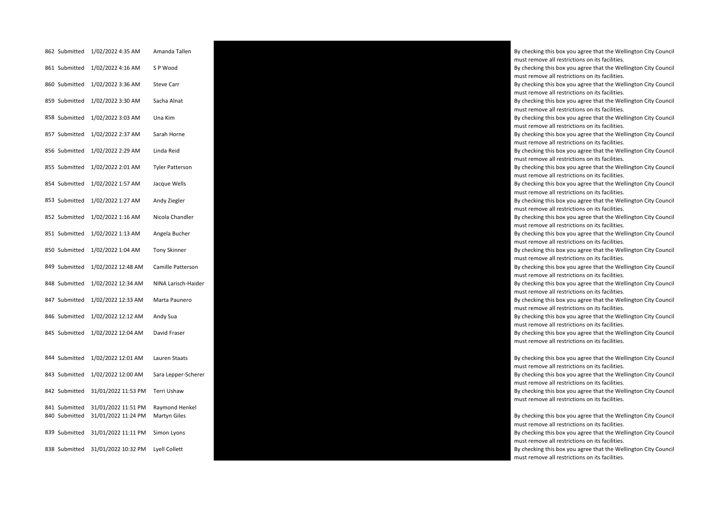| 862 Submitted | 1/02/2022 4:35 AM   | Amanda Tallen          |
|---------------|---------------------|------------------------|
| 861 Submitted | 1/02/2022 4:16 AM   | SP Wood                |
| 860 Submitted | 1/02/2022 3:36 AM   | <b>Steve Carr</b>      |
| 859 Submitted | 1/02/2022 3:30 AM   | Sacha Alnat            |
| 858 Submitted | 1/02/2022 3:03 AM   | Una Kim                |
| 857 Submitted | 1/02/2022 2:37 AM   | Sarah Horne            |
| 856 Submitted | 1/02/2022 2:29 AM   | Linda Reid             |
| 855 Submitted | 1/02/2022 2:01 AM   | <b>Tyler Patterson</b> |
| 854 Submitted | 1/02/2022 1:57 AM   | Jacque Wells           |
| 853 Submitted | 1/02/2022 1:27 AM   | Andy Ziegler           |
| 852 Submitted | 1/02/2022 1:16 AM   | Nicola Chandler        |
| 851 Submitted | 1/02/2022 1:13 AM   | Angela Bucher          |
| 850 Submitted | 1/02/2022 1:04 AM   | <b>Tony Skinner</b>    |
| 849 Submitted | 1/02/2022 12:48 AM  | Camille Patterson      |
| 848 Submitted | 1/02/2022 12:34 AM  | NINA Larisch-Haid      |
| 847 Submitted | 1/02/2022 12:33 AM  | Marta Paunero          |
| 846 Submitted | 1/02/2022 12:12 AM  | Andy Sua               |
| 845 Submitted | 1/02/2022 12:04 AM  | David Fraser           |
|               |                     |                        |
| 844 Submitted | 1/02/2022 12:01 AM  | Lauren Staats          |
| 843 Submitted | 1/02/2022 12:00 AM  | Sara Lepper-Schei      |
| 842 Submitted | 31/01/2022 11:53 PM | Terri Ushaw            |
| 841 Submitted | 31/01/2022 11:51 PM | Raymond Henkel         |
| 840 Submitted | 31/01/2022 11:24 PM | Martyn Giles           |
| 839 Submitted | 31/01/2022 11:11 PM | Simon Lyons            |
| 838 Submitted | 31/01/2022 10:32 PM | Lyell Collett          |



By checking this box you agree that the Wellington City Council must remove all restrictions on its facilities. By checking this box you agree that the Wellington City Council must remove all restrictions on its facilities.

By checking this box you agree that the Wellington City Council must remove all restrictions on its facilities.

By checking this box you agree that the Wellington City Council must remove all restrictions on its facilities.

By checking this box you agree that the Wellington City Council must remove all restrictions on its facilities.

By checking this box you agree that the Wellington City Council must remove all restrictions on its facilities.

By checking this box you agree that the Wellington City Council must remove all restrictions on its facilities.

By checking this box you agree that the Wellington City Council must remove all restrictions on its facilities.

By checking this box you agree that the Wellington City Council must remove all restrictions on its facilities.

By checking this box you agree that the Wellington City Council must remove all restrictions on its facilities.

By checking this box you agree that the Wellington City Council must remove all restrictions on its facilities.

By checking this box you agree that the Wellington City Council must remove all restrictions on its facilities.

By checking this box you agree that the Wellington City Council must remove all restrictions on its facilities.

By checking this box you agree that the Wellington City Council must remove all restrictions on its facilities.

must remove all restrictions on its facilities.

By checking this box you agree that the Wellington City Council must remove all restrictions on its facilities.

By checking this box you agree that the Wellington City Council must remove all restrictions on its facilities.

By checking this box you agree that the Wellington City Council must remove all restrictions on its facilities.

By checking this box you agree that the Wellington City Council must remove all restrictions on its facilities.

must remove all restrictions on its facilities.

By checking this box you agree that the Wellington City Council must remove all restrictions on its facilities.

By checking this box you agree that the Wellington City Council must remove all restrictions on its facilities.

By checking this box you agree that the Wellington City Council must remove all restrictions on its facilities.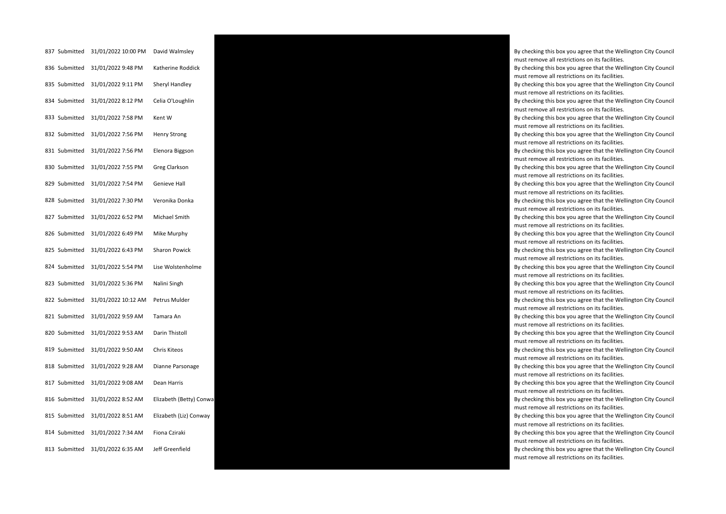| 837 Submitted | 31/01/2022 10:00 PM | David Walmsley        |
|---------------|---------------------|-----------------------|
| 836 Submitted | 31/01/2022 9:48 PM  | Katherine Roddick     |
| 835 Submitted | 31/01/2022 9:11 PM  | Sheryl Handley        |
| 834 Submitted | 31/01/2022 8:12 PM  | Celia O'Loughlin      |
| 833 Submitted | 31/01/2022 7:58 PM  | Kent W                |
| 832 Submitted | 31/01/2022 7:56 PM  | <b>Henry Strong</b>   |
| 831 Submitted | 31/01/2022 7:56 PM  | Elenora Biggson       |
| 830 Submitted | 31/01/2022 7:55 PM  | Greg Clarkson         |
| 829 Submitted | 31/01/2022 7:54 PM  | Genieve Hall          |
| 828 Submitted | 31/01/2022 7:30 PM  | Veronika Donka        |
| 827 Submitted | 31/01/2022 6:52 PM  | Michael Smith         |
| 826 Submitted | 31/01/2022 6:49 PM  | Mike Murphy           |
| 825 Submitted | 31/01/2022 6:43 PM  | Sharon Powick         |
| 824 Submitted | 31/01/2022 5:54 PM  | Lise Wolstenholme     |
| 823 Submitted | 31/01/2022 5:36 PM  | Nalini Singh          |
| 822 Submitted | 31/01/2022 10:12 AM | Petrus Mulder         |
| 821 Submitted | 31/01/2022 9:59 AM  | Tamara An             |
| 820 Submitted | 31/01/2022 9:53 AM  | Darin Thistoll        |
| 819 Submitted | 31/01/2022 9:50 AM  | Chris Kiteos          |
| 818 Submitted | 31/01/2022 9:28 AM  | Dianne Parsonage      |
| 817 Submitted | 31/01/2022 9:08 AM  | Dean Harris           |
| 816 Submitted | 31/01/2022 8:52 AM  | Elizabeth (Betty) Con |
| 815 Submitted | 31/01/2022 8:51 AM  | Elizabeth (Liz) Conwa |
| 814 Submitted | 31/01/2022 7:34 AM  | Fiona Cziraki         |
| 813 Submitted | 31/01/2022 6:35 AM  | Jeff Greenfield       |



By checking this box you agree that the Wellington City Council must remove all restrictions on its facilities. By checking this box you agree that the Wellington City Council

must remove all restrictions on its facilities.

By checking this box you agree that the Wellington City Council must remove all restrictions on its facilities.

By checking this box you agree that the Wellington City Council must remove all restrictions on its facilities.

By checking this box you agree that the Wellington City Council must remove all restrictions on its facilities.

By checking this box you agree that the Wellington City Council must remove all restrictions on its facilities.

By checking this box you agree that the Wellington City Council must remove all restrictions on its facilities.

By checking this box you agree that the Wellington City Council must remove all restrictions on its facilities.

By checking this box you agree that the Wellington City Council must remove all restrictions on its facilities.

By checking this box you agree that the Wellington City Council must remove all restrictions on its facilities.

By checking this box you agree that the Wellington City Council must remove all restrictions on its facilities.

By checking this box you agree that the Wellington City Council must remove all restrictions on its facilities.

By checking this box you agree that the Wellington City Council must remove all restrictions on its facilities.

By checking this box you agree that the Wellington City Council must remove all restrictions on its facilities.

By checking this box you agree that the Wellington City Council must remove all restrictions on its facilities.

By checking this box you agree that the Wellington City Council must remove all restrictions on its facilities.

By checking this box you agree that the Wellington City Council must remove all restrictions on its facilities.

By checking this box you agree that the Wellington City Council must remove all restrictions on its facilities.

By checking this box you agree that the Wellington City Council must remove all restrictions on its facilities.

By checking this box you agree that the Wellington City Council must remove all restrictions on its facilities.

By checking this box you agree that the Wellington City Council must remove all restrictions on its facilities.

must remove all restrictions on its facilities.

By checking this box you agree that the Wellington City Council must remove all restrictions on its facilities.

By checking this box you agree that the Wellington City Council must remove all restrictions on its facilities.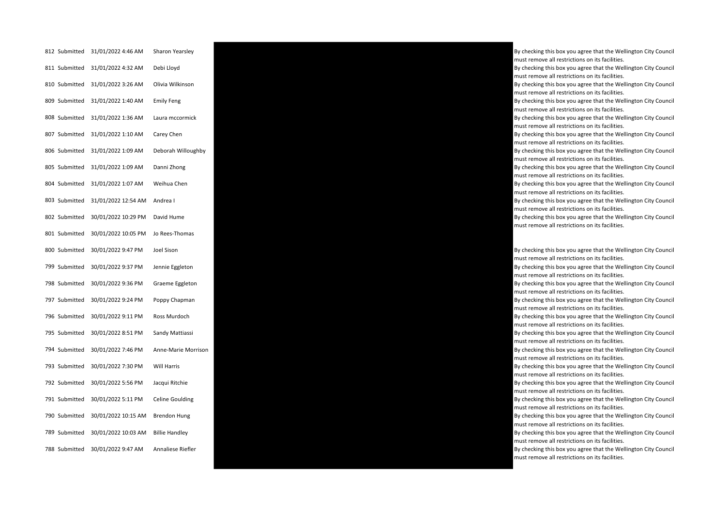| 812 Submitted | 31/01/2022 4:46 AM  | Sharon Yearsley        |
|---------------|---------------------|------------------------|
| 811 Submitted | 31/01/2022 4:32 AM  | Debi Lloyd             |
| 810 Submitted | 31/01/2022 3:26 AM  | Olivia Wilkinson       |
| 809 Submitted | 31/01/2022 1:40 AM  | <b>Emily Feng</b>      |
| 808 Submitted | 31/01/2022 1:36 AM  | Laura mccormick        |
| 807 Submitted | 31/01/2022 1:10 AM  | Carey Chen             |
| 806 Submitted | 31/01/2022 1:09 AM  | Deborah Willoughby     |
| 805 Submitted | 31/01/2022 1:09 AM  | Danni Zhong            |
| 804 Submitted | 31/01/2022 1:07 AM  | Weihua Chen            |
| 803 Submitted | 31/01/2022 12:54 AM | Andrea I               |
| 802 Submitted | 30/01/2022 10:29 PM | David Hume             |
| 801 Submitted | 30/01/2022 10:05 PM | Jo Rees-Thomas         |
| 800 Submitted | 30/01/2022 9:47 PM  | Joel Sison             |
| 799 Submitted | 30/01/2022 9:37 PM  | Jennie Eggleton        |
| 798 Submitted | 30/01/2022 9:36 PM  | Graeme Eggleton        |
| 797 Submitted | 30/01/2022 9:24 PM  | Poppy Chapman          |
| 796 Submitted | 30/01/2022 9:11 PM  | Ross Murdoch           |
| 795 Submitted | 30/01/2022 8:51 PM  | Sandy Mattiassi        |
| 794 Submitted | 30/01/2022 7:46 PM  | Anne-Marie Morrison    |
| 793 Submitted | 30/01/2022 7:30 PM  | Will Harris            |
| 792 Submitted | 30/01/2022 5:56 PM  | Jacqui Ritchie         |
| 791 Submitted | 30/01/2022 5:11 PM  | <b>Celine Goulding</b> |
| 790 Submitted | 30/01/2022 10:15 AM | <b>Brendon Hung</b>    |
| 789 Submitted | 30/01/2022 10:03 AM | <b>Billie Handley</b>  |
| 788 Submitted | 30/01/2022 9:47 AM  | Annaliese Riefler      |



By checking this box you agree that the Wellington City Council must remove all restrictions on its facilities.

By checking this box you agree that the Wellington City Council must remove all restrictions on its facilities.

By checking this box you agree that the Wellington City Council must remove all restrictions on its facilities.

By checking this box you agree that the Wellington City Council must remove all restrictions on its facilities.

By checking this box you agree that the Wellington City Council must remove all restrictions on its facilities.

By checking this box you agree that the Wellington City Council must remove all restrictions on its facilities.

By checking this box you agree that the Wellington City Council must remove all restrictions on its facilities.

By checking this box you agree that the Wellington City Council must remove all restrictions on its facilities.

By checking this box you agree that the Wellington City Council must remove all restrictions on its facilities.

By checking this box you agree that the Wellington City Council must remove all restrictions on its facilities.

By checking this box you agree that the Wellington City Council

must remove all restrictions on its facilities. By checking this box you agree that the Wellington City Council must remove all restrictions on its facilities.

By checking this box you agree that the Wellington City Council must remove all restrictions on its facilities.

By checking this box you agree that the Wellington City Council must remove all restrictions on its facilities.

By checking this box you agree that the Wellington City Council must remove all restrictions on its facilities.

By checking this box you agree that the Wellington City Council must remove all restrictions on its facilities.

By checking this box you agree that the Wellington City Council must remove all restrictions on its facilities.

By checking this box you agree that the Wellington City Council must remove all restrictions on its facilities.

By checking this box you agree that the Wellington City Council must remove all restrictions on its facilities.

By checking this box you agree that the Wellington City Council must remove all restrictions on its facilities.

By checking this box you agree that the Wellington City Council must remove all restrictions on its facilities.

By checking this box you agree that the Wellington City Council must remove all restrictions on its facilities.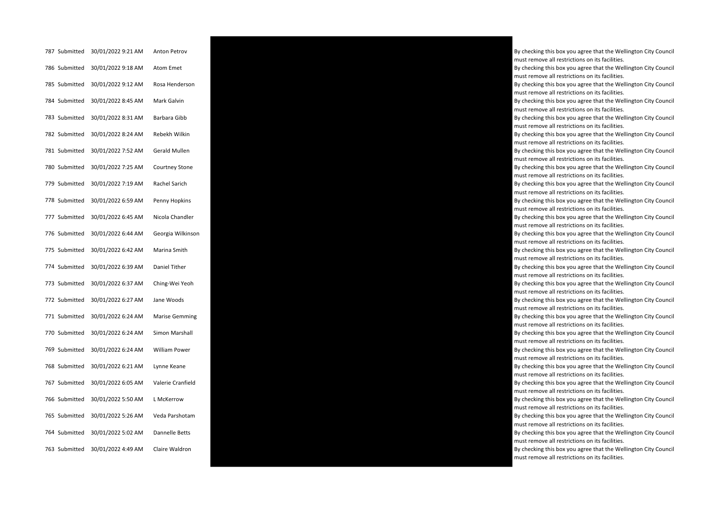| 787 Submitted | 30/01/2022 9:21 AM | <b>Anton Petrov</b>   |
|---------------|--------------------|-----------------------|
| 786 Submitted | 30/01/2022 9:18 AM | Atom Emet             |
| 785 Submitted | 30/01/2022 9:12 AM | Rosa Henderson        |
| 784 Submitted | 30/01/2022 8:45 AM | Mark Galvin           |
| 783 Submitted | 30/01/2022 8:31 AM | Barbara Gibb          |
| 782 Submitted | 30/01/2022 8:24 AM | Rebekh Wilkin         |
| 781 Submitted | 30/01/2022 7:52 AM | Gerald Mullen         |
| 780 Submitted | 30/01/2022 7:25 AM | Courtney Stone        |
| 779 Submitted | 30/01/2022 7:19 AM | Rachel Sarich         |
| 778 Submitted | 30/01/2022 6:59 AM | Penny Hopkins         |
| 777 Submitted | 30/01/2022 6:45 AM | Nicola Chandler       |
| 776 Submitted | 30/01/2022 6:44 AM | Georgia Wilkinson     |
| 775 Submitted | 30/01/2022 6:42 AM | Marina Smith          |
| 774 Submitted | 30/01/2022 6:39 AM | Daniel Tither         |
| 773 Submitted | 30/01/2022 6:37 AM | Ching-Wei Yeoh        |
| 772 Submitted | 30/01/2022 6:27 AM | Jane Woods            |
| 771 Submitted | 30/01/2022 6:24 AM | <b>Marise Gemming</b> |
| 770 Submitted | 30/01/2022 6:24 AM | Simon Marshall        |
| 769 Submitted | 30/01/2022 6:24 AM | William Power         |
| 768 Submitted | 30/01/2022 6:21 AM | Lynne Keane           |
| 767 Submitted | 30/01/2022 6:05 AM | Valerie Cranfield     |
| 766 Submitted | 30/01/2022 5:50 AM | L McKerrow            |
| 765 Submitted | 30/01/2022 5:26 AM | Veda Parshotam        |
| 764 Submitted | 30/01/2022 5:02 AM | Dannelle Betts        |
| 763 Submitted | 30/01/2022 4:49 AM | Claire Waldron        |



By checking this box you agree that the Wellington City Council must remove all restrictions on its facilities. By checking this box you agree that the Wellington City Council must remove all restrictions on its facilities. By checking this box you agree that the Wellington City Council must remove all restrictions on its facilities. By checking this box you agree that the Wellington City Council must remove all restrictions on its facilities. By checking this box you agree that the Wellington City Council must remove all restrictions on its facilities. By checking this box you agree that the Wellington City Council must remove all restrictions on its facilities. By checking this box you agree that the Wellington City Council must remove all restrictions on its facilities. By checking this box you agree that the Wellington City Council must remove all restrictions on its facilities. By checking this box you agree that the Wellington City Council must remove all restrictions on its facilities. By checking this box you agree that the Wellington City Council must remove all restrictions on its facilities. By checking this box you agree that the Wellington City Council must remove all restrictions on its facilities. By checking this box you agree that the Wellington City Council must remove all restrictions on its facilities. By checking this box you agree that the Wellington City Council must remove all restrictions on its facilities. By checking this box you agree that the Wellington City Council must remove all restrictions on its facilities. By checking this box you agree that the Wellington City Council must remove all restrictions on its facilities. By checking this box you agree that the Wellington City Council must remove all restrictions on its facilities. By checking this box you agree that the Wellington City Council must remove all restrictions on its facilities. By checking this box you agree that the Wellington City Council must remove all restrictions on its facilities. By checking this box you agree that the Wellington City Council must remove all restrictions on its facilities. By checking this box you agree that the Wellington City Council must remove all restrictions on its facilities. By checking this box you agree that the Wellington City Council must remove all restrictions on its facilities. By checking this box you agree that the Wellington City Council must remove all restrictions on its facilities. By checking this box you agree that the Wellington City Council must remove all restrictions on its facilities. By checking this box you agree that the Wellington City Council must remove all restrictions on its facilities.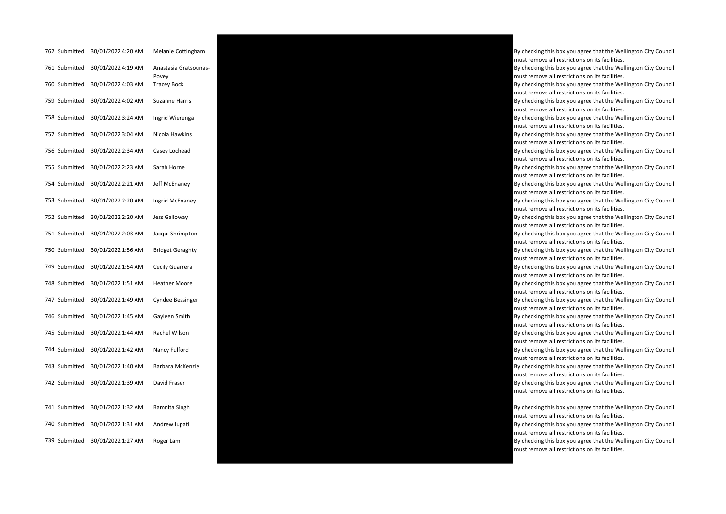| 762 Submitted | 30/01/2022 4:20 AM | Melanie Cottingham             |
|---------------|--------------------|--------------------------------|
| 761 Submitted | 30/01/2022 4:19 AM | Anastasia Gratsounas-<br>Povey |
| 760 Submitted | 30/01/2022 4:03 AM | <b>Tracey Bock</b>             |
| 759 Submitted | 30/01/2022 4:02 AM | <b>Suzanne Harris</b>          |
| 758 Submitted | 30/01/2022 3:24 AM | Ingrid Wierenga                |
| 757 Submitted | 30/01/2022 3:04 AM | Nicola Hawkins                 |
| 756 Submitted | 30/01/2022 2:34 AM | Casey Lochead                  |
| 755 Submitted | 30/01/2022 2:23 AM | Sarah Horne                    |
| 754 Submitted | 30/01/2022 2:21 AM | Jeff McEnaney                  |
| 753 Submitted | 30/01/2022 2:20 AM | Ingrid McEnaney                |
| 752 Submitted | 30/01/2022 2:20 AM | Jess Galloway                  |
| 751 Submitted | 30/01/2022 2:03 AM | Jacqui Shrimpton               |
| 750 Submitted | 30/01/2022 1:56 AM | <b>Bridget Geraghty</b>        |
| 749 Submitted | 30/01/2022 1:54 AM | Cecily Guarrera                |
| 748 Submitted | 30/01/2022 1:51 AM | <b>Heather Moore</b>           |
| 747 Submitted | 30/01/2022 1:49 AM | <b>Cyndee Bessinger</b>        |
| 746 Submitted | 30/01/2022 1:45 AM | Gayleen Smith                  |
| 745 Submitted | 30/01/2022 1:44 AM | Rachel Wilson                  |
| 744 Submitted | 30/01/2022 1:42 AM | Nancy Fulford                  |
| 743 Submitted | 30/01/2022 1:40 AM | Barbara McKenzie               |
| 742 Submitted | 30/01/2022 1:39 AM | David Fraser                   |
|               |                    |                                |
| 741 Submitted | 30/01/2022 1:32 AM | Ramnita Singh                  |
| 740 Submitted | 30/01/2022 1:31 AM | Andrew Iupati                  |
| 739 Submitted | 30/01/2022 1:27 AM | Roger Lam                      |



must remove all restrictions on its facilities. By checking this box you agree that the Wellington City Council must remove all restrictions on its facilities. By checking this box you agree that the Wellington City Council must remove all restrictions on its facilities. By checking this box you agree that the Wellington City Council must remove all restrictions on its facilities. By checking this box you agree that the Wellington City Council must remove all restrictions on its facilities. By checking this box you agree that the Wellington City Council must remove all restrictions on its facilities. By checking this box you agree that the Wellington City Council must remove all restrictions on its facilities. By checking this box you agree that the Wellington City Council must remove all restrictions on its facilities. By checking this box you agree that the Wellington City Council must remove all restrictions on its facilities. By checking this box you agree that the Wellington City Council must remove all restrictions on its facilities. By checking this box you agree that the Wellington City Council must remove all restrictions on its facilities. By checking this box you agree that the Wellington City Council must remove all restrictions on its facilities. By checking this box you agree that the Wellington City Council must remove all restrictions on its facilities. By checking this box you agree that the Wellington City Council must remove all restrictions on its facilities. By checking this box you agree that the Wellington City Council must remove all restrictions on its facilities. By checking this box you agree that the Wellington City Council must remove all restrictions on its facilities. By checking this box you agree that the Wellington City Council must remove all restrictions on its facilities. By checking this box you agree that the Wellington City Council must remove all restrictions on its facilities. By checking this box you agree that the Wellington City Council must remove all restrictions on its facilities. By checking this box you agree that the Wellington City Council must remove all restrictions on its facilities. By checking this box you agree that the Wellington City Council must remove all restrictions on its facilities.

By checking this box you agree that the Wellington City Council must remove all restrictions on its facilities.

By checking this box you agree that the Wellington City Council must remove all restrictions on its facilities.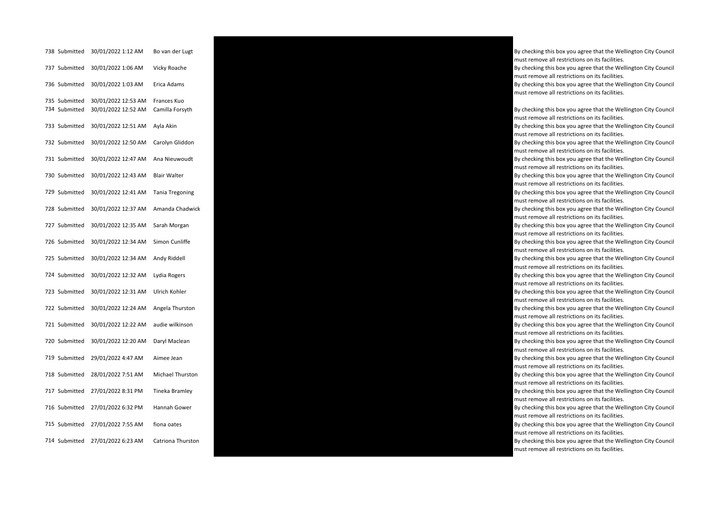| 738 Submitted                  | 30/01/2022 1:12 AM                         | Bo van der Lugt                |
|--------------------------------|--------------------------------------------|--------------------------------|
| 737 Submitted                  | 30/01/2022 1:06 AM                         | Vicky Roache                   |
| 736 Submitted                  | 30/01/2022 1:03 AM                         | Erica Adams                    |
| 735 Submitted<br>734 Submitted | 30/01/2022 12:53 AM<br>30/01/2022 12:52 AM | Frances Kuo<br>Camilla Forsyth |
| 733 Submitted                  | 30/01/2022 12:51 AM                        | Ayla Akin                      |
| 732 Submitted                  | 30/01/2022 12:50 AM                        | Carolyn Gliddon                |
| 731 Submitted                  | 30/01/2022 12:47 AM                        | Ana Nieuwoudt                  |
| 730 Submitted                  | 30/01/2022 12:43 AM                        | <b>Blair Walter</b>            |
| 729 Submitted                  | 30/01/2022 12:41 AM                        | Tania Tregoning                |
| 728 Submitted                  | 30/01/2022 12:37 AM                        | Amanda Chadwick                |
| 727 Submitted                  | 30/01/2022 12:35 AM                        | Sarah Morgan                   |
| 726 Submitted                  | 30/01/2022 12:34 AM                        | Simon Cunliffe                 |
| 725 Submitted                  | 30/01/2022 12:34 AM                        | Andy Riddell                   |
| 724 Submitted                  | 30/01/2022 12:32 AM                        | Lydia Rogers                   |
| 723 Submitted                  | 30/01/2022 12:31 AM                        | Ulrich Kohler                  |
| 722 Submitted                  | 30/01/2022 12:24 AM                        | Angela Thurston                |
| 721 Submitted                  | 30/01/2022 12:22 AM                        | audie wilkinson                |
| 720 Submitted                  | 30/01/2022 12:20 AM                        | Daryl Maclean                  |
| 719 Submitted                  | 29/01/2022 4:47 AM                         | Aimee Jean                     |
| 718 Submitted                  | 28/01/2022 7:51 AM                         | Michael Thurston               |
| 717 Submitted                  | 27/01/2022 8:31 PM                         | Tineka Bramley                 |
| 716 Submitted                  | 27/01/2022 6:32 PM                         | Hannah Gower                   |
| 715 Submitted                  | 27/01/2022 7:55 AM                         | fiona oates                    |
| 714 Submitted                  | 27/01/2022 6:23 AM                         | Catriona Thurston              |



must remove all restrictions on its facilities. By checking this box you agree that the Wellington City Council must remove all restrictions on its facilities. By checking this box you agree that the Wellington City Council must remove all restrictions on its facilities. By checking this box you agree that the Wellington City Council must remove all restrictions on its facilities. By checking this box you agree that the Wellington City Council must remove all restrictions on its facilities. By checking this box you agree that the Wellington City Council must remove all restrictions on its facilities. By checking this box you agree that the Wellington City Council must remove all restrictions on its facilities. By checking this box you agree that the Wellington City Council must remove all restrictions on its facilities. By checking this box you agree that the Wellington City Council must remove all restrictions on its facilities. By checking this box you agree that the Wellington City Council must remove all restrictions on its facilities. By checking this box you agree that the Wellington City Council must remove all restrictions on its facilities. By checking this box you agree that the Wellington City Council must remove all restrictions on its facilities. By checking this box you agree that the Wellington City Council must remove all restrictions on its facilities. By checking this box you agree that the Wellington City Council must remove all restrictions on its facilities. By checking this box you agree that the Wellington City Council must remove all restrictions on its facilities.

By checking this box you agree that the Wellington City Council

By checking this box you agree that the Wellington City Council must remove all restrictions on its facilities.

By checking this box you agree that the Wellington City Council must remove all restrictions on its facilities.

By checking this box you agree that the Wellington City Council must remove all restrictions on its facilities.

By checking this box you agree that the Wellington City Council must remove all restrictions on its facilities.

By checking this box you agree that the Wellington City Council must remove all restrictions on its facilities.

By checking this box you agree that the Wellington City Council must remove all restrictions on its facilities.

By checking this box you agree that the Wellington City Council must remove all restrictions on its facilities.

By checking this box you agree that the Wellington City Council must remove all restrictions on its facilities.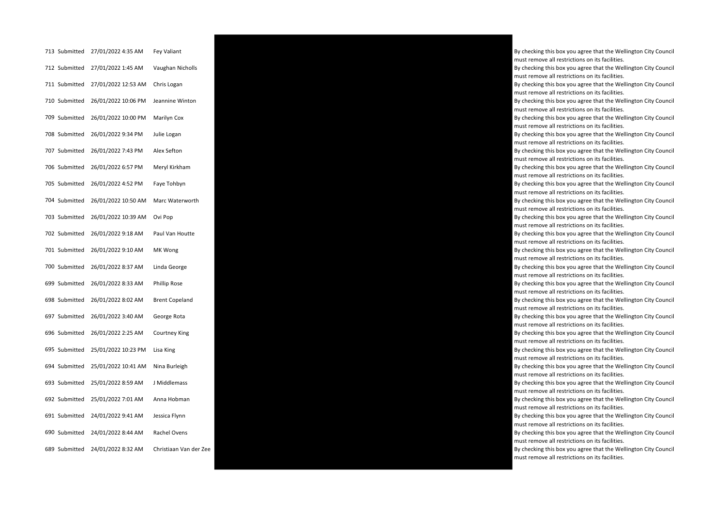| 713 Submitted | 27/01/2022 4:35 AM               | Fey Valiant           |
|---------------|----------------------------------|-----------------------|
|               | 712 Submitted 27/01/2022 1:45 AM | Vaughan Nicholls      |
| 711 Submitted | 27/01/2022 12:53 AM              | Chris Logan           |
| 710 Submitted | 26/01/2022 10:06 PM              | Jeannine Winton       |
| 709 Submitted | 26/01/2022 10:00 PM              | Marilyn Cox           |
| 708 Submitted | 26/01/2022 9:34 PM               | Julie Logan           |
| 707 Submitted | 26/01/2022 7:43 PM               | Alex Sefton           |
| 706 Submitted | 26/01/2022 6:57 PM               | Meryl Kirkham         |
| 705 Submitted | 26/01/2022 4:52 PM               | Faye Tohbyn           |
| 704 Submitted | 26/01/2022 10:50 AM              | Marc Waterworth       |
| 703 Submitted | 26/01/2022 10:39 AM              | Ovi Pop               |
| 702 Submitted | 26/01/2022 9:18 AM               | Paul Van Houtte       |
| 701 Submitted | 26/01/2022 9:10 AM               | MK Wong               |
| 700 Submitted | 26/01/2022 8:37 AM               | Linda George          |
| 699 Submitted | 26/01/2022 8:33 AM               | Phillip Rose          |
| 698 Submitted | 26/01/2022 8:02 AM               | <b>Brent Copeland</b> |
| 697 Submitted | 26/01/2022 3:40 AM               | George Rota           |
| 696 Submitted | 26/01/2022 2:25 AM               | Courtney King         |
| 695 Submitted | 25/01/2022 10:23 PM              | Lisa King             |
| 694 Submitted | 25/01/2022 10:41 AM              | Nina Burleigh         |
| 693 Submitted | 25/01/2022 8:59 AM               | J Middlemass          |
| 692 Submitted | 25/01/2022 7:01 AM               | Anna Hobman           |
| 691 Submitted | 24/01/2022 9:41 AM               | Jessica Flynn         |
| 690 Submitted | 24/01/2022 8:44 AM               | Rachel Ovens          |
| 689 Submitted | 24/01/2022 8:32 AM               | Christiaan Van der    |



By checking this box you agree that the Wellington City Council must remove all restrictions on its facilities. By checking this box you agree that the Wellington City Council must remove all restrictions on its facilities. By checking this box you agree that the Wellington City Council must remove all restrictions on its facilities. By checking this box you agree that the Wellington City Council must remove all restrictions on its facilities. By checking this box you agree that the Wellington City Council must remove all restrictions on its facilities. By checking this box you agree that the Wellington City Council must remove all restrictions on its facilities. By checking this box you agree that the Wellington City Council must remove all restrictions on its facilities. By checking this box you agree that the Wellington City Council must remove all restrictions on its facilities. By checking this box you agree that the Wellington City Council must remove all restrictions on its facilities. By checking this box you agree that the Wellington City Council must remove all restrictions on its facilities. By checking this box you agree that the Wellington City Council must remove all restrictions on its facilities. By checking this box you agree that the Wellington City Council must remove all restrictions on its facilities. By checking this box you agree that the Wellington City Council must remove all restrictions on its facilities. By checking this box you agree that the Wellington City Council must remove all restrictions on its facilities. By checking this box you agree that the Wellington City Council must remove all restrictions on its facilities. By checking this box you agree that the Wellington City Council must remove all restrictions on its facilities. By checking this box you agree that the Wellington City Council must remove all restrictions on its facilities. By checking this box you agree that the Wellington City Council must remove all restrictions on its facilities. By checking this box you agree that the Wellington City Council must remove all restrictions on its facilities. By checking this box you agree that the Wellington City Council must remove all restrictions on its facilities. By checking this box you agree that the Wellington City Council must remove all restrictions on its facilities. By checking this box you agree that the Wellington City Council must remove all restrictions on its facilities. must remove all restrictions on its facilities.

By checking this box you agree that the Wellington City Council

By checking this box you agree that the Wellington City Council

must remove all restrictions on its facilities.

must remove all restrictions on its facilities.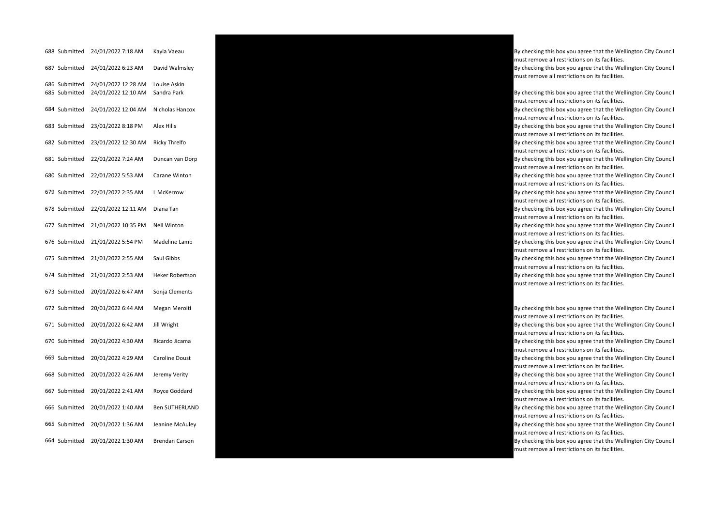|     | 688 Submitted                  | 24/01/2022 7:18 AM                         | Kayla Vaeau                 |
|-----|--------------------------------|--------------------------------------------|-----------------------------|
|     | 687 Submitted                  | 24/01/2022 6:23 AM                         | David Walmsley              |
|     | 686 Submitted<br>685 Submitted | 24/01/2022 12:28 AM<br>24/01/2022 12:10 AM | Louise Askin<br>Sandra Park |
|     | 684 Submitted                  | 24/01/2022 12:04 AM                        | Nicholas Hancox             |
|     | 683 Submitted                  | 23/01/2022 8:18 PM                         | <b>Alex Hills</b>           |
|     | 682 Submitted                  | 23/01/2022 12:30 AM                        | <b>Ricky Threlfo</b>        |
|     | 681 Submitted                  | 22/01/2022 7:24 AM                         | Duncan van Dorp             |
|     | 680 Submitted                  | 22/01/2022 5:53 AM                         | Carane Winton               |
|     | 679 Submitted                  | 22/01/2022 2:35 AM                         | L McKerrow                  |
|     | 678 Submitted                  | 22/01/2022 12:11 AM                        | Diana Tan                   |
|     | 677 Submitted                  | 21/01/2022 10:35 PM                        | <b>Nell Winton</b>          |
|     | 676 Submitted                  | 21/01/2022 5:54 PM                         | Madeline Lamb               |
|     | 675 Submitted                  | 21/01/2022 2:55 AM                         | Saul Gibbs                  |
|     | 674 Submitted                  | 21/01/2022 2:53 AM                         | Heker Robertson             |
|     | 673 Submitted                  | 20/01/2022 6:47 AM                         | Sonja Clements              |
|     | 672 Submitted                  | 20/01/2022 6:44 AM                         | Megan Meroiti               |
|     | 671 Submitted                  | 20/01/2022 6:42 AM                         | Jill Wright                 |
|     | 670 Submitted                  | 20/01/2022 4:30 AM                         | Ricardo Jicama              |
|     | 669 Submitted                  | 20/01/2022 4:29 AM                         | Caroline Doust              |
|     | 668 Submitted                  | 20/01/2022 4:26 AM                         | Jeremy Verity               |
|     | 667 Submitted                  | 20/01/2022 2:41 AM                         | Royce Goddard               |
|     | 666 Submitted                  | 20/01/2022 1:40 AM                         | <b>Ben SUTHERLAND</b>       |
| 665 | Submitted                      | 20/01/2022 1:36 AM                         | Jeanine McAuley             |
|     | 664 Submitted                  | 20/01/2022 1:30 AM                         | <b>Brendan Carson</b>       |



By checking this box you agree that the Wellington City Council must remove all restrictions on its facilities. By checking this box you agree that the Wellington City Council must remove all restrictions on its facilities.

By checking this box you agree that the Wellington City Council must remove all restrictions on its facilities.

By checking this box you agree that the Wellington City Council must remove all restrictions on its facilities.

By checking this box you agree that the Wellington City Council must remove all restrictions on its facilities.

By checking this box you agree that the Wellington City Council must remove all restrictions on its facilities.

By checking this box you agree that the Wellington City Council must remove all restrictions on its facilities.

By checking this box you agree that the Wellington City Council must remove all restrictions on its facilities.

By checking this box you agree that the Wellington City Council must remove all restrictions on its facilities.

By checking this box you agree that the Wellington City Council must remove all restrictions on its facilities.

By checking this box you agree that the Wellington City Council must remove all restrictions on its facilities.

By checking this box you agree that the Wellington City Council must remove all restrictions on its facilities.

By checking this box you agree that the Wellington City Council must remove all restrictions on its facilities.

By checking this box you agree that the Wellington City Council must remove all restrictions on its facilities.

By checking this box you agree that the Wellington City Council must remove all restrictions on its facilities.

By checking this box you agree that the Wellington City Council must remove all restrictions on its facilities.

By checking this box you agree that the Wellington City Council must remove all restrictions on its facilities.

By checking this box you agree that the Wellington City Council must remove all restrictions on its facilities.

By checking this box you agree that the Wellington City Council must remove all restrictions on its facilities.

By checking this box you agree that the Wellington City Council must remove all restrictions on its facilities.

By checking this box you agree that the Wellington City Council must remove all restrictions on its facilities.

By checking this box you agree that the Wellington City Council must remove all restrictions on its facilities.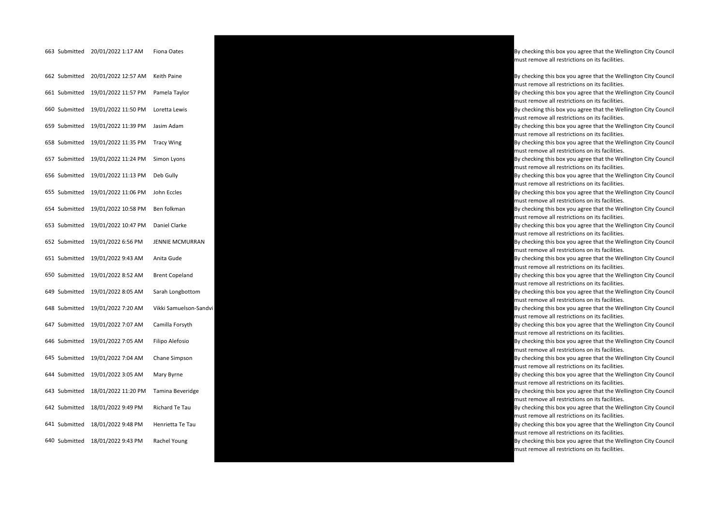| 662 Submitted | 20/01/2022 12:57 AM | <b>Keith Paine</b>    |
|---------------|---------------------|-----------------------|
| 661 Submitted | 19/01/2022 11:57 PM | Pamela Taylor         |
| 660 Submitted | 19/01/2022 11:50 PM | Loretta Lewis         |
| 659 Submitted | 19/01/2022 11:39 PM | Jasim Adam            |
| 658 Submitted | 19/01/2022 11:35 PM | <b>Tracy Wing</b>     |
| 657 Submitted | 19/01/2022 11:24 PM | Simon Lyons           |
| 656 Submitted | 19/01/2022 11:13 PM | Deb Gully             |
| 655 Submitted | 19/01/2022 11:06 PM | John Eccles           |
| 654 Submitted | 19/01/2022 10:58 PM | Ben folkman           |
| 653 Submitted | 19/01/2022 10:47 PM | Daniel Clarke         |
| 652 Submitted | 19/01/2022 6:56 PM  | <b>JENNIE MCMURRA</b> |
| 651 Submitted | 19/01/2022 9:43 AM  | Anita Gude            |
| 650 Submitted | 19/01/2022 8:52 AM  | <b>Brent Copeland</b> |
| 649 Submitted | 19/01/2022 8:05 AM  | Sarah Longbottom      |
| 648 Submitted | 19/01/2022 7:20 AM  | Vikki Samuelson-S     |
| 647 Submitted | 19/01/2022 7:07 AM  | Camilla Forsyth       |
| 646 Submitted | 19/01/2022 7:05 AM  | Filipo Alefosio       |
| 645 Submitted | 19/01/2022 7:04 AM  | Chane Simpson         |
| 644 Submitted | 19/01/2022 3:05 AM  | Mary Byrne            |
| 643 Submitted | 18/01/2022 11:20 PM | Tamina Beveridge      |
| 642 Submitted | 18/01/2022 9:49 PM  | Richard Te Tau        |
| 641 Submitted | 18/01/2022 9:48 PM  | Henrietta Te Tau      |
| 640 Submitted | 18/01/2022 9:43 PM  | Rachel Young          |



must remove all restrictions on its facilities.

By checking this box you agree that the Wellington City Council must remove all restrictions on its facilities.

By checking this box you agree that the Wellington City Council must remove all restrictions on its facilities.

By checking this box you agree that the Wellington City Council must remove all restrictions on its facilities.

By checking this box you agree that the Wellington City Council must remove all restrictions on its facilities.

By checking this box you agree that the Wellington City Council must remove all restrictions on its facilities.

By checking this box you agree that the Wellington City Council must remove all restrictions on its facilities.

By checking this box you agree that the Wellington City Council must remove all restrictions on its facilities.

By checking this box you agree that the Wellington City Council must remove all restrictions on its facilities.

By checking this box you agree that the Wellington City Council must remove all restrictions on its facilities.

By checking this box you agree that the Wellington City Council must remove all restrictions on its facilities.

must remove all restrictions on its facilities.

By checking this box you agree that the Wellington City Council must remove all restrictions on its facilities.

By checking this box you agree that the Wellington City Council must remove all restrictions on its facilities.

By checking this box you agree that the Wellington City Council must remove all restrictions on its facilities.

must remove all restrictions on its facilities.

By checking this box you agree that the Wellington City Council must remove all restrictions on its facilities.

By checking this box you agree that the Wellington City Council must remove all restrictions on its facilities.

By checking this box you agree that the Wellington City Council must remove all restrictions on its facilities.

By checking this box you agree that the Wellington City Council must remove all restrictions on its facilities.

By checking this box you agree that the Wellington City Council must remove all restrictions on its facilities.

By checking this box you agree that the Wellington City Council must remove all restrictions on its facilities.

By checking this box you agree that the Wellington City Council must remove all restrictions on its facilities.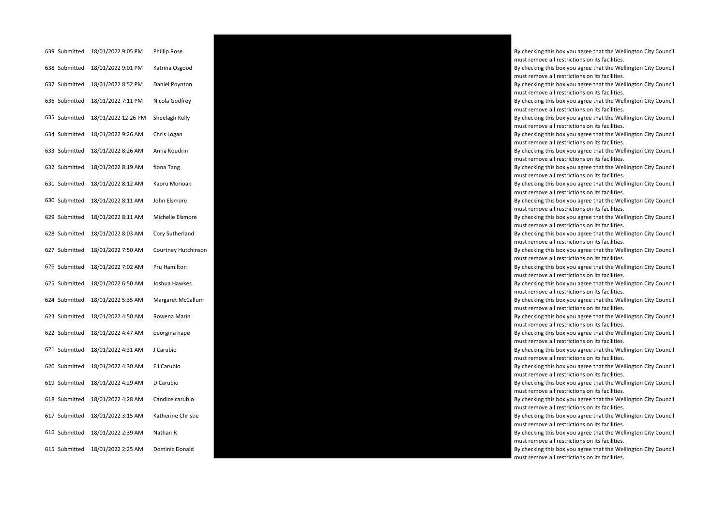| 639 Submitted | 18/01/2022 9:05 PM  | <b>Phillip Rose</b> |
|---------------|---------------------|---------------------|
| 638 Submitted | 18/01/2022 9:01 PM  | Katrina Osgood      |
| 637 Submitted | 18/01/2022 8:52 PM  | Daniel Poynton      |
| 636 Submitted | 18/01/2022 7:11 PM  | Nicola Godfrey      |
| 635 Submitted | 18/01/2022 12:26 PM | Sheelagh Kelly      |
| 634 Submitted | 18/01/2022 9:26 AM  | Chris Logan         |
| 633 Submitted | 18/01/2022 8:26 AM  | Anna Koudrin        |
| 632 Submitted | 18/01/2022 8:19 AM  | fiona Tang          |
| 631 Submitted | 18/01/2022 8:12 AM  | Kaoru Morioak       |
| 630 Submitted | 18/01/2022 8:11 AM  | John Elsmore        |
| 629 Submitted | 18/01/2022 8:11 AM  | Michelle Elsmore    |
| 628 Submitted | 18/01/2022 8:03 AM  | Cory Sutherland     |
| 627 Submitted | 18/01/2022 7:50 AM  | Courtney Hutchins   |
| 626 Submitted | 18/01/2022 7:02 AM  | Pru Hamilton        |
| 625 Submitted | 18/01/2022 6:50 AM  | Joshua Hawkes       |
| 624 Submitted | 18/01/2022 5:35 AM  | Margaret McCallun   |
| 623 Submitted | 18/01/2022 4:50 AM  | Rowena Marin        |
| 622 Submitted | 18/01/2022 4:47 AM  | oeorgina hape       |
| 621 Submitted | 18/01/2022 4:31 AM  | J Carubio           |
| 620 Submitted | 18/01/2022 4:30 AM  | Eli Carubio         |
| 619 Submitted | 18/01/2022 4:29 AM  | D Carubio           |
| 618 Submitted | 18/01/2022 4:28 AM  | Candice carubio     |
| 617 Submitted | 18/01/2022 3:15 AM  | Katherine Christie  |
| 616 Submitted | 18/01/2022 2:39 AM  | Nathan R            |
| 615 Submitted | 18/01/2022 2:25 AM  | Dominic Donald      |



By checking this box you agree that the Wellington City Council must remove all restrictions on its facilities. By checking this box you agree that the Wellington City Council must remove all restrictions on its facilities.

By checking this box you agree that the Wellington City Council must remove all restrictions on its facilities.

By checking this box you agree that the Wellington City Council must remove all restrictions on its facilities.

By checking this box you agree that the Wellington City Council must remove all restrictions on its facilities.

By checking this box you agree that the Wellington City Council must remove all restrictions on its facilities.

By checking this box you agree that the Wellington City Council must remove all restrictions on its facilities.

By checking this box you agree that the Wellington City Council must remove all restrictions on its facilities.

By checking this box you agree that the Wellington City Council must remove all restrictions on its facilities.

By checking this box you agree that the Wellington City Council must remove all restrictions on its facilities.

By checking this box you agree that the Wellington City Council must remove all restrictions on its facilities.

By checking this box you agree that the Wellington City Council must remove all restrictions on its facilities.

must remove all restrictions on its facilities.

By checking this box you agree that the Wellington City Council must remove all restrictions on its facilities.

By checking this box you agree that the Wellington City Council must remove all restrictions on its facilities.

must remove all restrictions on its facilities.

By checking this box you agree that the Wellington City Council must remove all restrictions on its facilities.

By checking this box you agree that the Wellington City Council must remove all restrictions on its facilities.

By checking this box you agree that the Wellington City Council must remove all restrictions on its facilities.

By checking this box you agree that the Wellington City Council must remove all restrictions on its facilities.

By checking this box you agree that the Wellington City Council must remove all restrictions on its facilities.

By checking this box you agree that the Wellington City Council must remove all restrictions on its facilities.

By checking this box you agree that the Wellington City Council must remove all restrictions on its facilities.

By checking this box you agree that the Wellington City Council must remove all restrictions on its facilities.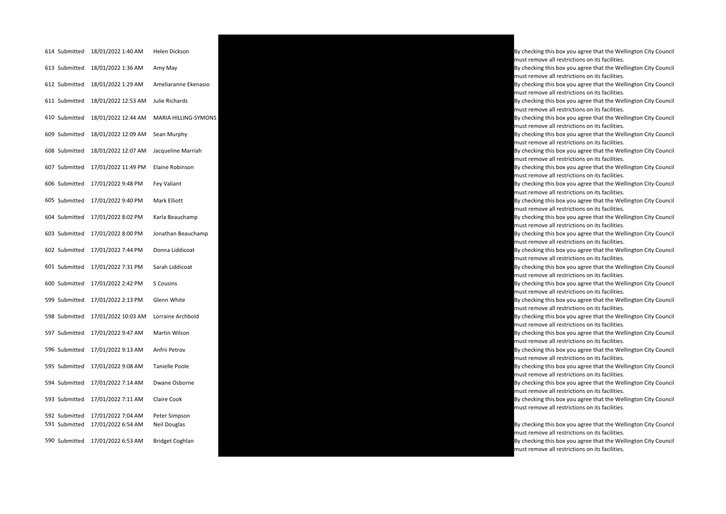| 614 Submitted                  | 18/01/2022 1:40 AM                       | Helen Dickson                 |
|--------------------------------|------------------------------------------|-------------------------------|
| 613 Submitted                  | 18/01/2022 1:36 AM                       | Amy May                       |
| 612 Submitted                  | 18/01/2022 1:29 AM                       | Ameliaranne Ekenasio          |
| 611 Submitted                  | 18/01/2022 12:53 AM                      | Julie Richards                |
| 610 Submitted                  | 18/01/2022 12:44 AM                      | MARIA HILLING-SYMO            |
| 609 Submitted                  | 18/01/2022 12:09 AM                      | Sean Murphy                   |
| 608 Submitted                  | 18/01/2022 12:07 AM                      | Jacqueline Marriah            |
| 607 Submitted                  | 17/01/2022 11:49 PM                      | Elaine Robinson               |
| 606 Submitted                  | 17/01/2022 9:48 PM                       | Fey Valiant                   |
| 605 Submitted                  | 17/01/2022 9:40 PM                       | Mark Elliott                  |
| 604 Submitted                  | 17/01/2022 8:02 PM                       | Karla Beauchamp               |
| 603 Submitted                  | 17/01/2022 8:00 PM                       | Jonathan Beauchamp            |
| 602 Submitted                  | 17/01/2022 7:44 PM                       | Donna Liddicoat               |
| 601 Submitted                  | 17/01/2022 7:31 PM                       | Sarah Liddicoat               |
| 600 Submitted                  | 17/01/2022 2:42 PM                       | S Cousins                     |
| 599 Submitted                  | 17/01/2022 2:13 PM                       | Glenn White                   |
| 598 Submitted                  | 17/01/2022 10:03 AM                      | Lorraine Archbold             |
| 597 Submitted                  | 17/01/2022 9:47 AM                       | Martin Wilson                 |
| 596 Submitted                  | 17/01/2022 9:13 AM                       | Anfrii Petrov                 |
| 595 Submitted                  | 17/01/2022 9:08 AM                       | Tanielle Poole                |
| 594 Submitted                  | 17/01/2022 7:14 AM                       | Dwane Osborne                 |
| 593 Submitted                  | 17/01/2022 7:11 AM                       | Claire Cook                   |
| 592 Submitted<br>591 Submitted | 17/01/2022 7:04 AM<br>17/01/2022 6:54 AM | Peter Simpson<br>Neil Douglas |
| 590 Submitted                  | 17/01/2022 6:53 AM                       | <b>Bridget Coghlan</b>        |
|                                |                                          |                               |



By checking this box you agree that the Wellington City Council must remove all restrictions on its facilities. By checking this box you agree that the Wellington City Council must remove all restrictions on its facilities. By checking this box you agree that the Wellington City Council must remove all restrictions on its facilities. must remove all restrictions on its facilities. By checking this box you agree that the Wellington City Council must remove all restrictions on its facilities. By checking this box you agree that the Wellington City Council must remove all restrictions on its facilities. By checking this box you agree that the Wellington City Council must remove all restrictions on its facilities. By checking this box you agree that the Wellington City Council must remove all restrictions on its facilities.

By checking this box you agree that the Wellington City Council must remove all restrictions on its facilities.

By checking this box you agree that the Wellington City Council must remove all restrictions on its facilities.

By checking this box you agree that the Wellington City Council must remove all restrictions on its facilities.

By checking this box you agree that the Wellington City Council must remove all restrictions on its facilities.

By checking this box you agree that the Wellington City Council must remove all restrictions on its facilities.

By checking this box you agree that the Wellington City Council must remove all restrictions on its facilities.

By checking this box you agree that the Wellington City Council must remove all restrictions on its facilities.

By checking this box you agree that the Wellington City Council must remove all restrictions on its facilities.

By checking this box you agree that the Wellington City Council must remove all restrictions on its facilities.

By checking this box you agree that the Wellington City Council must remove all restrictions on its facilities.

By checking this box you agree that the Wellington City Council must remove all restrictions on its facilities.

By checking this box you agree that the Wellington City Council must remove all restrictions on its facilities.

By checking this box you agree that the Wellington City Council must remove all restrictions on its facilities.

By checking this box you agree that the Wellington City Council must remove all restrictions on its facilities. By checking this box you agree that the Wellington City Council must remove all restrictions on its facilities.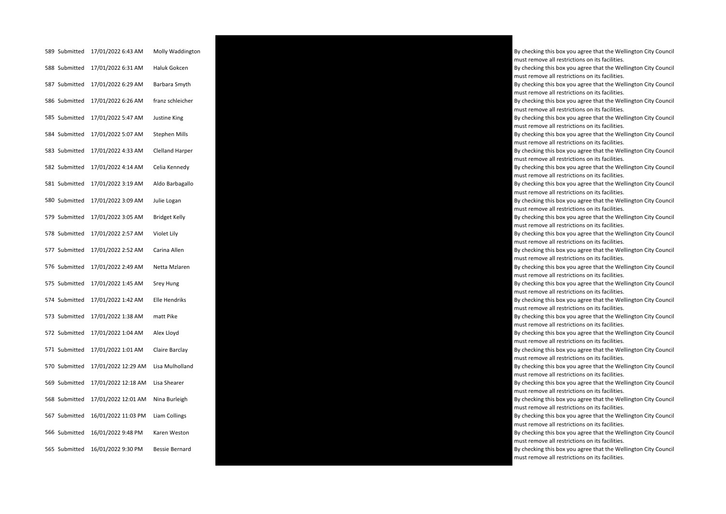| 589 Submitted | 17/01/2022 6:43 AM  | Molly Waddington       |
|---------------|---------------------|------------------------|
| 588 Submitted | 17/01/2022 6:31 AM  | Haluk Gokcen           |
| 587 Submitted | 17/01/2022 6:29 AM  | Barbara Smyth          |
| 586 Submitted | 17/01/2022 6:26 AM  | franz schleicher       |
| 585 Submitted | 17/01/2022 5:47 AM  | Justine King           |
| 584 Submitted | 17/01/2022 5:07 AM  | <b>Stephen Mills</b>   |
| 583 Submitted | 17/01/2022 4:33 AM  | <b>Clelland Harper</b> |
| 582 Submitted | 17/01/2022 4:14 AM  | Celia Kennedy          |
| 581 Submitted | 17/01/2022 3:19 AM  | Aldo Barbagallo        |
| 580 Submitted | 17/01/2022 3:09 AM  | Julie Logan            |
| 579 Submitted | 17/01/2022 3:05 AM  | <b>Bridget Kelly</b>   |
| 578 Submitted | 17/01/2022 2:57 AM  | Violet Lily            |
| 577 Submitted | 17/01/2022 2:52 AM  | Carina Allen           |
| 576 Submitted | 17/01/2022 2:49 AM  | Netta Mzlaren          |
| 575 Submitted | 17/01/2022 1:45 AM  | Srey Hung              |
| 574 Submitted | 17/01/2022 1:42 AM  | Elle Hendriks          |
| 573 Submitted | 17/01/2022 1:38 AM  | matt Pike              |
| 572 Submitted | 17/01/2022 1:04 AM  | Alex Lloyd             |
| 571 Submitted | 17/01/2022 1:01 AM  | Claire Barclay         |
| 570 Submitted | 17/01/2022 12:29 AM | Lisa Mulholland        |
| 569 Submitted | 17/01/2022 12:18 AM | Lisa Shearer           |
| 568 Submitted | 17/01/2022 12:01 AM | Nina Burleigh          |
| 567 Submitted | 16/01/2022 11:03 PM | Liam Collings          |
| 566 Submitted | 16/01/2022 9:48 PM  | Karen Weston           |
| 565 Submitted | 16/01/2022 9:30 PM  | <b>Bessie Bernard</b>  |



must remove all restrictions on its facilities. By checking this box you agree that the Wellington City Council must remove all restrictions on its facilities. By checking this box you agree that the Wellington City Council must remove all restrictions on its facilities. By checking this box you agree that the Wellington City Council must remove all restrictions on its facilities. By checking this box you agree that the Wellington City Council must remove all restrictions on its facilities. By checking this box you agree that the Wellington City Council must remove all restrictions on its facilities. By checking this box you agree that the Wellington City Council must remove all restrictions on its facilities. By checking this box you agree that the Wellington City Council must remove all restrictions on its facilities. By checking this box you agree that the Wellington City Council must remove all restrictions on its facilities. By checking this box you agree that the Wellington City Council must remove all restrictions on its facilities. By checking this box you agree that the Wellington City Council must remove all restrictions on its facilities. By checking this box you agree that the Wellington City Council must remove all restrictions on its facilities. By checking this box you agree that the Wellington City Council must remove all restrictions on its facilities. By checking this box you agree that the Wellington City Council must remove all restrictions on its facilities. By checking this box you agree that the Wellington City Council must remove all restrictions on its facilities. By checking this box you agree that the Wellington City Council must remove all restrictions on its facilities. By checking this box you agree that the Wellington City Council must remove all restrictions on its facilities. By checking this box you agree that the Wellington City Council must remove all restrictions on its facilities. By checking this box you agree that the Wellington City Council must remove all restrictions on its facilities. By checking this box you agree that the Wellington City Council must remove all restrictions on its facilities. By checking this box you agree that the Wellington City Council must remove all restrictions on its facilities. By checking this box you agree that the Wellington City Council must remove all restrictions on its facilities. By checking this box you agree that the Wellington City Council must remove all restrictions on its facilities. By checking this box you agree that the Wellington City Council must remove all restrictions on its facilities.

By checking this box you agree that the Wellington City Council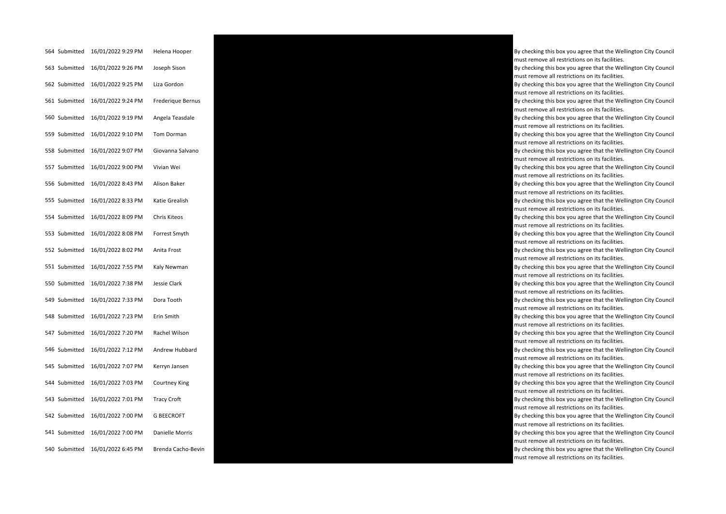| 564 Submitted | 16/01/2022 9:29 PM | Helena Hooper       |
|---------------|--------------------|---------------------|
| 563 Submitted | 16/01/2022 9:26 PM | Joseph Sison        |
| 562 Submitted | 16/01/2022 9:25 PM | Liza Gordon         |
| 561 Submitted | 16/01/2022 9:24 PM | Frederique Bernus   |
| 560 Submitted | 16/01/2022 9:19 PM | Angela Teasdale     |
| 559 Submitted | 16/01/2022 9:10 PM | Tom Dorman          |
| 558 Submitted | 16/01/2022 9:07 PM | Giovanna Salvano    |
| 557 Submitted | 16/01/2022 9:00 PM | Vivian Wei          |
| 556 Submitted | 16/01/2022 8:43 PM | Alison Baker        |
| 555 Submitted | 16/01/2022 8:33 PM | Katie Grealish      |
| 554 Submitted | 16/01/2022 8:09 PM | <b>Chris Kiteos</b> |
| 553 Submitted | 16/01/2022 8:08 PM | Forrest Smyth       |
| 552 Submitted | 16/01/2022 8:02 PM | Anita Frost         |
| 551 Submitted | 16/01/2022 7:55 PM | Kaly Newman         |
| 550 Submitted | 16/01/2022 7:38 PM | Jessie Clark        |
| 549 Submitted | 16/01/2022 7:33 PM | Dora Tooth          |
| 548 Submitted | 16/01/2022 7:23 PM | Erin Smith          |
| 547 Submitted | 16/01/2022 7:20 PM | Rachel Wilson       |
| 546 Submitted | 16/01/2022 7:12 PM | Andrew Hubbard      |
| 545 Submitted | 16/01/2022 7:07 PM | Kerryn Jansen       |
| 544 Submitted | 16/01/2022 7:03 PM | Courtney King       |
| 543 Submitted | 16/01/2022 7:01 PM | <b>Tracy Croft</b>  |
| 542 Submitted | 16/01/2022 7:00 PM | <b>G BEECROFT</b>   |
| 541 Submitted | 16/01/2022 7:00 PM | Danielle Morris     |
| 540 Submitted | 16/01/2022 6:45 PM | Brenda Cacho-Bevir  |



By checking this box you agree that the Wellington City Council must remove all restrictions on its facilities. By checking this box you agree that the Wellington City Council must remove all restrictions on its facilities. By checking this box you agree that the Wellington City Council must remove all restrictions on its facilities. By checking this box you agree that the Wellington City Council must remove all restrictions on its facilities. By checking this box you agree that the Wellington City Council must remove all restrictions on its facilities. By checking this box you agree that the Wellington City Council must remove all restrictions on its facilities. By checking this box you agree that the Wellington City Council must remove all restrictions on its facilities. By checking this box you agree that the Wellington City Council must remove all restrictions on its facilities. By checking this box you agree that the Wellington City Council must remove all restrictions on its facilities. By checking this box you agree that the Wellington City Council must remove all restrictions on its facilities. By checking this box you agree that the Wellington City Council must remove all restrictions on its facilities. By checking this box you agree that the Wellington City Council must remove all restrictions on its facilities. By checking this box you agree that the Wellington City Council must remove all restrictions on its facilities. By checking this box you agree that the Wellington City Council must remove all restrictions on its facilities. By checking this box you agree that the Wellington City Council must remove all restrictions on its facilities. By checking this box you agree that the Wellington City Council must remove all restrictions on its facilities. By checking this box you agree that the Wellington City Council must remove all restrictions on its facilities. By checking this box you agree that the Wellington City Council must remove all restrictions on its facilities. By checking this box you agree that the Wellington City Council must remove all restrictions on its facilities. By checking this box you agree that the Wellington City Council must remove all restrictions on its facilities. By checking this box you agree that the Wellington City Council must remove all restrictions on its facilities. By checking this box you agree that the Wellington City Council must remove all restrictions on its facilities. By checking this box you agree that the Wellington City Council must remove all restrictions on its facilities. By checking this box you agree that the Wellington City Council must remove all restrictions on its facilities.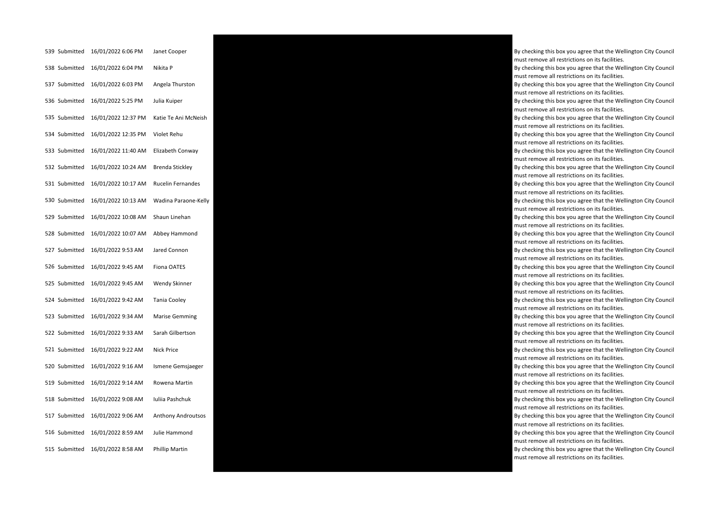| 539 Submitted | 16/01/2022 6:06 PM  | Janet Cooper              |
|---------------|---------------------|---------------------------|
| 538 Submitted | 16/01/2022 6:04 PM  | Nikita P                  |
| 537 Submitted | 16/01/2022 6:03 PM  | Angela Thurston           |
| 536 Submitted | 16/01/2022 5:25 PM  | Julia Kuiper              |
| 535 Submitted | 16/01/2022 12:37 PM | Katie Te Ani McNeish      |
| 534 Submitted | 16/01/2022 12:35 PM | Violet Rehu               |
| 533 Submitted | 16/01/2022 11:40 AM | Elizabeth Conway          |
| 532 Submitted | 16/01/2022 10:24 AM | Brenda Stickley           |
| 531 Submitted | 16/01/2022 10:17 AM | <b>Rucelin Fernandes</b>  |
| 530 Submitted | 16/01/2022 10:13 AM | Wadina Paraone-Kelly      |
| 529 Submitted | 16/01/2022 10:08 AM | Shaun Linehan             |
| 528 Submitted | 16/01/2022 10:07 AM | Abbey Hammond             |
| 527 Submitted | 16/01/2022 9:53 AM  | Jared Connon              |
| 526 Submitted | 16/01/2022 9:45 AM  | Fiona OATES               |
| 525 Submitted | 16/01/2022 9:45 AM  | <b>Wendy Skinner</b>      |
| 524 Submitted | 16/01/2022 9:42 AM  | <b>Tania Cooley</b>       |
| 523 Submitted | 16/01/2022 9:34 AM  | <b>Marise Gemming</b>     |
| 522 Submitted | 16/01/2022 9:33 AM  | Sarah Gilbertson          |
| 521 Submitted | 16/01/2022 9:22 AM  | <b>Nick Price</b>         |
| 520 Submitted | 16/01/2022 9:16 AM  | Ismene Gemsjaeger         |
| 519 Submitted | 16/01/2022 9:14 AM  | Rowena Martin             |
| 518 Submitted | 16/01/2022 9:08 AM  | Iuliia Pashchuk           |
| 517 Submitted | 16/01/2022 9:06 AM  | <b>Anthony Androutsos</b> |
| 516 Submitted | 16/01/2022 8:59 AM  | Julie Hammond             |
| 515 Submitted | 16/01/2022 8:58 AM  | Phillip Martin            |



By checking this box you agree that the Wellington City Council must remove all restrictions on its facilities. By checking this box you agree that the Wellington City Council must remove all restrictions on its facilities. By checking this box you agree that the Wellington City Council must remove all restrictions on its facilities. By checking this box you agree that the Wellington City Council must remove all restrictions on its facilities. By checking this box you agree that the Wellington City Council must remove all restrictions on its facilities. By checking this box you agree that the Wellington City Council must remove all restrictions on its facilities. By checking this box you agree that the Wellington City Council must remove all restrictions on its facilities. By checking this box you agree that the Wellington City Council must remove all restrictions on its facilities. By checking this box you agree that the Wellington City Council must remove all restrictions on its facilities. By checking this box you agree that the Wellington City Council must remove all restrictions on its facilities. By checking this box you agree that the Wellington City Council must remove all restrictions on its facilities. By checking this box you agree that the Wellington City Council must remove all restrictions on its facilities. By checking this box you agree that the Wellington City Council must remove all restrictions on its facilities. By checking this box you agree that the Wellington City Council must remove all restrictions on its facilities. By checking this box you agree that the Wellington City Council must remove all restrictions on its facilities. By checking this box you agree that the Wellington City Council must remove all restrictions on its facilities. By checking this box you agree that the Wellington City Council must remove all restrictions on its facilities. By checking this box you agree that the Wellington City Council must remove all restrictions on its facilities. By checking this box you agree that the Wellington City Council must remove all restrictions on its facilities. By checking this box you agree that the Wellington City Council must remove all restrictions on its facilities. By checking this box you agree that the Wellington City Council must remove all restrictions on its facilities. By checking this box you agree that the Wellington City Council must remove all restrictions on its facilities. By checking this box you agree that the Wellington City Council must remove all restrictions on its facilities.

By checking this box you agree that the Wellington City Council must remove all restrictions on its facilities.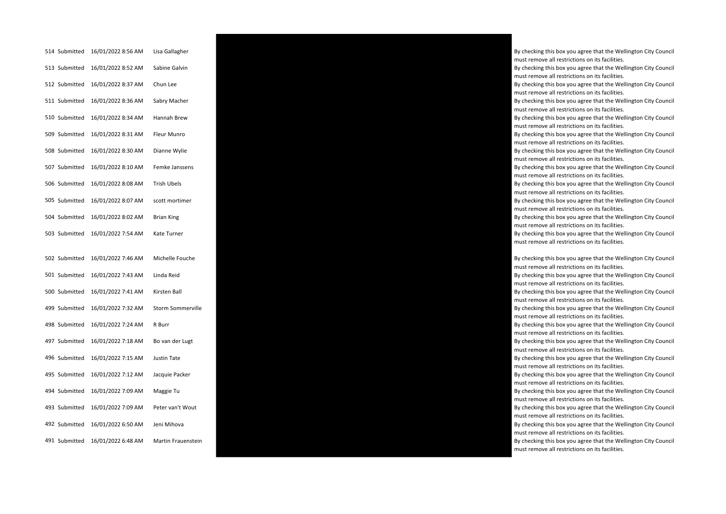| 514 Submitted | 16/01/2022 8:56 AM | Lisa Gallagher          |
|---------------|--------------------|-------------------------|
| 513 Submitted | 16/01/2022 8:52 AM | Sabine Galvin           |
| 512 Submitted | 16/01/2022 8:37 AM | Chun Lee                |
| 511 Submitted | 16/01/2022 8:36 AM | Sabry Macher            |
| 510 Submitted | 16/01/2022 8:34 AM | Hannah Brew             |
| 509 Submitted | 16/01/2022 8:31 AM | Fleur Munro             |
| 508 Submitted | 16/01/2022 8:30 AM | Dianne Wylie            |
| 507 Submitted | 16/01/2022 8:10 AM | Femke Janssens          |
| 506 Submitted | 16/01/2022 8:08 AM | <b>Trish Ubels</b>      |
| 505 Submitted | 16/01/2022 8:07 AM | scott mortimer          |
| 504 Submitted | 16/01/2022 8:02 AM | <b>Brian King</b>       |
| 503 Submitted | 16/01/2022 7:54 AM | Kate Turner             |
|               |                    |                         |
| 502 Submitted | 16/01/2022 7:46 AM | Michelle Fouche         |
| 501 Submitted | 16/01/2022 7:43 AM | Linda Reid              |
| 500 Submitted | 16/01/2022 7:41 AM | Kirsten Ball            |
| 499 Submitted | 16/01/2022 7:32 AM | <b>Storm Sommervill</b> |
| 498 Submitted | 16/01/2022 7:24 AM | R Burr                  |
| 497 Submitted | 16/01/2022 7:18 AM | Bo van der Lugt         |
| 496 Submitted | 16/01/2022 7:15 AM | <b>Justin Tate</b>      |
| 495 Submitted | 16/01/2022 7:12 AM | Jacquie Packer          |
| 494 Submitted | 16/01/2022 7:09 AM | Maggie Tu               |
| 493 Submitted | 16/01/2022 7:09 AM | Peter van't Wout        |
| 492 Submitted | 16/01/2022 6:50 AM | Jeni Mihova             |
| 491 Submitted | 16/01/2022 6:48 AM | Martin Frauenstei       |



By checking this box you agree that the Wellington City Council must remove all restrictions on its facilities.

By checking this box you agree that the Wellington City Council must remove all restrictions on its facilities.

By checking this box you agree that the Wellington City Council must remove all restrictions on its facilities.

By checking this box you agree that the Wellington City Council must remove all restrictions on its facilities.

By checking this box you agree that the Wellington City Council must remove all restrictions on its facilities.

By checking this box you agree that the Wellington City Council must remove all restrictions on its facilities.

By checking this box you agree that the Wellington City Council must remove all restrictions on its facilities.

By checking this box you agree that the Wellington City Council must remove all restrictions on its facilities.

By checking this box you agree that the Wellington City Council must remove all restrictions on its facilities.

By checking this box you agree that the Wellington City Council must remove all restrictions on its facilities.

By checking this box you agree that the Wellington City Council must remove all restrictions on its facilities.

By checking this box you agree that the Wellington City Council must remove all restrictions on its facilities.

By checking this box you agree that the Wellington City Council must remove all restrictions on its facilities.

By checking this box you agree that the Wellington City Council must remove all restrictions on its facilities.

must remove all restrictions on its facilities.

By checking this box you agree that the Wellington City Council must remove all restrictions on its facilities.

By checking this box you agree that the Wellington City Council must remove all restrictions on its facilities.

By checking this box you agree that the Wellington City Council must remove all restrictions on its facilities.

By checking this box you agree that the Wellington City Council must remove all restrictions on its facilities.

By checking this box you agree that the Wellington City Council must remove all restrictions on its facilities.

By checking this box you agree that the Wellington City Council must remove all restrictions on its facilities.

By checking this box you agree that the Wellington City Council must remove all restrictions on its facilities.

must remove all restrictions on its facilities.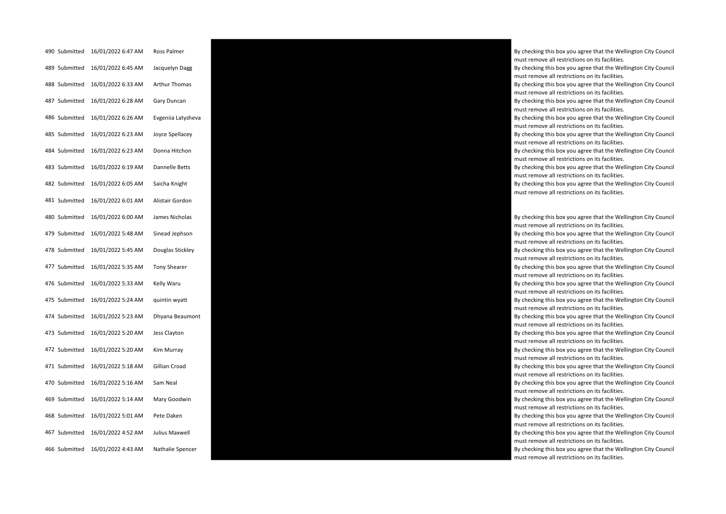| 490 Submitted | 16/01/2022 6:47 AM | Ross Palmer         |
|---------------|--------------------|---------------------|
| 489 Submitted | 16/01/2022 6:45 AM | Jacquelyn Dagg      |
| 488 Submitted | 16/01/2022 6:33 AM | Arthur Thomas       |
| 487 Submitted | 16/01/2022 6:28 AM | Gary Duncan         |
| 486 Submitted | 16/01/2022 6:26 AM | Evgeniia Latysheva  |
| 485 Submitted | 16/01/2022 6:23 AM | Joyce Spellacey     |
| 484 Submitted | 16/01/2022 6:23 AM | Donna Hitchon       |
| 483 Submitted | 16/01/2022 6:19 AM | Dannelle Betts      |
| 482 Submitted | 16/01/2022 6:05 AM | Saicha Knight       |
| 481 Submitted | 16/01/2022 6:01 AM | Alistair Gordon     |
| 480 Submitted | 16/01/2022 6:00 AM | James Nicholas      |
| 479 Submitted | 16/01/2022 5:48 AM | Sinead Jephson      |
| 478 Submitted | 16/01/2022 5:45 AM | Douglas Stickley    |
| 477 Submitted | 16/01/2022 5:35 AM | <b>Tony Shearer</b> |
| 476 Submitted | 16/01/2022 5:33 AM | Kelly Waru          |
| 475 Submitted | 16/01/2022 5:24 AM | quintin wyatt       |
| 474 Submitted | 16/01/2022 5:23 AM | Dhyana Beaumont     |
| 473 Submitted | 16/01/2022 5:20 AM | Jess Clayton        |
| 472 Submitted | 16/01/2022 5:20 AM | Kim Murray          |
| 471 Submitted | 16/01/2022 5:18 AM | Gillian Croad       |
| 470 Submitted | 16/01/2022 5:16 AM | Sam Neal            |
| 469 Submitted | 16/01/2022 5:14 AM | Mary Goodwin        |
| 468 Submitted | 16/01/2022 5:01 AM | Pete Daken          |
| 467 Submitted | 16/01/2022 4:52 AM | Julius Maxwell      |
| 466 Submitted | 16/01/2022 4:43 AM | Nathalie Spencer    |



By checking this box you agree that the Wellington City Council must remove all restrictions on its facilities.

By checking this box you agree that the Wellington City Council must remove all restrictions on its facilities.

By checking this box you agree that the Wellington City Council must remove all restrictions on its facilities.

By checking this box you agree that the Wellington City Council must remove all restrictions on its facilities.

By checking this box you agree that the Wellington City Council must remove all restrictions on its facilities.

By checking this box you agree that the Wellington City Council must remove all restrictions on its facilities.

By checking this box you agree that the Wellington City Council must remove all restrictions on its facilities.

By checking this box you agree that the Wellington City Council must remove all restrictions on its facilities.

By checking this box you agree that the Wellington City Council must remove all restrictions on its facilities.

By checking this box you agree that the Wellington City Council must remove all restrictions on its facilities.

By checking this box you agree that the Wellington City Council must remove all restrictions on its facilities.

By checking this box you agree that the Wellington City Council must remove all restrictions on its facilities.

By checking this box you agree that the Wellington City Council must remove all restrictions on its facilities.

By checking this box you agree that the Wellington City Council must remove all restrictions on its facilities.

By checking this box you agree that the Wellington City Council must remove all restrictions on its facilities.

By checking this box you agree that the Wellington City Council must remove all restrictions on its facilities.

By checking this box you agree that the Wellington City Council must remove all restrictions on its facilities.

By checking this box you agree that the Wellington City Council must remove all restrictions on its facilities.

By checking this box you agree that the Wellington City Council must remove all restrictions on its facilities.

By checking this box you agree that the Wellington City Council must remove all restrictions on its facilities.

By checking this box you agree that the Wellington City Council must remove all restrictions on its facilities.

By checking this box you agree that the Wellington City Council must remove all restrictions on its facilities.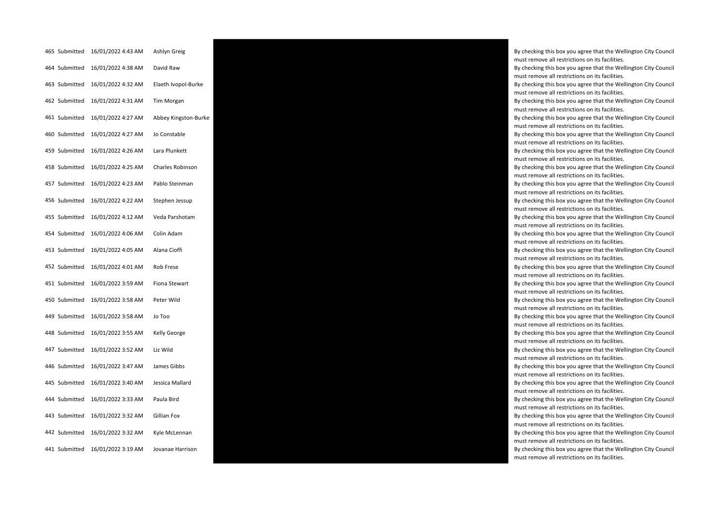| 465 Submitted | 16/01/2022 4:43 AM               | Ashlyn Greig            |
|---------------|----------------------------------|-------------------------|
| 464 Submitted | 16/01/2022 4:38 AM               | David Raw               |
| 463 Submitted | 16/01/2022 4:32 AM               | Elaeth Ivopol-Burke     |
| 462 Submitted | 16/01/2022 4:31 AM               | Tim Morgan              |
| 461 Submitted | 16/01/2022 4:27 AM               | Abbey Kingston-Burl     |
| 460 Submitted | 16/01/2022 4:27 AM               | Jo Constable            |
| 459 Submitted | 16/01/2022 4:26 AM Lara Plunkett |                         |
| 458 Submitted | 16/01/2022 4:25 AM               | <b>Charles Robinson</b> |
| 457 Submitted | 16/01/2022 4:23 AM               | Pablo Steinman          |
| 456 Submitted | 16/01/2022 4:22 AM               | Stephen Jessup          |
| 455 Submitted | 16/01/2022 4:12 AM               | Veda Parshotam          |
| 454 Submitted | 16/01/2022 4:06 AM               | Colin Adam              |
| 453 Submitted | 16/01/2022 4:05 AM               | Alana Cioffi            |
| 452 Submitted | 16/01/2022 4:01 AM               | Rob Frese               |
| 451 Submitted | 16/01/2022 3:59 AM               | Fiona Stewart           |
| 450 Submitted | 16/01/2022 3:58 AM               | Peter Wild              |
| 449 Submitted | 16/01/2022 3:58 AM               | Jo Too                  |
| 448 Submitted | 16/01/2022 3:55 AM               | Kelly George            |
| 447 Submitted | 16/01/2022 3:52 AM               | Liz Wild                |
| 446 Submitted | 16/01/2022 3:47 AM               | James Gibbs             |
| 445 Submitted | 16/01/2022 3:40 AM               | Jessica Mallard         |
| 444 Submitted | 16/01/2022 3:33 AM               | Paula Bird              |
| 443 Submitted | 16/01/2022 3:32 AM               | Gillian Fox             |
| 442 Submitted | 16/01/2022 3:32 AM               | Kyle McLennan           |
| 441 Submitted | 16/01/2022 3:19 AM               | Jovanae Harrison        |



By checking this box you agree that the Wellington City Council must remove all restrictions on its facilities. By checking this box you agree that the Wellington City Council must remove all restrictions on its facilities.

By checking this box you agree that the Wellington City Council must remove all restrictions on its facilities.

By checking this box you agree that the Wellington City Council must remove all restrictions on its facilities.

must remove all restrictions on its facilities.

By checking this box you agree that the Wellington City Council must remove all restrictions on its facilities.

By checking this box you agree that the Wellington City Council must remove all restrictions on its facilities.

By checking this box you agree that the Wellington City Council must remove all restrictions on its facilities.

By checking this box you agree that the Wellington City Council must remove all restrictions on its facilities.

By checking this box you agree that the Wellington City Council must remove all restrictions on its facilities.

By checking this box you agree that the Wellington City Council must remove all restrictions on its facilities.

By checking this box you agree that the Wellington City Council must remove all restrictions on its facilities.

By checking this box you agree that the Wellington City Council must remove all restrictions on its facilities.

By checking this box you agree that the Wellington City Council must remove all restrictions on its facilities.

By checking this box you agree that the Wellington City Council must remove all restrictions on its facilities.

By checking this box you agree that the Wellington City Council must remove all restrictions on its facilities.

By checking this box you agree that the Wellington City Council must remove all restrictions on its facilities.

By checking this box you agree that the Wellington City Council must remove all restrictions on its facilities.

By checking this box you agree that the Wellington City Council must remove all restrictions on its facilities.

By checking this box you agree that the Wellington City Council must remove all restrictions on its facilities.

By checking this box you agree that the Wellington City Council must remove all restrictions on its facilities.

By checking this box you agree that the Wellington City Council must remove all restrictions on its facilities.

By checking this box you agree that the Wellington City Council must remove all restrictions on its facilities.

By checking this box you agree that the Wellington City Council must remove all restrictions on its facilities.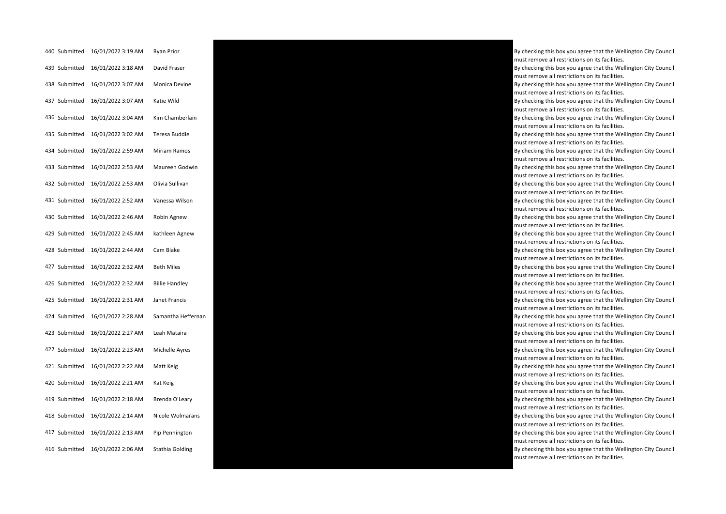| 440 Submitted | 16/01/2022 3:19 AM | Ryan Prior            |
|---------------|--------------------|-----------------------|
| 439 Submitted | 16/01/2022 3:18 AM | David Fraser          |
| 438 Submitted | 16/01/2022 3:07 AM | Monica Devine         |
| 437 Submitted | 16/01/2022 3:07 AM | Katie Wild            |
| 436 Submitted | 16/01/2022 3:04 AM | Kim Chamberlain       |
| 435 Submitted | 16/01/2022 3:02 AM | Teresa Buddle         |
| 434 Submitted | 16/01/2022 2:59 AM | Miriam Ramos          |
| 433 Submitted | 16/01/2022 2:53 AM | Maureen Godwin        |
| 432 Submitted | 16/01/2022 2:53 AM | Olivia Sullivan       |
| 431 Submitted | 16/01/2022 2:52 AM | Vanessa Wilson        |
| 430 Submitted | 16/01/2022 2:46 AM | Robin Agnew           |
| 429 Submitted | 16/01/2022 2:45 AM | kathleen Agnew        |
| 428 Submitted | 16/01/2022 2:44 AM | Cam Blake             |
| 427 Submitted | 16/01/2022 2:32 AM | <b>Beth Miles</b>     |
| 426 Submitted | 16/01/2022 2:32 AM | <b>Billie Handley</b> |
| 425 Submitted | 16/01/2022 2:31 AM | Janet Francis         |
| 424 Submitted | 16/01/2022 2:28 AM | Samantha Hefferna     |
| 423 Submitted | 16/01/2022 2:27 AM | Leah Mataira          |
| 422 Submitted | 16/01/2022 2:23 AM | Michelle Ayres        |
| 421 Submitted | 16/01/2022 2:22 AM | Matt Keig             |
| 420 Submitted | 16/01/2022 2:21 AM | Kat Keig              |
| 419 Submitted | 16/01/2022 2:18 AM | Brenda O'Leary        |
| 418 Submitted | 16/01/2022 2:14 AM | Nicole Wolmarans      |
| 417 Submitted | 16/01/2022 2:13 AM | Pip Pennington        |
| 416 Submitted | 16/01/2022 2:06 AM | Stathia Golding       |



By checking this box you agree that the Wellington City Council must remove all restrictions on its facilities. By checking this box you agree that the Wellington City Council must remove all restrictions on its facilities. By checking this box you agree that the Wellington City Council must remove all restrictions on its facilities. By checking this box you agree that the Wellington City Council must remove all restrictions on its facilities. By checking this box you agree that the Wellington City Council must remove all restrictions on its facilities. By checking this box you agree that the Wellington City Council must remove all restrictions on its facilities. By checking this box you agree that the Wellington City Council must remove all restrictions on its facilities. By checking this box you agree that the Wellington City Council must remove all restrictions on its facilities. By checking this box you agree that the Wellington City Council must remove all restrictions on its facilities. By checking this box you agree that the Wellington City Council must remove all restrictions on its facilities. By checking this box you agree that the Wellington City Council must remove all restrictions on its facilities. By checking this box you agree that the Wellington City Council must remove all restrictions on its facilities. By checking this box you agree that the Wellington City Council must remove all restrictions on its facilities. By checking this box you agree that the Wellington City Council must remove all restrictions on its facilities. By checking this box you agree that the Wellington City Council must remove all restrictions on its facilities. By checking this box you agree that the Wellington City Council must remove all restrictions on its facilities. must remove all restrictions on its facilities. By checking this box you agree that the Wellington City Council must remove all restrictions on its facilities. By checking this box you agree that the Wellington City Council must remove all restrictions on its facilities. By checking this box you agree that the Wellington City Council must remove all restrictions on its facilities. By checking this box you agree that the Wellington City Council must remove all restrictions on its facilities. By checking this box you agree that the Wellington City Council must remove all restrictions on its facilities. By checking this box you agree that the Wellington City Council must remove all restrictions on its facilities.

By checking this box you agree that the Wellington City Council must remove all restrictions on its facilities.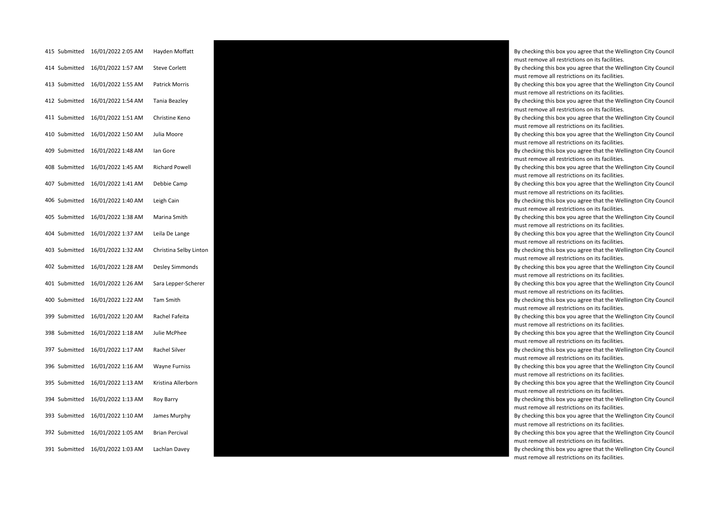| 415 Submitted | 16/01/2022 2:05 AM | Hayden Moffatt        |
|---------------|--------------------|-----------------------|
| 414 Submitted | 16/01/2022 1:57 AM | <b>Steve Corlett</b>  |
| 413 Submitted | 16/01/2022 1:55 AM | Patrick Morris        |
| 412 Submitted | 16/01/2022 1:54 AM | <b>Tania Beazley</b>  |
| 411 Submitted | 16/01/2022 1:51 AM | Christine Keno        |
| 410 Submitted | 16/01/2022 1:50 AM | Julia Moore           |
| 409 Submitted | 16/01/2022 1:48 AM | lan Gore              |
| 408 Submitted | 16/01/2022 1:45 AM | <b>Richard Powell</b> |
| 407 Submitted | 16/01/2022 1:41 AM | Debbie Camp           |
| 406 Submitted | 16/01/2022 1:40 AM | Leigh Cain            |
| 405 Submitted | 16/01/2022 1:38 AM | Marina Smith          |
| 404 Submitted | 16/01/2022 1:37 AM | Leila De Lange        |
| 403 Submitted | 16/01/2022 1:32 AM | Christina Selby Lint  |
| 402 Submitted | 16/01/2022 1:28 AM | Desley Simmonds       |
| 401 Submitted | 16/01/2022 1:26 AM | Sara Lepper-Schere    |
| 400 Submitted | 16/01/2022 1:22 AM | <b>Tam Smith</b>      |
| 399 Submitted | 16/01/2022 1:20 AM | Rachel Fafeita        |
| 398 Submitted | 16/01/2022 1:18 AM | Julie McPhee          |
| 397 Submitted | 16/01/2022 1:17 AM | Rachel Silver         |
| 396 Submitted | 16/01/2022 1:16 AM | <b>Wayne Furniss</b>  |
| 395 Submitted | 16/01/2022 1:13 AM | Kristina Allerborn    |
| 394 Submitted | 16/01/2022 1:13 AM | Roy Barry             |
| 393 Submitted | 16/01/2022 1:10 AM | James Murphy          |
| 392 Submitted | 16/01/2022 1:05 AM | <b>Brian Percival</b> |
| 391 Submitted | 16/01/2022 1:03 AM | Lachlan Davey         |



By checking this box you agree that the Wellington City Council must remove all restrictions on its facilities. By checking this box you agree that the Wellington City Council

must remove all restrictions on its facilities. By checking this box you agree that the Wellington City Council must remove all restrictions on its facilities.

By checking this box you agree that the Wellington City Council must remove all restrictions on its facilities.

By checking this box you agree that the Wellington City Council must remove all restrictions on its facilities.

By checking this box you agree that the Wellington City Council must remove all restrictions on its facilities.

By checking this box you agree that the Wellington City Council must remove all restrictions on its facilities.

By checking this box you agree that the Wellington City Council must remove all restrictions on its facilities.

By checking this box you agree that the Wellington City Council must remove all restrictions on its facilities.

By checking this box you agree that the Wellington City Council must remove all restrictions on its facilities.

By checking this box you agree that the Wellington City Council must remove all restrictions on its facilities.

By checking this box you agree that the Wellington City Council must remove all restrictions on its facilities.

must remove all restrictions on its facilities.

By checking this box you agree that the Wellington City Council must remove all restrictions on its facilities.

must remove all restrictions on its facilities.

By checking this box you agree that the Wellington City Council must remove all restrictions on its facilities.

By checking this box you agree that the Wellington City Council must remove all restrictions on its facilities.

By checking this box you agree that the Wellington City Council must remove all restrictions on its facilities.

By checking this box you agree that the Wellington City Council must remove all restrictions on its facilities.

By checking this box you agree that the Wellington City Council must remove all restrictions on its facilities.

By checking this box you agree that the Wellington City Council must remove all restrictions on its facilities.

By checking this box you agree that the Wellington City Council must remove all restrictions on its facilities.

By checking this box you agree that the Wellington City Council must remove all restrictions on its facilities.

By checking this box you agree that the Wellington City Council must remove all restrictions on its facilities.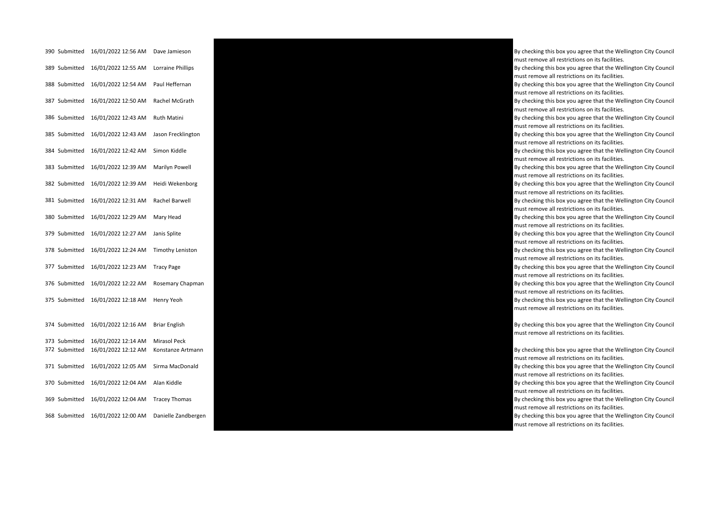| 390 Submitted | 16/01/2022 12:56 AM | Dave Jamieson           |
|---------------|---------------------|-------------------------|
| 389 Submitted | 16/01/2022 12:55 AM | Lorraine Phillips       |
| 388 Submitted | 16/01/2022 12:54 AM | Paul Heffernan          |
| 387 Submitted | 16/01/2022 12:50 AM | Rachel McGrath          |
| 386 Submitted | 16/01/2022 12:43 AM | Ruth Matini             |
| 385 Submitted | 16/01/2022 12:43 AM | Jason Frecklington      |
| 384 Submitted | 16/01/2022 12:42 AM | Simon Kiddle            |
| 383 Submitted | 16/01/2022 12:39 AM | Marilyn Powell          |
| 382 Submitted | 16/01/2022 12:39 AM | Heidi Wekenborg         |
| 381 Submitted | 16/01/2022 12:31 AM | Rachel Barwell          |
| 380 Submitted | 16/01/2022 12:29 AM | Mary Head               |
| 379 Submitted | 16/01/2022 12:27 AM | Janis Splite            |
| 378 Submitted | 16/01/2022 12:24 AM | <b>Timothy Leniston</b> |
| 377 Submitted | 16/01/2022 12:23 AM | <b>Tracy Page</b>       |
| 376 Submitted | 16/01/2022 12:22 AM | Rosemary Chapman        |
| 375 Submitted | 16/01/2022 12:18 AM | Henry Yeoh              |
|               |                     |                         |
| 374 Submitted | 16/01/2022 12:16 AM | Briar English           |
| 373 Submitted | 16/01/2022 12:14 AM | Mirasol Peck            |
| 372 Submitted | 16/01/2022 12:12 AM | Konstanze Artmann       |
| 371 Submitted | 16/01/2022 12:05 AM | Sirma MacDonald         |
| 370 Submitted | 16/01/2022 12:04 AM | Alan Kiddle             |
| 369 Submitted | 16/01/2022 12:04 AM | <b>Tracey Thomas</b>    |
| 368 Submitted | 16/01/2022 12:00 AM | Danielle Zandberger     |



By checking this box you agree that the Wellington City Council must remove all restrictions on its facilities. By checking this box you agree that the Wellington City Council must remove all restrictions on its facilities. By checking this box you agree that the Wellington City Council must remove all restrictions on its facilities. By checking this box you agree that the Wellington City Council must remove all restrictions on its facilities. By checking this box you agree that the Wellington City Council must remove all restrictions on its facilities. By checking this box you agree that the Wellington City Council must remove all restrictions on its facilities. By checking this box you agree that the Wellington City Council must remove all restrictions on its facilities. By checking this box you agree that the Wellington City Council must remove all restrictions on its facilities. By checking this box you agree that the Wellington City Council must remove all restrictions on its facilities. By checking this box you agree that the Wellington City Council must remove all restrictions on its facilities. By checking this box you agree that the Wellington City Council must remove all restrictions on its facilities. By checking this box you agree that the Wellington City Council must remove all restrictions on its facilities. By checking this box you agree that the Wellington City Council must remove all restrictions on its facilities. By checking this box you agree that the Wellington City Council must remove all restrictions on its facilities. By checking this box you agree that the Wellington City Council must remove all restrictions on its facilities. By checking this box you agree that the Wellington City Council must remove all restrictions on its facilities. By checking this box you agree that the Wellington City Council must remove all restrictions on its facilities.

By checking this box you agree that the Wellington City Council

By checking this box you agree that the Wellington City Council

must remove all restrictions on its facilities.

must remove all restrictions on its facilities.

By checking this box you agree that the Wellington City Council must remove all restrictions on its facilities.

By checking this box you agree that the Wellington City Council must remove all restrictions on its facilities.

must remove all restrictions on its facilities.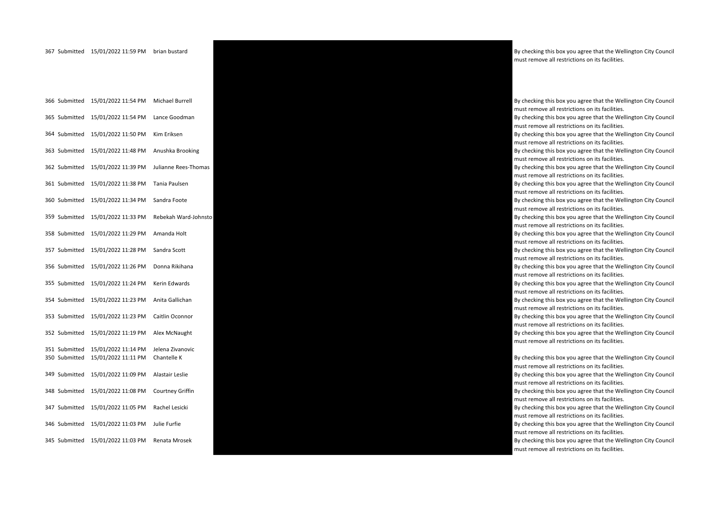| 366 Submitted                  | 15/01/2022 11:54 PM                        | Michael Burrell                 |
|--------------------------------|--------------------------------------------|---------------------------------|
| 365 Submitted                  | 15/01/2022 11:54 PM                        | Lance Goodman                   |
| 364 Submitted                  | 15/01/2022 11:50 PM                        | Kim Eriksen                     |
| 363 Submitted                  | 15/01/2022 11:48 PM                        | Anushka Brooking                |
| 362 Submitted                  | 15/01/2022 11:39 PM                        | Julianne Rees-Thoma             |
| 361 Submitted                  | 15/01/2022 11:38 PM                        | Tania Paulsen                   |
| 360 Submitted                  | 15/01/2022 11:34 PM                        | Sandra Foote                    |
| 359 Submitted                  | 15/01/2022 11:33 PM                        | Rebekah Ward-John:              |
| 358 Submitted                  | 15/01/2022 11:29 PM                        | Amanda Holt                     |
| 357 Submitted                  | 15/01/2022 11:28 PM                        | Sandra Scott                    |
| 356 Submitted                  | 15/01/2022 11:26 PM                        | Donna Rikihana                  |
| 355 Submitted                  | 15/01/2022 11:24 PM                        | Kerin Edwards                   |
| 354 Submitted                  | 15/01/2022 11:23 PM                        | Anita Gallichan                 |
| 353 Submitted                  | 15/01/2022 11:23 PM                        | Caitlin Oconnor                 |
| 352 Submitted                  | 15/01/2022 11:19 PM                        | Alex McNaught                   |
| 351 Submitted<br>350 Submitted | 15/01/2022 11:14 PM<br>15/01/2022 11:11 PM | Jelena Zivanovic<br>Chantelle K |
| 349 Submitted                  | 15/01/2022 11:09 PM                        | Alastair Leslie                 |
| 348 Submitted                  | 15/01/2022 11:08 PM                        | Courtney Griffin                |
| 347 Submitted                  | 15/01/2022 11:05 PM                        | Rachel Lesicki                  |
| 346 Submitted                  | 15/01/2022 11:03 PM                        | Julie Furfie                    |
| 345 Submitted                  | 15/01/2022 11:03 PM                        | Renata Mrosek                   |



must remove all restrictions on its facilities.

By checking this box you agree that the Wellington City Council must remove all restrictions on its facilities. By checking this box you agree that the Wellington City Council must remove all restrictions on its facilities. By checking this box you agree that the Wellington City Council must remove all restrictions on its facilities. By checking this box you agree that the Wellington City Council must remove all restrictions on its facilities. must remove all restrictions on its facilities. By checking this box you agree that the Wellington City Council must remove all restrictions on its facilities. By checking this box you agree that the Wellington City Council must remove all restrictions on its facilities. must remove all restrictions on its facilities. By checking this box you agree that the Wellington City Council must remove all restrictions on its facilities. By checking this box you agree that the Wellington City Council must remove all restrictions on its facilities. By checking this box you agree that the Wellington City Council must remove all restrictions on its facilities. By checking this box you agree that the Wellington City Council must remove all restrictions on its facilities. By checking this box you agree that the Wellington City Council must remove all restrictions on its facilities. By checking this box you agree that the Wellington City Council must remove all restrictions on its facilities. By checking this box you agree that the Wellington City Council must remove all restrictions on its facilities. By checking this box you agree that the Wellington City Council must remove all restrictions on its facilities.

By checking this box you agree that the Wellington City Council must remove all restrictions on its facilities.

By checking this box you agree that the Wellington City Council must remove all restrictions on its facilities.

By checking this box you agree that the Wellington City Council must remove all restrictions on its facilities.

By checking this box you agree that the Wellington City Council must remove all restrictions on its facilities.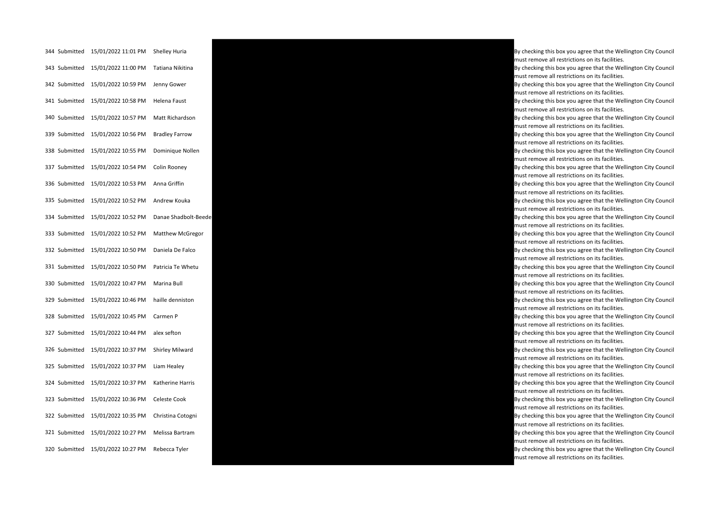| 344 Submitted | 15/01/2022 11:01 PM | Shelley Huria          |
|---------------|---------------------|------------------------|
| 343 Submitted | 15/01/2022 11:00 PM | Tatiana Nikitina       |
| 342 Submitted | 15/01/2022 10:59 PM | Jenny Gower            |
| 341 Submitted | 15/01/2022 10:58 PM | Helena Faust           |
| 340 Submitted | 15/01/2022 10:57 PM | Matt Richardson        |
| 339 Submitted | 15/01/2022 10:56 PM | <b>Bradley Farrow</b>  |
| 338 Submitted | 15/01/2022 10:55 PM | Dominique Nollen       |
| 337 Submitted | 15/01/2022 10:54 PM | Colin Rooney           |
| 336 Submitted | 15/01/2022 10:53 PM | Anna Griffin           |
| 335 Submitted | 15/01/2022 10:52 PM | Andrew Kouka           |
| 334 Submitted | 15/01/2022 10:52 PM | Danae Shadbolt-Be      |
| 333 Submitted | 15/01/2022 10:52 PM | <b>Matthew McGrego</b> |
| 332 Submitted | 15/01/2022 10:50 PM | Daniela De Falco       |
| 331 Submitted | 15/01/2022 10:50 PM | Patricia Te Whetu      |
| 330 Submitted | 15/01/2022 10:47 PM | Marina Bull            |
| 329 Submitted | 15/01/2022 10:46 PM | haille denniston       |
| 328 Submitted | 15/01/2022 10:45 PM | Carmen P               |
| 327 Submitted | 15/01/2022 10:44 PM | alex sefton            |
| 326 Submitted | 15/01/2022 10:37 PM | Shirley Milward        |
| 325 Submitted | 15/01/2022 10:37 PM | Liam Healey            |
| 324 Submitted | 15/01/2022 10:37 PM | Katherine Harris       |
| 323 Submitted | 15/01/2022 10:36 PM | Celeste Cook           |
| 322 Submitted | 15/01/2022 10:35 PM | Christina Cotogni      |
| 321 Submitted | 15/01/2022 10:27 PM | Melissa Bartram        |
| 320 Submitted | 15/01/2022 10:27 PM | Rebecca Tyler          |



must remove all restrictions on its facilities. By checking this box you agree that the Wellington City Council must remove all restrictions on its facilities. By checking this box you agree that the Wellington City Council must remove all restrictions on its facilities. By checking this box you agree that the Wellington City Council must remove all restrictions on its facilities. By checking this box you agree that the Wellington City Council must remove all restrictions on its facilities. By checking this box you agree that the Wellington City Council must remove all restrictions on its facilities. By checking this box you agree that the Wellington City Council must remove all restrictions on its facilities. By checking this box you agree that the Wellington City Council must remove all restrictions on its facilities. By checking this box you agree that the Wellington City Council must remove all restrictions on its facilities. By checking this box you agree that the Wellington City Council must remove all restrictions on its facilities.

must remove all restrictions on its facilities.

must remove all restrictions on its facilities.

By checking this box you agree that the Wellington City Council must remove all restrictions on its facilities.

By checking this box you agree that the Wellington City Council must remove all restrictions on its facilities.

By checking this box you agree that the Wellington City Council must remove all restrictions on its facilities.

By checking this box you agree that the Wellington City Council must remove all restrictions on its facilities.

By checking this box you agree that the Wellington City Council must remove all restrictions on its facilities.

By checking this box you agree that the Wellington City Council must remove all restrictions on its facilities.

By checking this box you agree that the Wellington City Council must remove all restrictions on its facilities.

By checking this box you agree that the Wellington City Council must remove all restrictions on its facilities.

By checking this box you agree that the Wellington City Council must remove all restrictions on its facilities.

By checking this box you agree that the Wellington City Council must remove all restrictions on its facilities.

By checking this box you agree that the Wellington City Council must remove all restrictions on its facilities.

By checking this box you agree that the Wellington City Council must remove all restrictions on its facilities.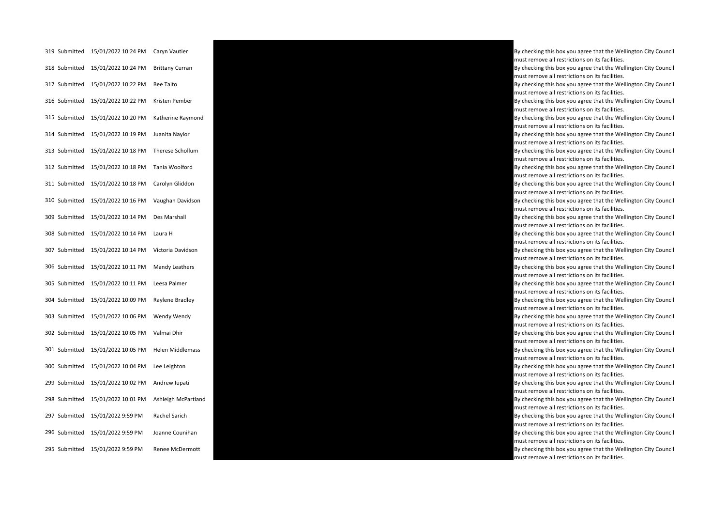| 319 Submitted | 15/01/2022 10:24 PM | Caryn Vautier           |
|---------------|---------------------|-------------------------|
| 318 Submitted | 15/01/2022 10:24 PM | <b>Brittany Curran</b>  |
| 317 Submitted | 15/01/2022 10:22 PM | <b>Bee Taito</b>        |
| 316 Submitted | 15/01/2022 10:22 PM | Kristen Pember          |
| 315 Submitted | 15/01/2022 10:20 PM | Katherine Raymond       |
| 314 Submitted | 15/01/2022 10:19 PM | Juanita Naylor          |
| 313 Submitted | 15/01/2022 10:18 PM | Therese Schollum        |
| 312 Submitted | 15/01/2022 10:18 PM | Tania Woolford          |
| 311 Submitted | 15/01/2022 10:18 PM | Carolyn Gliddon         |
| 310 Submitted | 15/01/2022 10:16 PM | Vaughan Davidson        |
| 309 Submitted | 15/01/2022 10:14 PM | Des Marshall            |
| 308 Submitted | 15/01/2022 10:14 PM | Laura H                 |
| 307 Submitted | 15/01/2022 10:14 PM | Victoria Davidson       |
| 306 Submitted | 15/01/2022 10:11 PM | Mandy Leathers          |
| 305 Submitted | 15/01/2022 10:11 PM | Leesa Palmer            |
| 304 Submitted | 15/01/2022 10:09 PM | Raylene Bradley         |
| 303 Submitted | 15/01/2022 10:06 PM | Wendy Wendy             |
| 302 Submitted | 15/01/2022 10:05 PM | Valmai Dhir             |
| 301 Submitted | 15/01/2022 10:05 PM | <b>Helen Middlemass</b> |
| 300 Submitted | 15/01/2022 10:04 PM | Lee Leighton            |
| 299 Submitted | 15/01/2022 10:02 PM | Andrew Iupati           |
| 298 Submitted | 15/01/2022 10:01 PM | Ashleigh McPartland     |
| 297 Submitted | 15/01/2022 9:59 PM  | Rachel Sarich           |
| 296 Submitted | 15/01/2022 9:59 PM  | Joanne Counihan         |
| 295 Submitted | 15/01/2022 9:59 PM  | Renee McDermott         |



By checking this box you agree that the Wellington City Council must remove all restrictions on its facilities. By checking this box you agree that the Wellington City Council must remove all restrictions on its facilities. By checking this box you agree that the Wellington City Council must remove all restrictions on its facilities. By checking this box you agree that the Wellington City Council must remove all restrictions on its facilities. By checking this box you agree that the Wellington City Council must remove all restrictions on its facilities. By checking this box you agree that the Wellington City Council must remove all restrictions on its facilities. By checking this box you agree that the Wellington City Council must remove all restrictions on its facilities. By checking this box you agree that the Wellington City Council must remove all restrictions on its facilities. By checking this box you agree that the Wellington City Council must remove all restrictions on its facilities. By checking this box you agree that the Wellington City Council must remove all restrictions on its facilities. By checking this box you agree that the Wellington City Council must remove all restrictions on its facilities. By checking this box you agree that the Wellington City Council must remove all restrictions on its facilities. By checking this box you agree that the Wellington City Council must remove all restrictions on its facilities. By checking this box you agree that the Wellington City Council must remove all restrictions on its facilities. By checking this box you agree that the Wellington City Council must remove all restrictions on its facilities. By checking this box you agree that the Wellington City Council must remove all restrictions on its facilities. By checking this box you agree that the Wellington City Council must remove all restrictions on its facilities. By checking this box you agree that the Wellington City Council must remove all restrictions on its facilities. By checking this box you agree that the Wellington City Council must remove all restrictions on its facilities. By checking this box you agree that the Wellington City Council must remove all restrictions on its facilities. By checking this box you agree that the Wellington City Council must remove all restrictions on its facilities. By checking this box you agree that the Wellington City Council must remove all restrictions on its facilities. By checking this box you agree that the Wellington City Council must remove all restrictions on its facilities.

By checking this box you agree that the Wellington City Council must remove all restrictions on its facilities.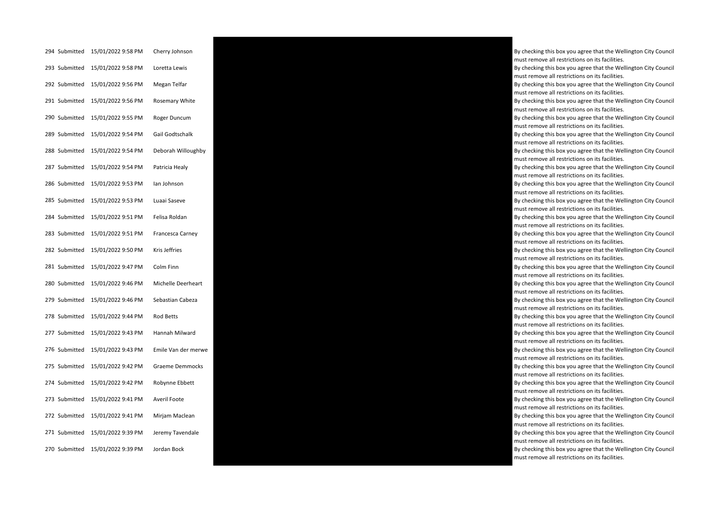| 294 Submitted | 15/01/2022 9:58 PM | Cherry Johnson      |
|---------------|--------------------|---------------------|
| 293 Submitted | 15/01/2022 9:58 PM | Loretta Lewis       |
| 292 Submitted | 15/01/2022 9:56 PM | Megan Telfar        |
| 291 Submitted | 15/01/2022 9:56 PM | Rosemary White      |
| 290 Submitted | 15/01/2022 9:55 PM | Roger Duncum        |
| 289 Submitted | 15/01/2022 9:54 PM | Gail Godtschalk     |
| 288 Submitted | 15/01/2022 9:54 PM | Deborah Willoughby  |
| 287 Submitted | 15/01/2022 9:54 PM | Patricia Healy      |
| 286 Submitted | 15/01/2022 9:53 PM | lan Johnson         |
| 285 Submitted | 15/01/2022 9:53 PM | Luaai Saseve        |
| 284 Submitted | 15/01/2022 9:51 PM | Felisa Roldan       |
| 283 Submitted | 15/01/2022 9:51 PM | Francesca Carney    |
| 282 Submitted | 15/01/2022 9:50 PM | Kris Jeffries       |
| 281 Submitted | 15/01/2022 9:47 PM | Colm Finn           |
| 280 Submitted | 15/01/2022 9:46 PM | Michelle Deerheart  |
| 279 Submitted | 15/01/2022 9:46 PM | Sebastian Cabeza    |
| 278 Submitted | 15/01/2022 9:44 PM | Rod Betts           |
| 277 Submitted | 15/01/2022 9:43 PM | Hannah Milward      |
| 276 Submitted | 15/01/2022 9:43 PM | Emile Van der merwe |
| 275 Submitted | 15/01/2022 9:42 PM | Graeme Demmocks     |
| 274 Submitted | 15/01/2022 9:42 PM | Robynne Ebbett      |
| 273 Submitted | 15/01/2022 9:41 PM | Averil Foote        |
| 272 Submitted | 15/01/2022 9:41 PM | Mirjam Maclean      |
| 271 Submitted | 15/01/2022 9:39 PM | Jeremy Tavendale    |
| 270 Submitted | 15/01/2022 9:39 PM | Jordan Bock         |



By checking this box you agree that the Wellington City Council must remove all restrictions on its facilities. By checking this box you agree that the Wellington City Council must remove all restrictions on its facilities. By checking this box you agree that the Wellington City Council must remove all restrictions on its facilities. By checking this box you agree that the Wellington City Council must remove all restrictions on its facilities. By checking this box you agree that the Wellington City Council must remove all restrictions on its facilities. By checking this box you agree that the Wellington City Council must remove all restrictions on its facilities. By checking this box you agree that the Wellington City Council must remove all restrictions on its facilities. By checking this box you agree that the Wellington City Council must remove all restrictions on its facilities. By checking this box you agree that the Wellington City Council must remove all restrictions on its facilities. By checking this box you agree that the Wellington City Council must remove all restrictions on its facilities. By checking this box you agree that the Wellington City Council must remove all restrictions on its facilities. By checking this box you agree that the Wellington City Council must remove all restrictions on its facilities. By checking this box you agree that the Wellington City Council must remove all restrictions on its facilities. By checking this box you agree that the Wellington City Council must remove all restrictions on its facilities. By checking this box you agree that the Wellington City Council must remove all restrictions on its facilities. By checking this box you agree that the Wellington City Council must remove all restrictions on its facilities. By checking this box you agree that the Wellington City Council must remove all restrictions on its facilities. By checking this box you agree that the Wellington City Council must remove all restrictions on its facilities. By checking this box you agree that the Wellington City Council must remove all restrictions on its facilities. By checking this box you agree that the Wellington City Council must remove all restrictions on its facilities. By checking this box you agree that the Wellington City Council must remove all restrictions on its facilities. By checking this box you agree that the Wellington City Council must remove all restrictions on its facilities. By checking this box you agree that the Wellington City Council must remove all restrictions on its facilities.

By checking this box you agree that the Wellington City Council must remove all restrictions on its facilities.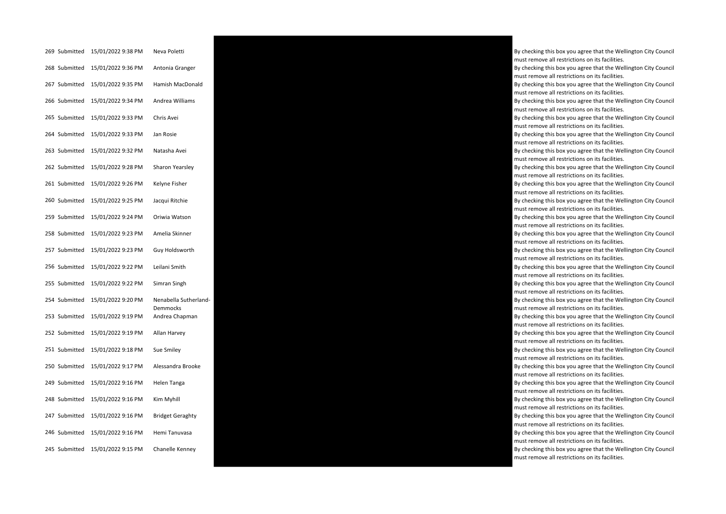| 269 Submitted | 15/01/2022 9:38 PM | Neva Poletti                      |
|---------------|--------------------|-----------------------------------|
| 268 Submitted | 15/01/2022 9:36 PM | Antonia Granger                   |
| 267 Submitted | 15/01/2022 9:35 PM | Hamish MacDonald                  |
| 266 Submitted | 15/01/2022 9:34 PM | Andrea Williams                   |
| 265 Submitted | 15/01/2022 9:33 PM | Chris Avei                        |
| 264 Submitted | 15/01/2022 9:33 PM | Jan Rosie                         |
| 263 Submitted | 15/01/2022 9:32 PM | Natasha Avei                      |
| 262 Submitted | 15/01/2022 9:28 PM | Sharon Yearsley                   |
| 261 Submitted | 15/01/2022 9:26 PM | Kelyne Fisher                     |
| 260 Submitted | 15/01/2022 9:25 PM | Jacqui Ritchie                    |
| 259 Submitted | 15/01/2022 9:24 PM | Oriwia Watson                     |
| 258 Submitted | 15/01/2022 9:23 PM | Amelia Skinner                    |
| 257 Submitted | 15/01/2022 9:23 PM | Guy Holdsworth                    |
| 256 Submitted | 15/01/2022 9:22 PM | Leilani Smith                     |
| 255 Submitted | 15/01/2022 9:22 PM | Simran Singh                      |
| 254 Submitted | 15/01/2022 9:20 PM | Nenabella Sutherland-<br>Demmocks |
| 253 Submitted | 15/01/2022 9:19 PM | Andrea Chapman                    |
| 252 Submitted | 15/01/2022 9:19 PM | Allan Harvey                      |
| 251 Submitted | 15/01/2022 9:18 PM | Sue Smiley                        |
| 250 Submitted | 15/01/2022 9:17 PM | Alessandra Brooke                 |
| 249 Submitted | 15/01/2022 9:16 PM | Helen Tanga                       |
| 248 Submitted | 15/01/2022 9:16 PM | Kim Myhill                        |
| 247 Submitted | 15/01/2022 9:16 PM | <b>Bridget Geraghty</b>           |
| 246 Submitted | 15/01/2022 9:16 PM | Hemi Tanuvasa                     |
| 245 Submitted | 15/01/2022 9:15 PM | Chanelle Kenney                   |



must remove all restrictions on its facilities. By checking this box you agree that the Wellington City Council must remove all restrictions on its facilities. By checking this box you agree that the Wellington City Council must remove all restrictions on its facilities. By checking this box you agree that the Wellington City Council must remove all restrictions on its facilities. By checking this box you agree that the Wellington City Council must remove all restrictions on its facilities. By checking this box you agree that the Wellington City Council must remove all restrictions on its facilities. By checking this box you agree that the Wellington City Council must remove all restrictions on its facilities. By checking this box you agree that the Wellington City Council must remove all restrictions on its facilities. By checking this box you agree that the Wellington City Council must remove all restrictions on its facilities. By checking this box you agree that the Wellington City Council must remove all restrictions on its facilities. By checking this box you agree that the Wellington City Council must remove all restrictions on its facilities. By checking this box you agree that the Wellington City Council must remove all restrictions on its facilities. By checking this box you agree that the Wellington City Council must remove all restrictions on its facilities. By checking this box you agree that the Wellington City Council must remove all restrictions on its facilities. By checking this box you agree that the Wellington City Council must remove all restrictions on its facilities. By checking this box you agree that the Wellington City Council must remove all restrictions on its facilities. By checking this box you agree that the Wellington City Council must remove all restrictions on its facilities. By checking this box you agree that the Wellington City Council must remove all restrictions on its facilities. By checking this box you agree that the Wellington City Council must remove all restrictions on its facilities. By checking this box you agree that the Wellington City Council must remove all restrictions on its facilities. By checking this box you agree that the Wellington City Council must remove all restrictions on its facilities.

By checking this box you agree that the Wellington City Council

By checking this box you agree that the Wellington City Council

must remove all restrictions on its facilities.

By checking this box you agree that the Wellington City Council must remove all restrictions on its facilities.

By checking this box you agree that the Wellington City Council must remove all restrictions on its facilities.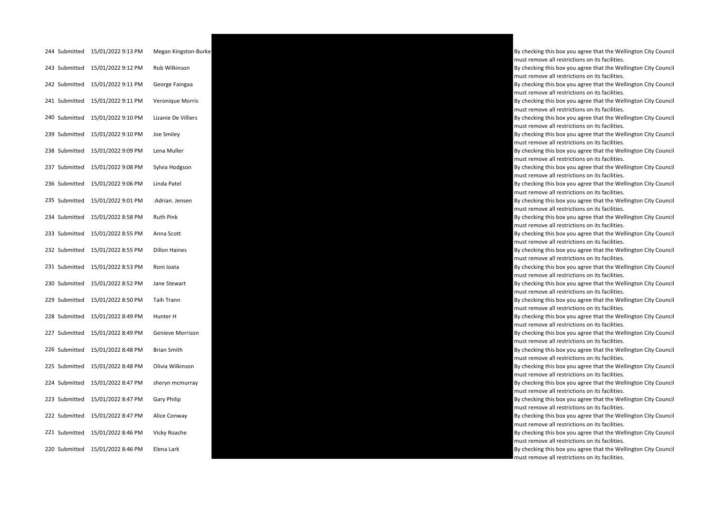| 244 Submitted | 15/01/2022 9:13 PM | Megan Kingston-Bur   |
|---------------|--------------------|----------------------|
| 243 Submitted | 15/01/2022 9:12 PM | Rob Wilkinson        |
| 242 Submitted | 15/01/2022 9:11 PM | George Faingaa       |
| 241 Submitted | 15/01/2022 9:11 PM | Veronique Morris     |
| 240 Submitted | 15/01/2022 9:10 PM | Lizanie De Villiers  |
| 239 Submitted | 15/01/2022 9:10 PM | Joe Smiley           |
| 238 Submitted | 15/01/2022 9:09 PM | Lena Muller          |
| 237 Submitted | 15/01/2022 9:08 PM | Sylvia Hodgson       |
| 236 Submitted | 15/01/2022 9:06 PM | Linda Patel          |
| 235 Submitted | 15/01/2022 9:01 PM | :Adrian. Jensen      |
| 234 Submitted | 15/01/2022 8:58 PM | <b>Ruth Pink</b>     |
| 233 Submitted | 15/01/2022 8:55 PM | Anna Scott           |
| 232 Submitted | 15/01/2022 8:55 PM | <b>Dillon Haines</b> |
| 231 Submitted | 15/01/2022 8:53 PM | Roni Ioata           |
| 230 Submitted | 15/01/2022 8:52 PM | Jane Stewart         |
| 229 Submitted | 15/01/2022 8:50 PM | <b>Taih Trann</b>    |
| 228 Submitted | 15/01/2022 8:49 PM | Hunter H             |
| 227 Submitted | 15/01/2022 8:49 PM | Genieve Morrison     |
| 226 Submitted | 15/01/2022 8:48 PM | <b>Brian Smith</b>   |
| 225 Submitted | 15/01/2022 8:48 PM | Olivia Wilkinson     |
| 224 Submitted | 15/01/2022 8:47 PM | sheryn mcmurray      |
| 223 Submitted | 15/01/2022 8:47 PM | <b>Gary Philip</b>   |
| 222 Submitted | 15/01/2022 8:47 PM | Alice Conway         |
| 221 Submitted | 15/01/2022 8:46 PM | Vicky Roache         |
| 220 Submitted | 15/01/2022 8:46 PM | Elena Lark           |



must remove all restrictions on its facilities. By checking this box you agree that the Wellington City Council must remove all restrictions on its facilities. By checking this box you agree that the Wellington City Council must remove all restrictions on its facilities. By checking this box you agree that the Wellington City Council must remove all restrictions on its facilities. By checking this box you agree that the Wellington City Council must remove all restrictions on its facilities. By checking this box you agree that the Wellington City Council must remove all restrictions on its facilities. By checking this box you agree that the Wellington City Council must remove all restrictions on its facilities. By checking this box you agree that the Wellington City Council must remove all restrictions on its facilities. By checking this box you agree that the Wellington City Council must remove all restrictions on its facilities. By checking this box you agree that the Wellington City Council must remove all restrictions on its facilities. By checking this box you agree that the Wellington City Council must remove all restrictions on its facilities. By checking this box you agree that the Wellington City Council must remove all restrictions on its facilities. By checking this box you agree that the Wellington City Council must remove all restrictions on its facilities. By checking this box you agree that the Wellington City Council must remove all restrictions on its facilities. By checking this box you agree that the Wellington City Council must remove all restrictions on its facilities. By checking this box you agree that the Wellington City Council must remove all restrictions on its facilities. By checking this box you agree that the Wellington City Council must remove all restrictions on its facilities. By checking this box you agree that the Wellington City Council must remove all restrictions on its facilities. By checking this box you agree that the Wellington City Council must remove all restrictions on its facilities. By checking this box you agree that the Wellington City Council must remove all restrictions on its facilities. By checking this box you agree that the Wellington City Council must remove all restrictions on its facilities. By checking this box you agree that the Wellington City Council must remove all restrictions on its facilities. By checking this box you agree that the Wellington City Council must remove all restrictions on its facilities. By checking this box you agree that the Wellington City Council must remove all restrictions on its facilities.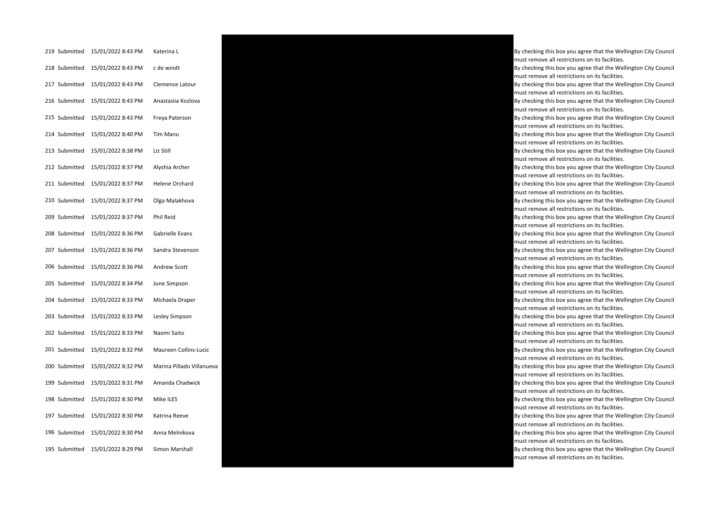| 219 Submitted | 15/01/2022 8:43 PM               | Katerina L             |
|---------------|----------------------------------|------------------------|
|               | 218 Submitted 15/01/2022 8:43 PM | c de windt             |
| 217 Submitted | 15/01/2022 8:43 PM               | Clemence Latour        |
| 216 Submitted | 15/01/2022 8:43 PM               | Anastasiia Kozlova     |
| 215 Submitted | 15/01/2022 8:43 PM               | Freya Paterson         |
| 214 Submitted | 15/01/2022 8:40 PM               | Tim Manu               |
| 213 Submitted | 15/01/2022 8:38 PM               | Liz Still              |
| 212 Submitted | 15/01/2022 8:37 PM               | Alyshia Archer         |
| 211 Submitted | 15/01/2022 8:37 PM               | Helene Orchard         |
| 210 Submitted | 15/01/2022 8:37 PM               | Olga Malakhova         |
| 209 Submitted | 15/01/2022 8:37 PM               | Phil Reid              |
| 208 Submitted | 15/01/2022 8:36 PM               | Gabrielle Evans        |
| 207 Submitted | 15/01/2022 8:36 PM               | Sandra Stevenson       |
| 206 Submitted | 15/01/2022 8:36 PM               | Andrew Scott           |
| 205 Submitted | 15/01/2022 8:34 PM               | June Simpson           |
| 204 Submitted | 15/01/2022 8:33 PM               | Michaela Draper        |
| 203 Submitted | 15/01/2022 8:33 PM               | Lesley Simpson         |
| 202 Submitted | 15/01/2022 8:33 PM               | Naomi Saito            |
| 201 Submitted | 15/01/2022 8:32 PM               | Maureen Collins-Lucio  |
| 200 Submitted | 15/01/2022 8:32 PM               | Marina Pillado Villanu |
| 199 Submitted | 15/01/2022 8:31 PM               | Amanda Chadwick        |
| 198 Submitted | 15/01/2022 8:30 PM               | Mike ILES              |
| 197 Submitted | 15/01/2022 8:30 PM               | Katrina Reeve          |
| 196 Submitted | 15/01/2022 8:30 PM               | Anna Melnikova         |
| 195 Submitted | 15/01/2022 8:29 PM               | Simon Marshall         |



By checking this box you agree that the Wellington City Council must remove all restrictions on its facilities. By checking this box you agree that the Wellington City Council must remove all restrictions on its facilities. By checking this box you agree that the Wellington City Council must remove all restrictions on its facilities. By checking this box you agree that the Wellington City Council must remove all restrictions on its facilities. By checking this box you agree that the Wellington City Council must remove all restrictions on its facilities. By checking this box you agree that the Wellington City Council must remove all restrictions on its facilities. By checking this box you agree that the Wellington City Council must remove all restrictions on its facilities. By checking this box you agree that the Wellington City Council must remove all restrictions on its facilities. By checking this box you agree that the Wellington City Council must remove all restrictions on its facilities. By checking this box you agree that the Wellington City Council must remove all restrictions on its facilities. By checking this box you agree that the Wellington City Council must remove all restrictions on its facilities. By checking this box you agree that the Wellington City Council must remove all restrictions on its facilities. By checking this box you agree that the Wellington City Council must remove all restrictions on its facilities. By checking this box you agree that the Wellington City Council must remove all restrictions on its facilities. By checking this box you agree that the Wellington City Council must remove all restrictions on its facilities. By checking this box you agree that the Wellington City Council must remove all restrictions on its facilities. By checking this box you agree that the Wellington City Council must remove all restrictions on its facilities. By checking this box you agree that the Wellington City Council must remove all restrictions on its facilities. By checking this box you agree that the Wellington City Council must remove all restrictions on its facilities. must remove all restrictions on its facilities. By checking this box you agree that the Wellington City Council must remove all restrictions on its facilities. By checking this box you agree that the Wellington City Council must remove all restrictions on its facilities. By checking this box you agree that the Wellington City Council must remove all restrictions on its facilities.

By checking this box you agree that the Wellington City Council must remove all restrictions on its facilities.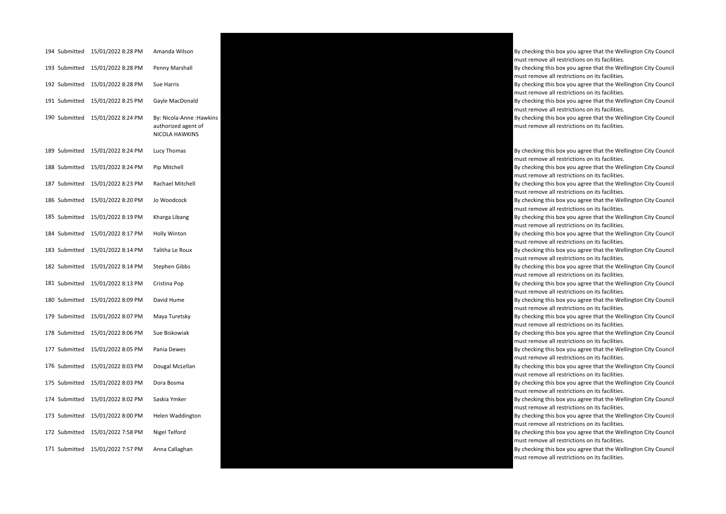| 194 Submitted | 15/01/2022 8:28 PM | Amanda Wilson                                                             |
|---------------|--------------------|---------------------------------------------------------------------------|
| 193 Submitted | 15/01/2022 8:28 PM | Penny Marshall                                                            |
| 192 Submitted | 15/01/2022 8:28 PM | Sue Harris                                                                |
| 191 Submitted | 15/01/2022 8:25 PM | Gayle MacDonald                                                           |
| 190 Submitted | 15/01/2022 8:24 PM | By: Nicola-Anne : Hawkins<br>authorized agent of<br><b>NICOLA HAWKINS</b> |
| 189 Submitted | 15/01/2022 8:24 PM | Lucy Thomas                                                               |
| 188 Submitted | 15/01/2022 8:24 PM | Pip Mitchell                                                              |
| 187 Submitted | 15/01/2022 8:23 PM | Rachael Mitchell                                                          |
| 186 Submitted | 15/01/2022 8:20 PM | Jo Woodcock                                                               |
| 185 Submitted | 15/01/2022 8:19 PM | Kharga Libang                                                             |
| 184 Submitted | 15/01/2022 8:17 PM | Holly Winton                                                              |
| 183 Submitted | 15/01/2022 8:14 PM | Talitha Le Roux                                                           |
| 182 Submitted | 15/01/2022 8:14 PM | <b>Stephen Gibbs</b>                                                      |
| 181 Submitted | 15/01/2022 8:13 PM | Cristina Pop                                                              |
| 180 Submitted | 15/01/2022 8:09 PM | David Hume                                                                |
| 179 Submitted | 15/01/2022 8:07 PM | Maya Turetsky                                                             |
| 178 Submitted | 15/01/2022 8:06 PM | Sue Biskowiak                                                             |
| 177 Submitted | 15/01/2022 8:05 PM | Pania Dewes                                                               |
| 176 Submitted | 15/01/2022 8:03 PM | Dougal McLellan                                                           |
| 175 Submitted | 15/01/2022 8:03 PM | Dora Bosma                                                                |
| 174 Submitted | 15/01/2022 8:02 PM | Saskia Ymker                                                              |
| 173 Submitted | 15/01/2022 8:00 PM | Helen Waddington                                                          |
| 172 Submitted | 15/01/2022 7:58 PM | Nigel Telford                                                             |
| 171 Submitted | 15/01/2022 7:57 PM | Anna Callaghan                                                            |



By checking this box you agree that the Wellington City Council must remove all restrictions on its facilities.

By checking this box you agree that the Wellington City Council must remove all restrictions on its facilities.

By checking this box you agree that the Wellington City Council must remove all restrictions on its facilities.

By checking this box you agree that the Wellington City Council must remove all restrictions on its facilities.

By checking this box you agree that the Wellington City Council must remove all restrictions on its facilities.

By checking this box you agree that the Wellington City Council must remove all restrictions on its facilities.

By checking this box you agree that the Wellington City Council must remove all restrictions on its facilities.

By checking this box you agree that the Wellington City Council must remove all restrictions on its facilities.

By checking this box you agree that the Wellington City Council must remove all restrictions on its facilities.

By checking this box you agree that the Wellington City Council must remove all restrictions on its facilities.

By checking this box you agree that the Wellington City Council must remove all restrictions on its facilities.

By checking this box you agree that the Wellington City Council must remove all restrictions on its facilities.

By checking this box you agree that the Wellington City Council must remove all restrictions on its facilities.

By checking this box you agree that the Wellington City Council must remove all restrictions on its facilities.

By checking this box you agree that the Wellington City Council must remove all restrictions on its facilities.

By checking this box you agree that the Wellington City Council must remove all restrictions on its facilities.

By checking this box you agree that the Wellington City Council must remove all restrictions on its facilities.

By checking this box you agree that the Wellington City Council must remove all restrictions on its facilities.

By checking this box you agree that the Wellington City Council must remove all restrictions on its facilities.

By checking this box you agree that the Wellington City Council must remove all restrictions on its facilities.

By checking this box you agree that the Wellington City Council must remove all restrictions on its facilities.

By checking this box you agree that the Wellington City Council must remove all restrictions on its facilities.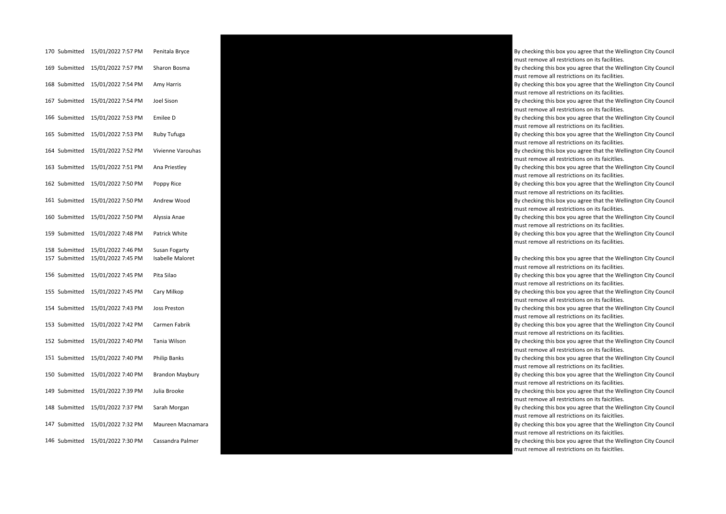| 170 Submitted                  | 15/01/2022 7:57 PM                       | Penitala Bryce                           |
|--------------------------------|------------------------------------------|------------------------------------------|
| 169 Submitted                  | 15/01/2022 7:57 PM                       | Sharon Bosma                             |
| 168 Submitted                  | 15/01/2022 7:54 PM                       | Amy Harris                               |
| 167 Submitted                  | 15/01/2022 7:54 PM                       | Joel Sison                               |
| 166 Submitted                  | 15/01/2022 7:53 PM                       | Emilee D                                 |
| 165 Submitted                  | 15/01/2022 7:53 PM                       | Ruby Tufuga                              |
| 164 Submitted                  | 15/01/2022 7:52 PM                       | Vivienne Varouhas                        |
| 163 Submitted                  | 15/01/2022 7:51 PM                       | Ana Priestley                            |
| 162 Submitted                  | 15/01/2022 7:50 PM                       | Poppy Rice                               |
| 161 Submitted                  | 15/01/2022 7:50 PM                       | Andrew Wood                              |
| 160 Submitted                  | 15/01/2022 7:50 PM                       | Alyssia Anae                             |
| 159 Submitted                  | 15/01/2022 7:48 PM                       | Patrick White                            |
| 158 Submitted<br>157 Submitted | 15/01/2022 7:46 PM<br>15/01/2022 7:45 PM | Susan Fogarty<br><b>Isabelle Maloret</b> |
| 156 Submitted                  | 15/01/2022 7:45 PM                       | Pita Silao                               |
| 155 Submitted                  | 15/01/2022 7:45 PM                       | Cary Milkop                              |
| 154 Submitted                  | 15/01/2022 7:43 PM                       | Joss Preston                             |
| 153 Submitted                  | 15/01/2022 7:42 PM                       | Carmen Fabrik                            |
| 152 Submitted                  | 15/01/2022 7:40 PM                       | Tania Wilson                             |
| 151 Submitted                  | 15/01/2022 7:40 PM                       | <b>Philip Banks</b>                      |
| 150 Submitted                  | 15/01/2022 7:40 PM                       | <b>Brandon Maybury</b>                   |
| 149 Submitted                  | 15/01/2022 7:39 PM                       | Julia Brooke                             |
| 148 Submitted                  | 15/01/2022 7:37 PM                       | Sarah Morgan                             |
| 147 Submitted                  | 15/01/2022 7:32 PM                       | Maureen Macnamar                         |
| 146 Submitted                  | 15/01/2022 7:30 PM                       | Cassandra Palmer                         |



By checking this box you agree that the Wellington City Council must remove all restrictions on its facilities.

By checking this box you agree that the Wellington City Council must remove all restrictions on its facilities.

By checking this box you agree that the Wellington City Council must remove all restrictions on its facilities.

By checking this box you agree that the Wellington City Council must remove all restrictions on its facilities.

By checking this box you agree that the Wellington City Council must remove all restrictions on its facilities.

By checking this box you agree that the Wellington City Council must remove all restrictions on its faicitlies.

By checking this box you agree that the Wellington City Council must remove all restrictions on its facilities.

By checking this box you agree that the Wellington City Council must remove all restrictions on its facilities.

By checking this box you agree that the Wellington City Council must remove all restrictions on its facilities.

By checking this box you agree that the Wellington City Council must remove all restrictions on its facilities.

By checking this box you agree that the Wellington City Council must remove all restrictions on its facilities.

By checking this box you agree that the Wellington City Council must remove all restrictions on its facilities.

By checking this box you agree that the Wellington City Council must remove all restrictions on its facilities.

By checking this box you agree that the Wellington City Council must remove all restrictions on its facilities.

By checking this box you agree that the Wellington City Council must remove all restrictions on its facilities.

By checking this box you agree that the Wellington City Council must remove all restrictions on its facilities.

By checking this box you agree that the Wellington City Council must remove all restrictions on its facilities.

By checking this box you agree that the Wellington City Council must remove all restrictions on its facilities.

By checking this box you agree that the Wellington City Council must remove all restrictions on its facilities.

By checking this box you agree that the Wellington City Council must remove all restrictions on its faicitlies.

By checking this box you agree that the Wellington City Council must remove all restrictions on its faicitlies.

must remove all restrictions on its faicitlies.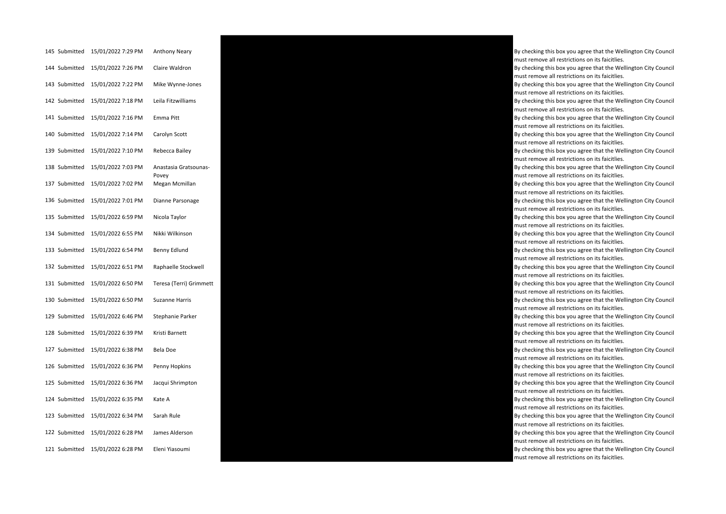| 145 Submitted | 15/01/2022 7:29 PM | <b>Anthony Neary</b>           |
|---------------|--------------------|--------------------------------|
| 144 Submitted | 15/01/2022 7:26 PM | Claire Waldron                 |
| 143 Submitted | 15/01/2022 7:22 PM | Mike Wynne-Jones               |
| 142 Submitted | 15/01/2022 7:18 PM | Leila Fitzwilliams             |
| 141 Submitted | 15/01/2022 7:16 PM | Emma Pitt                      |
| 140 Submitted | 15/01/2022 7:14 PM | Carolyn Scott                  |
| 139 Submitted | 15/01/2022 7:10 PM | Rebecca Bailey                 |
| 138 Submitted | 15/01/2022 7:03 PM | Anastasia Gratsounas-<br>Povey |
| 137 Submitted | 15/01/2022 7:02 PM | Megan Mcmillan                 |
| 136 Submitted | 15/01/2022 7:01 PM | Dianne Parsonage               |
| 135 Submitted | 15/01/2022 6:59 PM | Nicola Taylor                  |
| 134 Submitted | 15/01/2022 6:55 PM | Nikki Wilkinson                |
| 133 Submitted | 15/01/2022 6:54 PM | Benny Edlund                   |
| 132 Submitted | 15/01/2022 6:51 PM | Raphaelle Stockwell            |
| 131 Submitted | 15/01/2022 6:50 PM | Teresa (Terri) Grimme          |
| 130 Submitted | 15/01/2022 6:50 PM | <b>Suzanne Harris</b>          |
| 129 Submitted | 15/01/2022 6:46 PM | Stephanie Parker               |
| 128 Submitted | 15/01/2022 6:39 PM | Kristi Barnett                 |
| 127 Submitted | 15/01/2022 6:38 PM | Bela Doe                       |
| 126 Submitted | 15/01/2022 6:36 PM | Penny Hopkins                  |
| 125 Submitted | 15/01/2022 6:36 PM | Jacqui Shrimpton               |
| 124 Submitted | 15/01/2022 6:35 PM | Kate A                         |
| 123 Submitted | 15/01/2022 6:34 PM | Sarah Rule                     |
| 122 Submitted | 15/01/2022 6:28 PM | James Alderson                 |
| 121 Submitted | 15/01/2022 6:28 PM | Eleni Yiasoumi                 |



must remove all restrictions on its faicitlies. By checking this box you agree that the Wellington City Council must remove all restrictions on its faicitlies. By checking this box you agree that the Wellington City Council must remove all restrictions on its faicitlies. By checking this box you agree that the Wellington City Council must remove all restrictions on its faicitlies. By checking this box you agree that the Wellington City Council must remove all restrictions on its faicitlies. By checking this box you agree that the Wellington City Council must remove all restrictions on its faicitlies. By checking this box you agree that the Wellington City Council must remove all restrictions on its faicitlies. By checking this box you agree that the Wellington City Council must remove all restrictions on its faicitlies. By checking this box you agree that the Wellington City Council must remove all restrictions on its faicitlies. By checking this box you agree that the Wellington City Council must remove all restrictions on its faicitlies. By checking this box you agree that the Wellington City Council must remove all restrictions on its faicitlies. By checking this box you agree that the Wellington City Council must remove all restrictions on its faicitlies. By checking this box you agree that the Wellington City Council must remove all restrictions on its faicitlies. must remove all restrictions on its faicitlies. By checking this box you agree that the Wellington City Council must remove all restrictions on its faicitlies. By checking this box you agree that the Wellington City Council must remove all restrictions on its faicitlies. By checking this box you agree that the Wellington City Council must remove all restrictions on its faicitlies. By checking this box you agree that the Wellington City Council must remove all restrictions on its faicitlies. By checking this box you agree that the Wellington City Council must remove all restrictions on its faicitlies. By checking this box you agree that the Wellington City Council must remove all restrictions on its faicitlies. By checking this box you agree that the Wellington City Council must remove all restrictions on its faicitlies. By checking this box you agree that the Wellington City Council must remove all restrictions on its faicitlies. By checking this box you agree that the Wellington City Council must remove all restrictions on its faicitlies. By checking this box you agree that the Wellington City Council must remove all restrictions on its faicitlies.

By checking this box you agree that the Wellington City Council

By checking this box you agree that the Wellington City Council

must remove all restrictions on its faicitlies.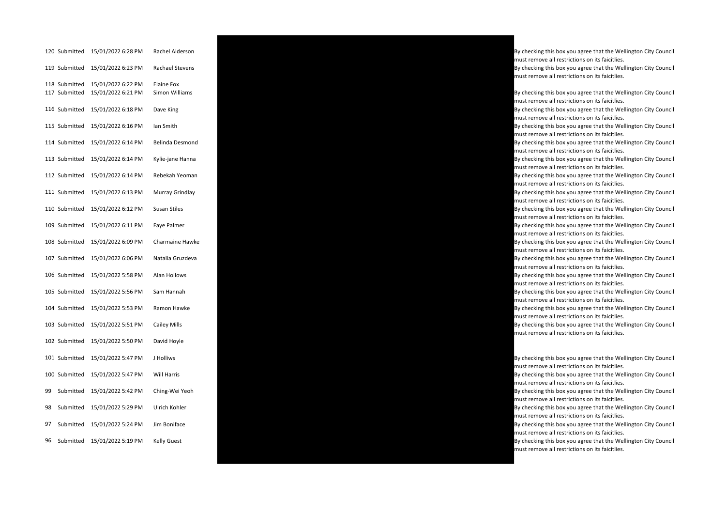|    | 120 Submitted | 15/01/2022 6:28 PM | Rachel Alderson        |
|----|---------------|--------------------|------------------------|
|    | 119 Submitted | 15/01/2022 6:23 PM | Rachael Stevens        |
|    | 118 Submitted | 15/01/2022 6:22 PM | Elaine Fox             |
|    | 117 Submitted | 15/01/2022 6:21 PM | Simon Williams         |
|    | 116 Submitted | 15/01/2022 6:18 PM | Dave King              |
|    | 115 Submitted | 15/01/2022 6:16 PM | Ian Smith              |
|    | 114 Submitted | 15/01/2022 6:14 PM | <b>Belinda Desmond</b> |
|    | 113 Submitted | 15/01/2022 6:14 PM | Kylie-jane Hanna       |
|    | 112 Submitted | 15/01/2022 6:14 PM | Rebekah Yeoman         |
|    | 111 Submitted | 15/01/2022 6:13 PM | Murray Grindlay        |
|    | 110 Submitted | 15/01/2022 6:12 PM | <b>Susan Stiles</b>    |
|    | 109 Submitted | 15/01/2022 6:11 PM | Faye Palmer            |
|    | 108 Submitted | 15/01/2022 6:09 PM | Charmaine Hawke        |
|    | 107 Submitted | 15/01/2022 6:06 PM | Natalia Gruzdeva       |
|    | 106 Submitted | 15/01/2022 5:58 PM | Alan Hollows           |
|    | 105 Submitted | 15/01/2022 5:56 PM | Sam Hannah             |
|    | 104 Submitted | 15/01/2022 5:53 PM | Ramon Hawke            |
|    | 103 Submitted | 15/01/2022 5:51 PM | Cailey Mills           |
|    | 102 Submitted | 15/01/2022 5:50 PM | David Hoyle            |
|    | 101 Submitted | 15/01/2022 5:47 PM | J Holliws              |
|    | 100 Submitted | 15/01/2022 5:47 PM | <b>Will Harris</b>     |
| 99 | Submitted     | 15/01/2022 5:42 PM | Ching-Wei Yeoh         |
| 98 | Submitted     | 15/01/2022 5:29 PM | Ulrich Kohler          |
| 97 | Submitted     | 15/01/2022 5:24 PM | Jim Boniface           |
| 96 | Submitted     | 15/01/2022 5:19 PM | <b>Kelly Guest</b>     |



By checking this box you agree that the Wellington City Council must remove all restrictions on its faicitlies.

By checking this box you agree that the Wellington City Council must remove all restrictions on its faicitlies.

By checking this box you agree that the Wellington City Council must remove all restrictions on its faicitlies.

By checking this box you agree that the Wellington City Council must remove all restrictions on its faicitlies.

By checking this box you agree that the Wellington City Council must remove all restrictions on its faicitlies.

By checking this box you agree that the Wellington City Council must remove all restrictions on its faicitlies.

By checking this box you agree that the Wellington City Council must remove all restrictions on its faicitlies.

By checking this box you agree that the Wellington City Council must remove all restrictions on its faicitlies.

By checking this box you agree that the Wellington City Council must remove all restrictions on its faicitlies.

By checking this box you agree that the Wellington City Council must remove all restrictions on its faicitlies.

By checking this box you agree that the Wellington City Council must remove all restrictions on its faicitlies.

By checking this box you agree that the Wellington City Council must remove all restrictions on its faicitlies.

By checking this box you agree that the Wellington City Council must remove all restrictions on its faicitlies.

By checking this box you agree that the Wellington City Council must remove all restrictions on its faicitlies.

By checking this box you agree that the Wellington City Council must remove all restrictions on its faicitlies.

By checking this box you agree that the Wellington City Council must remove all restrictions on its faicitlies.

### By checking this box you agree that the Wellington City Council

must remove all restrictions on its faicitlies.

By checking this box you agree that the Wellington City Council must remove all restrictions on its faicitlies.

By checking this box you agree that the Wellington City Council must remove all restrictions on its faicitlies.

By checking this box you agree that the Wellington City Council must remove all restrictions on its faicitlies.

By checking this box you agree that the Wellington City Council must remove all restrictions on its faicitlies.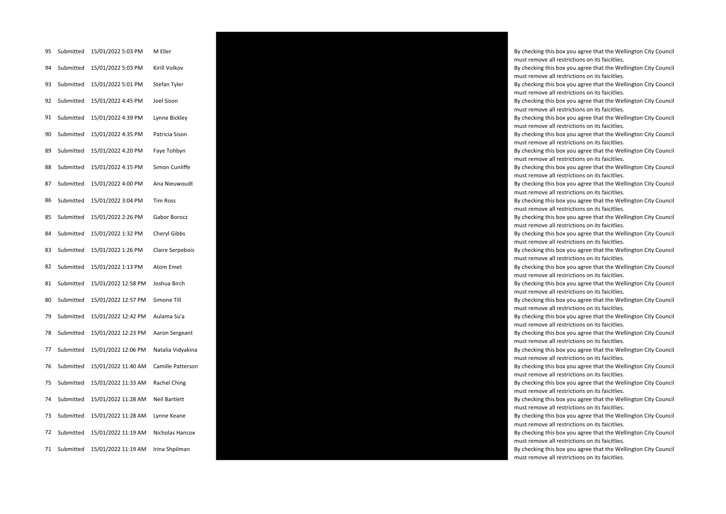| 95 | Submitted | 15/01/2022 5:03 PM  | M Eller              |
|----|-----------|---------------------|----------------------|
| 94 | Submitted | 15/01/2022 5:03 PM  | Kirill Volkov        |
| 93 | Submitted | 15/01/2022 5:01 PM  | Stefan Tyler         |
| 92 | Submitted | 15/01/2022 4:45 PM  | Joel Sison           |
| 91 | Submitted | 15/01/2022 4:39 PM  | Lynne Bickley        |
| 90 | Submitted | 15/01/2022 4:35 PM  | Patricia Sison       |
| 89 | Submitted | 15/01/2022 4:20 PM  | Faye Tohbyn          |
| 88 | Submitted | 15/01/2022 4:15 PM  | Simon Cunliffe       |
| 87 | Submitted | 15/01/2022 4:00 PM  | Ana Nieuwoudt        |
| 86 | Submitted | 15/01/2022 3:04 PM  | <b>Tim Ross</b>      |
| 85 | Submitted | 15/01/2022 2:26 PM  | Gabor Borocz         |
| 84 | Submitted | 15/01/2022 1:32 PM  | Cheryl Gibbs         |
| 83 | Submitted | 15/01/2022 1:26 PM  | Claire Serpebois     |
| 82 | Submitted | 15/01/2022 1:13 PM  | <b>Atom Emet</b>     |
| 81 | Submitted | 15/01/2022 12:58 PM | Joshua Birch         |
| 80 | Submitted | 15/01/2022 12:57 PM | Simone Till          |
| 79 | Submitted | 15/01/2022 12:42 PM | Aulama Su'a          |
| 78 | Submitted | 15/01/2022 12:23 PM | Aaron Sergeant       |
| 77 | Submitted | 15/01/2022 12:06 PM | Natalia Vidyakina    |
| 76 | Submitted | 15/01/2022 11:40 AM | Camille Pattersor    |
| 75 | Submitted | 15/01/2022 11:33 AM | Rachel Ching         |
| 74 | Submitted | 15/01/2022 11:28 AM | <b>Neil Bartlett</b> |
| 73 | Submitted | 15/01/2022 11:28 AM | Lynne Keane          |
| 72 | Submitted | 15/01/2022 11:19 AM | Nicholas Hancox      |
| 71 | Submitted | 15/01/2022 11:19 AM | Irina Shpilman       |



By checking this box you agree that the Wellington City Council must remove all restrictions on its faicitlies.

By checking this box you agree that the Wellington City Council must remove all restrictions on its faicitlies.

By checking this box you agree that the Wellington City Council must remove all restrictions on its faicitlies.

By checking this box you agree that the Wellington City Council must remove all restrictions on its faicitlies.

By checking this box you agree that the Wellington City Council must remove all restrictions on its faicitlies.

By checking this box you agree that the Wellington City Council must remove all restrictions on its faicitlies.

By checking this box you agree that the Wellington City Council must remove all restrictions on its faicitlies.

By checking this box you agree that the Wellington City Council must remove all restrictions on its faicitlies.

By checking this box you agree that the Wellington City Council must remove all restrictions on its faicitlies.

By checking this box you agree that the Wellington City Council must remove all restrictions on its faicitlies.

By checking this box you agree that the Wellington City Council must remove all restrictions on its faicitlies.

By checking this box you agree that the Wellington City Council must remove all restrictions on its faicitlies.

By checking this box you agree that the Wellington City Council must remove all restrictions on its faicitlies.

By checking this box you agree that the Wellington City Council must remove all restrictions on its faicitlies.

By checking this box you agree that the Wellington City Council must remove all restrictions on its faicitlies.

By checking this box you agree that the Wellington City Council must remove all restrictions on its faicitlies.

By checking this box you agree that the Wellington City Council must remove all restrictions on its faicitlies.

By checking this box you agree that the Wellington City Council must remove all restrictions on its faicitlies.

By checking this box you agree that the Wellington City Council must remove all restrictions on its faicitlies.

By checking this box you agree that the Wellington City Council must remove all restrictions on its faicitlies.

By checking this box you agree that the Wellington City Council must remove all restrictions on its faicitlies.

By checking this box you agree that the Wellington City Council must remove all restrictions on its faicitlies.

By checking this box you agree that the Wellington City Council must remove all restrictions on its faicitlies.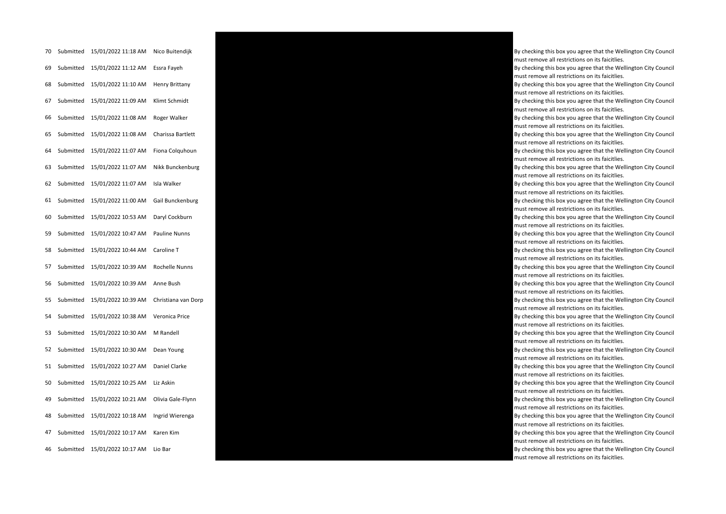| 70 | Submitted | 15/01/2022 11:18 AM | Nico Buitendijk       |
|----|-----------|---------------------|-----------------------|
| 69 | Submitted | 15/01/2022 11:12 AM | Essra Fayeh           |
| 68 | Submitted | 15/01/2022 11:10 AM | <b>Henry Brittany</b> |
| 67 | Submitted | 15/01/2022 11:09 AM | Klimt Schmidt         |
| 66 | Submitted | 15/01/2022 11:08 AM | Roger Walker          |
| 65 | Submitted | 15/01/2022 11:08 AM | Charissa Bartlett     |
| 64 | Submitted | 15/01/2022 11:07 AM | Fiona Colquhoun       |
| 63 | Submitted | 15/01/2022 11:07 AM | Nikk Bunckenburg      |
| 62 | Submitted | 15/01/2022 11:07 AM | Isla Walker           |
| 61 | Submitted | 15/01/2022 11:00 AM | Gail Bunckenburg      |
| 60 | Submitted | 15/01/2022 10:53 AM | Daryl Cockburn        |
| 59 | Submitted | 15/01/2022 10:47 AM | <b>Pauline Nunns</b>  |
| 58 | Submitted | 15/01/2022 10:44 AM | Caroline T            |
| 57 | Submitted | 15/01/2022 10:39 AM | Rochelle Nunns        |
| 56 | Submitted | 15/01/2022 10:39 AM | Anne Bush             |
| 55 | Submitted | 15/01/2022 10:39 AM | Christiana van Dor    |
| 54 | Submitted | 15/01/2022 10:38 AM | Veronica Price        |
| 53 | Submitted | 15/01/2022 10:30 AM | M Randell             |
| 52 | Submitted | 15/01/2022 10:30 AM | Dean Young            |
| 51 | Submitted | 15/01/2022 10:27 AM | Daniel Clarke         |
| 50 | Submitted | 15/01/2022 10:25 AM | Liz Askin             |
| 49 | Submitted | 15/01/2022 10:21 AM | Olivia Gale-Flynn     |
| 48 | Submitted | 15/01/2022 10:18 AM | Ingrid Wierenga       |
| 47 | Submitted | 15/01/2022 10:17 AM | Karen Kim             |
| 46 | Submitted | 15/01/2022 10:17 AM | Lio Bar               |



By checking this box you agree that the Wellington City Council must remove all restrictions on its faicitlies.

By checking this box you agree that the Wellington City Council must remove all restrictions on its faicitlies.

By checking this box you agree that the Wellington City Council must remove all restrictions on its faicitlies.

By checking this box you agree that the Wellington City Council must remove all restrictions on its faicitlies.

By checking this box you agree that the Wellington City Council must remove all restrictions on its faicitlies.

By checking this box you agree that the Wellington City Council must remove all restrictions on its faicitlies.

By checking this box you agree that the Wellington City Council must remove all restrictions on its faicitlies.

By checking this box you agree that the Wellington City Council must remove all restrictions on its faicitlies.

By checking this box you agree that the Wellington City Council must remove all restrictions on its faicitlies.

By checking this box you agree that the Wellington City Council must remove all restrictions on its faicitlies.

By checking this box you agree that the Wellington City Council must remove all restrictions on its faicitlies.

By checking this box you agree that the Wellington City Council must remove all restrictions on its faicitlies.

By checking this box you agree that the Wellington City Council must remove all restrictions on its faicitlies.

By checking this box you agree that the Wellington City Council must remove all restrictions on its faicitlies.

must remove all restrictions on its faicitlies.

By checking this box you agree that the Wellington City Council must remove all restrictions on its faicitlies.

By checking this box you agree that the Wellington City Council must remove all restrictions on its faicitlies.

By checking this box you agree that the Wellington City Council must remove all restrictions on its faicitlies.

By checking this box you agree that the Wellington City Council must remove all restrictions on its faicitlies.

By checking this box you agree that the Wellington City Council must remove all restrictions on its faicitlies.

By checking this box you agree that the Wellington City Council must remove all restrictions on its faicitlies.

By checking this box you agree that the Wellington City Council must remove all restrictions on its faicitlies.

By checking this box you agree that the Wellington City Council must remove all restrictions on its faicitlies.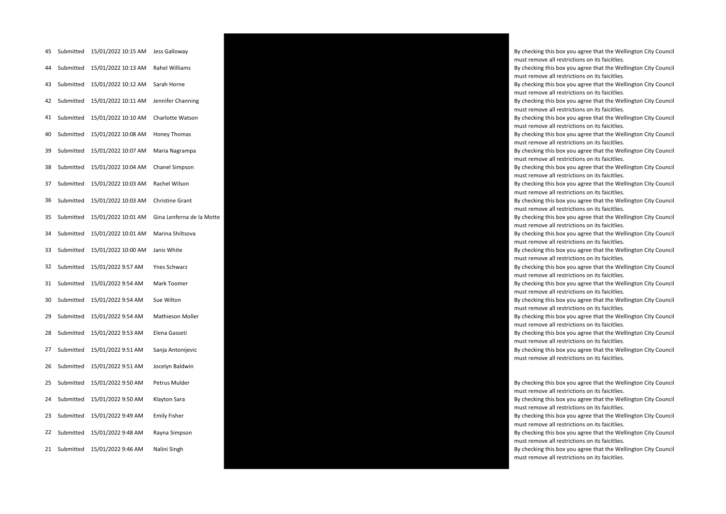| 45 | Submitted | 15/01/2022 10:15 AM | Jess Galloway          |
|----|-----------|---------------------|------------------------|
| 44 | Submitted | 15/01/2022 10:13 AM | Rahel Williams         |
| 43 | Submitted | 15/01/2022 10:12 AM | Sarah Horne            |
| 42 | Submitted | 15/01/2022 10:11 AM | Jennifer Channing      |
| 41 | Submitted | 15/01/2022 10:10 AM | Charlotte Watson       |
| 40 | Submitted | 15/01/2022 10:08 AM | Honey Thomas           |
| 39 | Submitted | 15/01/2022 10:07 AM | Maria Nagrampa         |
| 38 | Submitted | 15/01/2022 10:04 AM | Chanel Simpson         |
| 37 | Submitted | 15/01/2022 10:03 AM | Rachel Wilson          |
| 36 | Submitted | 15/01/2022 10:03 AM | <b>Christine Grant</b> |
| 35 | Submitted | 15/01/2022 10:01 AM | Gina Lenferna de la M  |
| 34 | Submitted | 15/01/2022 10:01 AM | Marina Shiltsova       |
| 33 | Submitted | 15/01/2022 10:00 AM | Janis White            |
| 32 | Submitted | 15/01/2022 9:57 AM  | Ynes Schwarz           |
| 31 | Submitted | 15/01/2022 9:54 AM  | Mark Toomer            |
| 30 | Submitted | 15/01/2022 9:54 AM  | Sue Wilton             |
| 29 | Submitted | 15/01/2022 9:54 AM  | Mathieson Moller       |
| 28 | Submitted | 15/01/2022 9:53 AM  | Elena Gasseti          |
| 27 | Submitted | 15/01/2022 9:51 AM  | Sanja Antonijevic      |
| 26 | Submitted | 15/01/2022 9:51 AM  | Jocelyn Baldwin        |
| 25 | Submitted | 15/01/2022 9:50 AM  | Petrus Mulder          |
| 24 | Submitted | 15/01/2022 9:50 AM  | Klayton Sara           |
| 23 | Submitted | 15/01/2022 9:49 AM  | <b>Emily Fisher</b>    |
| 22 | Submitted | 15/01/2022 9:48 AM  | Rayna Simpson          |
| 21 | Submitted | 15/01/2022 9:46 AM  | Nalini Singh           |



By checking this box you agree that the Wellington City Council must remove all restrictions on its faicitlies.

By checking this box you agree that the Wellington City Council must remove all restrictions on its faicitlies.

By checking this box you agree that the Wellington City Council must remove all restrictions on its faicitlies.

By checking this box you agree that the Wellington City Council must remove all restrictions on its faicitlies.

By checking this box you agree that the Wellington City Council must remove all restrictions on its faicitlies.

By checking this box you agree that the Wellington City Council must remove all restrictions on its faicitlies.

By checking this box you agree that the Wellington City Council must remove all restrictions on its faicitlies.

By checking this box you agree that the Wellington City Council must remove all restrictions on its faicitlies.

By checking this box you agree that the Wellington City Council must remove all restrictions on its faicitlies.

must remove all restrictions on its faicitlies.

By checking this box you agree that the Wellington City Council must remove all restrictions on its faicitlies.

By checking this box you agree that the Wellington City Council must remove all restrictions on its faicitlies.

By checking this box you agree that the Wellington City Council must remove all restrictions on its faicitlies.

By checking this box you agree that the Wellington City Council must remove all restrictions on its faicitlies.

By checking this box you agree that the Wellington City Council must remove all restrictions on its faicitlies.

By checking this box you agree that the Wellington City Council must remove all restrictions on its faicitlies.

By checking this box you agree that the Wellington City Council must remove all restrictions on its faicitlies.

By checking this box you agree that the Wellington City Council must remove all restrictions on its faicitlies.

By checking this box you agree that the Wellington City Council must remove all restrictions on its faicitlies.

By checking this box you agree that the Wellington City Council must remove all restrictions on its faicitlies.

By checking this box you agree that the Wellington City Council must remove all restrictions on its faicitlies.

By checking this box you agree that the Wellington City Council must remove all restrictions on its faicitlies.